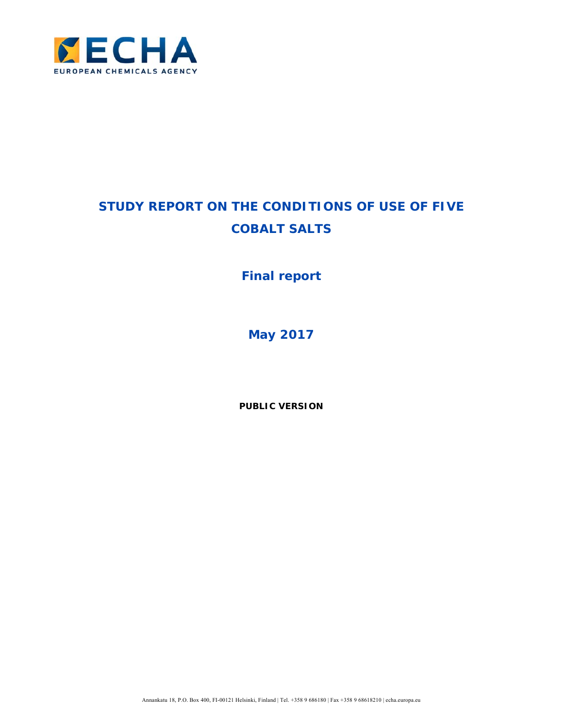

# **STUDY REPORT ON THE CONDITIONS OF USE OF FIVE COBALT SALTS**

## **Final report**

**May 2017** 

**PUBLIC VERSION**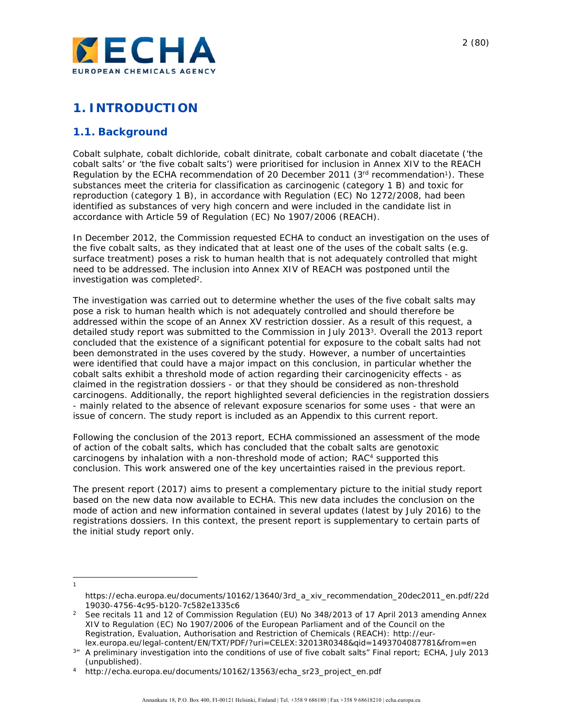

## **1. INTRODUCTION**

## **1.1. Background**

Cobalt sulphate, cobalt dichloride, cobalt dinitrate, cobalt carbonate and cobalt diacetate ('the cobalt salts' or 'the five cobalt salts') were prioritised for inclusion in Annex XIV to the REACH Regulation by the ECHA recommendation of 20 December 2011 ( $3<sup>rd</sup>$  recommendation<sup>1</sup>). These substances meet the criteria for classification as carcinogenic (category 1 B) and toxic for reproduction (category 1 B), in accordance with Regulation (EC) No 1272/2008, had been identified as substances of very high concern and were included in the candidate list in accordance with Article 59 of Regulation (EC) No 1907/2006 (REACH).

In December 2012, the Commission requested ECHA to conduct an investigation on the uses of the five cobalt salts, as they indicated that at least one of the uses of the cobalt salts (e.g. surface treatment) poses a risk to human health that is not adequately controlled that might need to be addressed. The inclusion into Annex XIV of REACH was postponed until the investigation was completed2.

The investigation was carried out to determine whether the uses of the five cobalt salts may pose a risk to human health which is not adequately controlled and should therefore be addressed within the scope of an Annex XV restriction dossier. As a result of this request, a detailed study report was submitted to the Commission in July 2013<sup>3</sup>. Overall the 2013 report concluded that the existence of a significant potential for exposure to the cobalt salts had not been demonstrated in the uses covered by the study. However, a number of uncertainties were identified that could have a major impact on this conclusion, in particular whether the cobalt salts exhibit a threshold mode of action regarding their carcinogenicity effects - as claimed in the registration dossiers - or that they should be considered as non-threshold carcinogens. Additionally, the report highlighted several deficiencies in the registration dossiers - mainly related to the absence of relevant exposure scenarios for some uses - that were an issue of concern. The study report is included as an Appendix to this current report.

Following the conclusion of the 2013 report, ECHA commissioned an assessment of the mode of action of the cobalt salts, which has concluded that the cobalt salts are genotoxic carcinogens by inhalation with a non-threshold mode of action; RAC4 supported this conclusion. This work answered one of the key uncertainties raised in the previous report.

The present report (2017) aims to present a complementary picture to the initial study report based on the new data now available to ECHA. This new data includes the conclusion on the mode of action and new information contained in several updates (latest by July 2016) to the registrations dossiers. In this context, the present report is supplementary to certain parts of the initial study report only.

l 1

https://echa.europa.eu/documents/10162/13640/3rd\_a\_xiv\_recommendation\_20dec2011\_en.pdf/22d

<sup>19030-4756-4</sup>c95-b120-7c582e1335c6 2 See recitals 11 and 12 of Commission Regulation (EU) No 348/2013 of 17 April 2013 amending Annex XIV to Regulation (EC) No 1907/2006 of the European Parliament and of the Council on the Registration, Evaluation, Authorisation and Restriction of Chemicals (REACH): http://eur-

lex.europa.eu/legal-content/EN/TXT/PDF/?uri=CELEX:32013R0348&qid=1493704087781&from=en 3" A preliminary investigation into the conditions of use of five cobalt salts" Final report; ECHA, July 2013

<sup>(</sup>unpublished).<br>http://echa.europa.eu/documents/10162/13563/echa\_sr23\_project\_en.pdf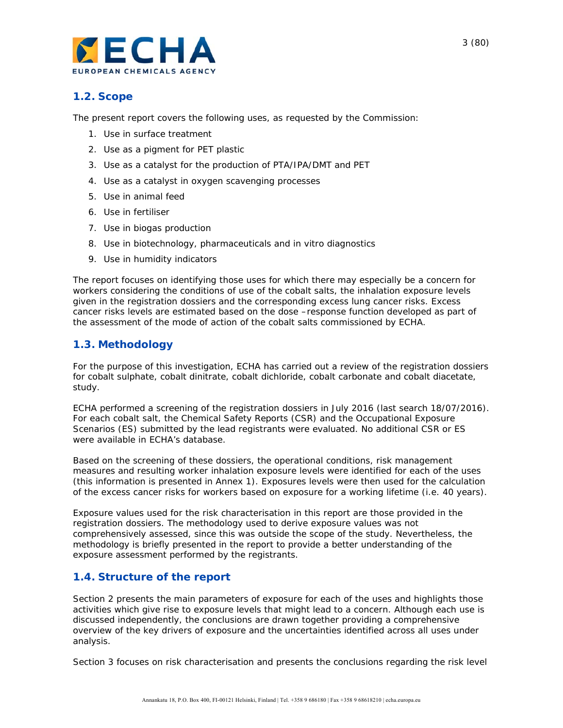

## **1.2. Scope**

The present report covers the following uses, as requested by the Commission:

- 1. Use in surface treatment
- 2. Use as a pigment for PET plastic
- 3. Use as a catalyst for the production of PTA/IPA/DMT and PET
- 4. Use as a catalyst in oxygen scavenging processes
- 5. Use in animal feed
- 6. Use in fertiliser
- 7. Use in biogas production
- 8. Use in biotechnology, pharmaceuticals and *in vitro* diagnostics
- 9. Use in humidity indicators

The report focuses on identifying those uses for which there may especially be a concern for workers considering the conditions of use of the cobalt salts, the inhalation exposure levels given in the registration dossiers and the corresponding excess lung cancer risks. Excess cancer risks levels are estimated based on the dose –response function developed as part of the assessment of the mode of action of the cobalt salts commissioned by ECHA.

## **1.3. Methodology**

For the purpose of this investigation, ECHA has carried out a review of the registration dossiers for cobalt sulphate, cobalt dinitrate, cobalt dichloride, cobalt carbonate and cobalt diacetate, study.

ECHA performed a screening of the registration dossiers in July 2016 (last search 18/07/2016). For each cobalt salt, the Chemical Safety Reports (CSR) and the Occupational Exposure Scenarios (ES) submitted by the lead registrants were evaluated. No additional CSR or ES were available in ECHA's database.

Based on the screening of these dossiers, the operational conditions, risk management measures and resulting worker inhalation exposure levels were identified for each of the uses (this information is presented in Annex 1). Exposures levels were then used for the calculation of the excess cancer risks for workers based on exposure for a working lifetime (i.e. 40 years).

Exposure values used for the risk characterisation in this report are those provided in the registration dossiers. The methodology used to derive exposure values was not comprehensively assessed, since this was outside the scope of the study. Nevertheless, the methodology is briefly presented in the report to provide a better understanding of the exposure assessment performed by the registrants.

## **1.4. Structure of the report**

Section 2 presents the main parameters of exposure for each of the uses and highlights those activities which give rise to exposure levels that might lead to a concern. Although each use is discussed independently, the conclusions are drawn together providing a comprehensive overview of the key drivers of exposure and the uncertainties identified across all uses under analysis.

Section 3 focuses on risk characterisation and presents the conclusions regarding the risk level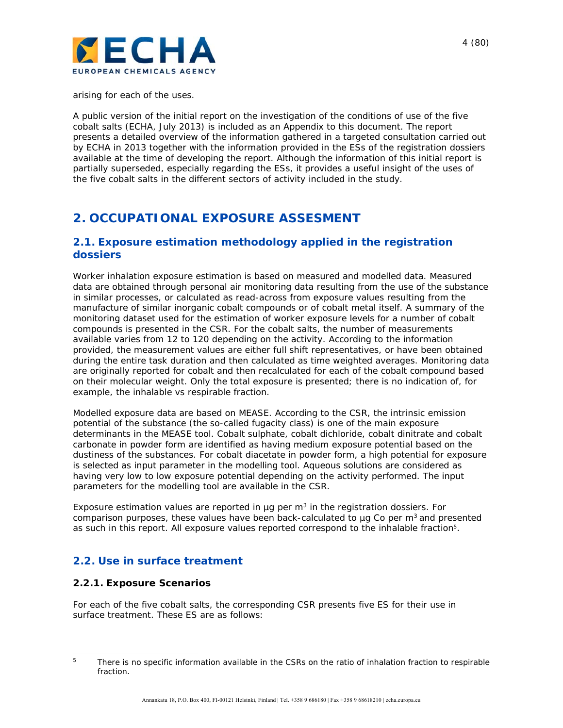

arising for each of the uses.

A public version of the initial report on the investigation of the conditions of use of the five cobalt salts (ECHA, July 2013) is included as an Appendix to this document. The report presents a detailed overview of the information gathered in a targeted consultation carried out by ECHA in 2013 together with the information provided in the ESs of the registration dossiers available at the time of developing the report. Although the information of this initial report is partially superseded, especially regarding the ESs, it provides a useful insight of the uses of the five cobalt salts in the different sectors of activity included in the study.

## **2. OCCUPATIONAL EXPOSURE ASSESMENT**

## **2.1. Exposure estimation methodology applied in the registration dossiers**

Worker inhalation exposure estimation is based on measured and modelled data. Measured data are obtained through personal air monitoring data resulting from the use of the substance in similar processes, or calculated as read-across from exposure values resulting from the manufacture of similar inorganic cobalt compounds or of cobalt metal itself. A summary of the monitoring dataset used for the estimation of worker exposure levels for a number of cobalt compounds is presented in the CSR. For the cobalt salts, the number of measurements available varies from 12 to 120 depending on the activity. According to the information provided, the measurement values are either full shift representatives, or have been obtained during the entire task duration and then calculated as time weighted averages. Monitoring data are originally reported for cobalt and then recalculated for each of the cobalt compound based on their molecular weight. Only the total exposure is presented; there is no indication of, for example, the inhalable vs respirable fraction.

Modelled exposure data are based on MEASE. According to the CSR, the intrinsic emission potential of the substance (the so-called fugacity class) is one of the main exposure determinants in the MEASE tool. Cobalt sulphate, cobalt dichloride, cobalt dinitrate and cobalt carbonate in powder form are identified as having medium exposure potential based on the dustiness of the substances. For cobalt diacetate in powder form, a high potential for exposure is selected as input parameter in the modelling tool. Aqueous solutions are considered as having very low to low exposure potential depending on the activity performed. The input parameters for the modelling tool are available in the CSR.

Exposure estimation values are reported in  $\mu$ g per m<sup>3</sup> in the registration dossiers. For comparison purposes, these values have been back-calculated to  $\mu$ g Co per m<sup>3</sup> and presented as such in this report. All exposure values reported correspond to the inhalable fraction5.

## **2.2. Use in surface treatment**

#### **2.2.1. Exposure Scenarios**

For each of the five cobalt salts, the corresponding CSR presents five ES for their use in surface treatment. These ES are as follows:

 $\overline{a}$ <sup>5</sup> There is no specific information available in the CSRs on the ratio of inhalation fraction to respirable fraction.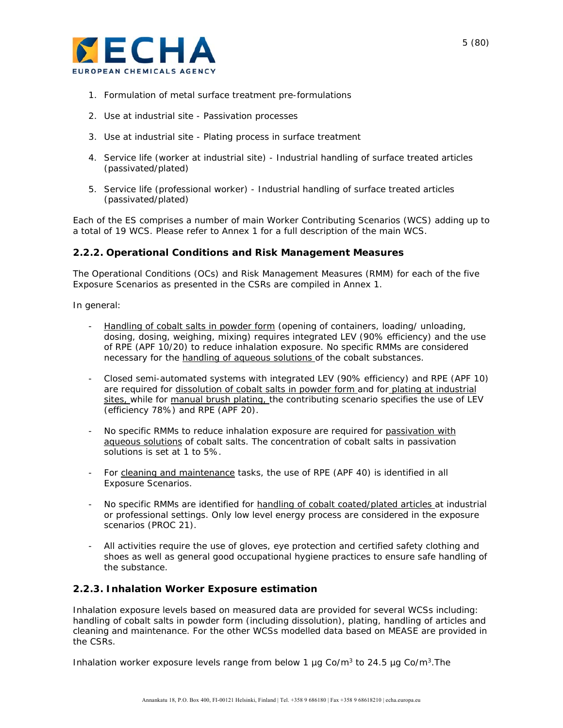

- 1. Formulation of metal surface treatment pre-formulations
- 2. Use at industrial site Passivation processes
- 3. Use at industrial site Plating process in surface treatment
- 4. Service life (worker at industrial site) Industrial handling of surface treated articles (passivated/plated)
- 5. Service life (professional worker) Industrial handling of surface treated articles (passivated/plated)

Each of the ES comprises a number of main Worker Contributing Scenarios (WCS) adding up to a total of 19 WCS. Please refer to Annex 1 for a full description of the main WCS.

#### **2.2.2. Operational Conditions and Risk Management Measures**

The Operational Conditions (OCs) and Risk Management Measures (RMM) for each of the five Exposure Scenarios as presented in the CSRs are compiled in Annex 1.

In general:

- Handling of cobalt salts in powder form (opening of containers, loading/ unloading, dosing, dosing, weighing, mixing) requires *integrated LEV (90% efficiency) and the use of RPE (APF 10/20)* to reduce inhalation exposure. No specific RMMs are considered necessary for the handling of aqueous solutions of the cobalt substances.
- *Closed semi-automated systems with integrated LEV (90% efficiency) and RPE (APF 10)* are required for dissolution of cobalt salts in powder form and for plating at industrial sites, while for manual brush plating, the contributing scenario specifies the *use of LEV (efficiency 78%) and RPE (APF 20)*.
- *No specific RMMs* to reduce inhalation exposure are required for passivation with aqueous solutions of cobalt salts. The concentration of cobalt salts in passivation solutions is set at 1 to 5%.
- For cleaning and maintenance tasks, the use *of RPE (APF 40)* is identified in all Exposure Scenarios.
- *No specific RMMs* are identified for handling of cobalt coated/plated articles at industrial or professional settings. Only low level energy process are considered in the exposure scenarios (PROC 21).
- All activities require the use of gloves, eye protection and certified safety clothing and shoes as well as general good occupational hygiene practices to ensure safe handling of the substance.

#### **2.2.3. Inhalation Worker Exposure estimation**

Inhalation exposure levels based on measured data are provided for several WCSs including: handling of cobalt salts in powder form (including dissolution), plating, handling of articles and cleaning and maintenance. For the other WCSs modelled data based on MEASE are provided in the CSRs.

Inhalation worker exposure levels range from below 1  $\mu$ g Co/m<sup>3</sup> to 24.5  $\mu$ g Co/m<sup>3</sup>. The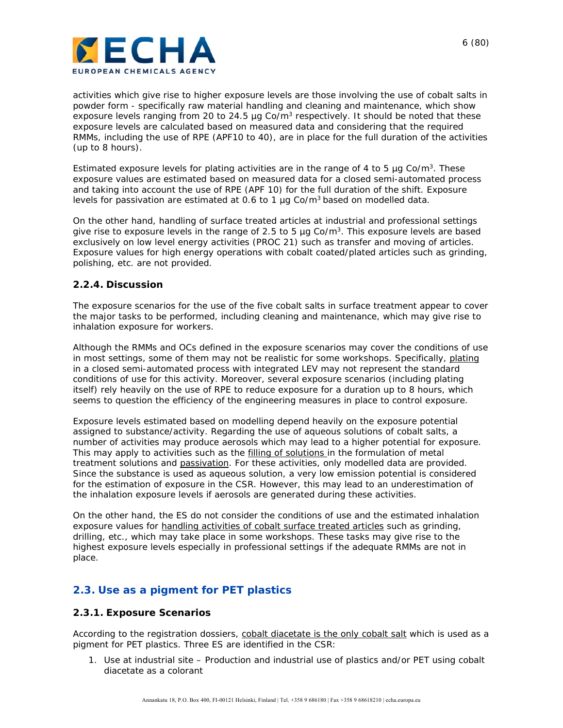

activities which give rise to higher exposure levels are those involving the use of cobalt salts in powder form - specifically raw material handling and cleaning and maintenance, which show exposure levels ranging from 20 to 24.5  $\mu$ g Co/m<sup>3</sup> respectively. It should be noted that these exposure levels are calculated based on measured data and considering that the required RMMs, including the use of RPE (APF10 to 40), are in place for the full duration of the activities (up to 8 hours).

Estimated exposure levels for plating activities are in the range of 4 to 5  $\mu$ g Co/m<sup>3</sup>. These exposure values are estimated based on measured data for a closed semi-automated process and taking into account the use of RPE (APF 10) for the full duration of the shift. Exposure levels for passivation are estimated at 0.6 to 1  $\mu$ g Co/m<sup>3</sup> based on modelled data.

On the other hand, handling of surface treated articles at industrial and professional settings give rise to exposure levels in the range of 2.5 to 5  $\mu$ g Co/m<sup>3</sup>. This exposure levels are based exclusively on low level energy activities (PROC 21) such as transfer and moving of articles. Exposure values for high energy operations with cobalt coated/plated articles such as grinding, polishing, etc. are not provided.

#### **2.2.4. Discussion**

The exposure scenarios for the use of the five cobalt salts in surface treatment appear to cover the major tasks to be performed, including cleaning and maintenance, which may give rise to inhalation exposure for workers.

Although the RMMs and OCs defined in the exposure scenarios may cover the conditions of use in most settings, some of them may not be realistic for some workshops. Specifically, plating in a closed semi-automated process with integrated LEV may not represent the standard conditions of use for this activity. Moreover, several exposure scenarios (including plating itself) rely heavily on the use of RPE to reduce exposure for a duration up to 8 hours, which seems to question the efficiency of the engineering measures in place to control exposure.

Exposure levels estimated based on modelling depend heavily on the exposure potential assigned to substance/activity. Regarding the use of aqueous solutions of cobalt salts, a number of activities may produce aerosols which may lead to a higher potential for exposure. This may apply to activities such as the filling of solutions in the formulation of metal treatment solutions and passivation. For these activities, only modelled data are provided. Since the substance is used as aqueous solution, a very low emission potential is considered for the estimation of exposure in the CSR. However, this may lead to an underestimation of the inhalation exposure levels if aerosols are generated during these activities.

On the other hand, the ES do not consider the conditions of use and the estimated inhalation exposure values for handling activities of cobalt surface treated articles such as grinding, drilling, etc., which may take place in some workshops. These tasks may give rise to the highest exposure levels especially in professional settings if the adequate RMMs are not in place.

## **2.3. Use as a pigment for PET plastics**

#### **2.3.1. Exposure Scenarios**

According to the registration dossiers, cobalt diacetate is the only cobalt salt which is used as a pigment for PET plastics. Three ES are identified in the CSR:

1. Use at industrial site – Production and industrial use of plastics and/or PET using cobalt diacetate as a colorant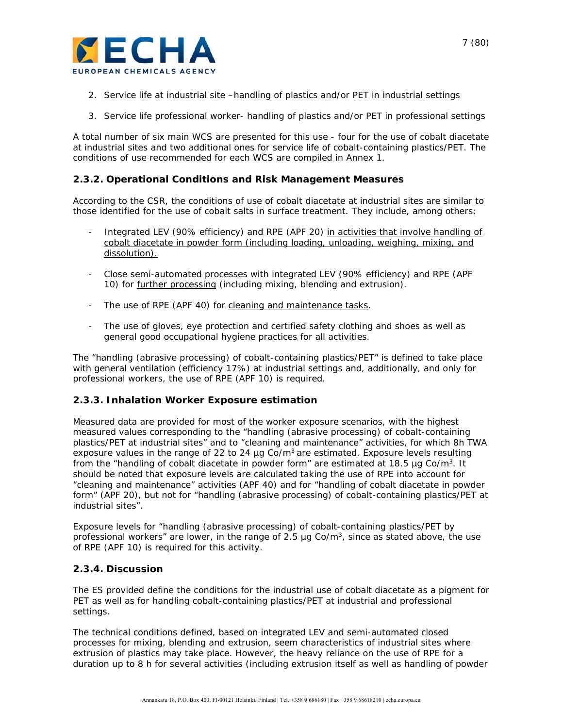

- 2. Service life at industrial site –handling of plastics and/or PET in industrial settings
- 3. Service life professional worker- handling of plastics and/or PET in professional settings

A total number of six main WCS are presented for this use - four for the use of cobalt diacetate at industrial sites and two additional ones for service life of cobalt-containing plastics/PET. The conditions of use recommended for each WCS are compiled in Annex 1.

#### **2.3.2. Operational Conditions and Risk Management Measures**

According to the CSR, the conditions of use of cobalt diacetate at industrial sites are similar to those identified for the use of cobalt salts in surface treatment. They include, among others:

- *Integrated LEV (90% efficiency) and RPE (APF 20)* in activities that involve handling of cobalt diacetate in powder form (including loading, unloading, weighing, mixing, and dissolution).
- *Close semi-automated processes with integrated LEV (90% efficiency) and RPE (APF 10)* for further processing (including mixing, blending and extrusion).
- The use *of RPE (APF 40)* for cleaning and maintenance tasks.
- The use of gloves, eye protection and certified safety clothing and shoes as well as general good occupational hygiene practices for all activities.

The "handling (abrasive processing) of cobalt-containing plastics/PET" is defined to take place with general ventilation (efficiency 17%) at industrial settings and, additionally, and only for professional workers, the use of RPE (APF 10) is required.

#### **2.3.3. Inhalation Worker Exposure estimation**

Measured data are provided for most of the worker exposure scenarios, with the highest measured values corresponding to the "handling (abrasive processing) of cobalt-containing plastics/PET at industrial sites" and to "cleaning and maintenance" activities, for which 8h TWA exposure values in the range of 22 to 24  $\mu$ g Co/m<sup>3</sup> are estimated. Exposure levels resulting from the "handling of cobalt diacetate in powder form" are estimated at 18.5  $\mu$ g Co/m<sup>3</sup>. It should be noted that exposure levels are calculated taking the use of RPE into account for "cleaning and maintenance" activities (APF 40) and for "handling of cobalt diacetate in powder form" (APF 20), but not for "handling (abrasive processing) of cobalt-containing plastics/PET at industrial sites".

Exposure levels for "handling (abrasive processing) of cobalt-containing plastics/PET by professional workers" are lower, in the range of 2.5  $\mu$ g Co/m<sup>3</sup>, since as stated above, the use of RPE (APF 10) is required for this activity.

#### **2.3.4. Discussion**

The ES provided define the conditions for the industrial use of cobalt diacetate as a pigment for PET as well as for handling cobalt-containing plastics/PET at industrial and professional settings.

The technical conditions defined, based on integrated LEV and semi-automated closed processes for mixing, blending and extrusion, seem characteristics of industrial sites where extrusion of plastics may take place. However, the heavy reliance on the use of RPE for a duration up to 8 h for several activities (including extrusion itself as well as handling of powder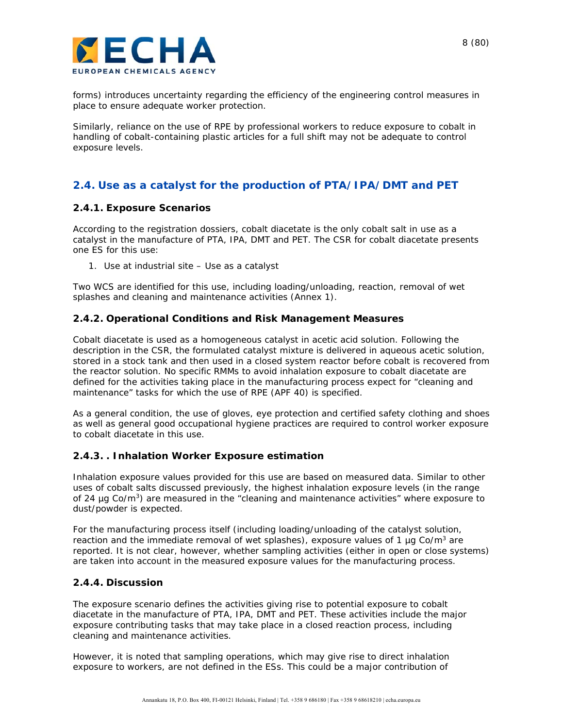

forms) introduces uncertainty regarding the efficiency of the engineering control measures in place to ensure adequate worker protection.

Similarly, reliance on the use of RPE by professional workers to reduce exposure to cobalt in handling of cobalt-containing plastic articles for a full shift may not be adequate to control exposure levels.

## **2.4. Use as a catalyst for the production of PTA/IPA/DMT and PET**

#### **2.4.1. Exposure Scenarios**

According to the registration dossiers, cobalt diacetate is the only cobalt salt in use as a catalyst in the manufacture of PTA, IPA, DMT and PET. The CSR for cobalt diacetate presents one ES for this use:

1. Use at industrial site – Use as a catalyst

Two WCS are identified for this use, including loading/unloading, reaction, removal of wet splashes and cleaning and maintenance activities (Annex 1).

#### **2.4.2. Operational Conditions and Risk Management Measures**

Cobalt diacetate is used as a homogeneous catalyst in acetic acid solution. Following the description in the CSR, the formulated catalyst mixture is delivered in aqueous acetic solution, stored in a stock tank and then used in a closed system reactor before cobalt is recovered from the reactor solution. No specific RMMs to avoid inhalation exposure to cobalt diacetate are defined for the activities taking place in the manufacturing process expect for "cleaning and maintenance" tasks for which *the use of RPE (APF 40)* is specified.

As a general condition, the use of gloves, eye protection and certified safety clothing and shoes as well as general good occupational hygiene practices are required to control worker exposure to cobalt diacetate in this use.

#### **2.4.3. . Inhalation Worker Exposure estimation**

Inhalation exposure values provided for this use are based on measured data. Similar to other uses of cobalt salts discussed previously, the highest inhalation exposure levels (in the range of 24  $\mu$ g Co/m<sup>3</sup>) are measured in the "cleaning and maintenance activities" where exposure to dust/powder is expected.

For the manufacturing process itself (including loading/unloading of the catalyst solution, reaction and the immediate removal of wet splashes), exposure values of 1  $\mu$ g Co/m<sup>3</sup> are reported. It is not clear, however, whether sampling activities (either in open or close systems) are taken into account in the measured exposure values for the manufacturing process.

#### **2.4.4. Discussion**

The exposure scenario defines the activities giving rise to potential exposure to cobalt diacetate in the manufacture of PTA, IPA, DMT and PET. These activities include the major exposure contributing tasks that may take place in a closed reaction process, including cleaning and maintenance activities.

However, it is noted that sampling operations, which may give rise to direct inhalation exposure to workers, are not defined in the ESs. This could be a major contribution of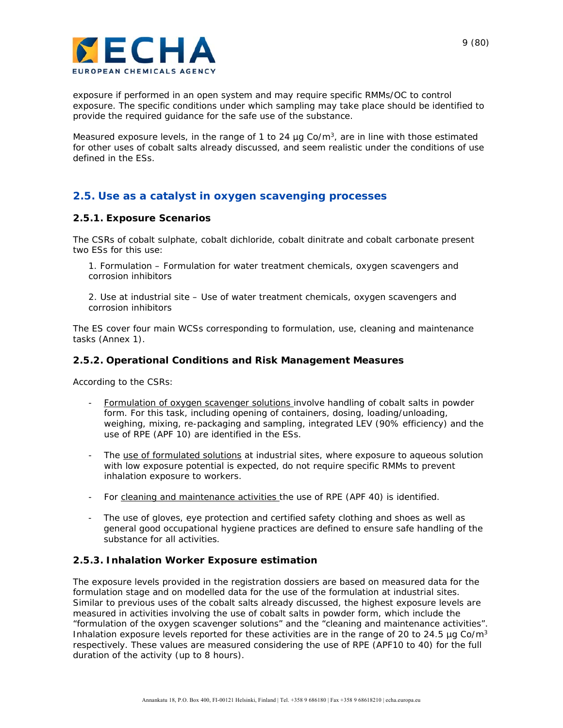

exposure if performed in an open system and may require specific RMMs/OC to control exposure. The specific conditions under which sampling may take place should be identified to provide the required guidance for the safe use of the substance.

Measured exposure levels, in the range of 1 to 24  $\mu$ g Co/m<sup>3</sup>, are in line with those estimated for other uses of cobalt salts already discussed, and seem realistic under the conditions of use defined in the ESs.

## **2.5. Use as a catalyst in oxygen scavenging processes**

#### **2.5.1. Exposure Scenarios**

The CSRs of cobalt sulphate, cobalt dichloride, cobalt dinitrate and cobalt carbonate present two ESs for this use:

1. Formulation – Formulation for water treatment chemicals, oxygen scavengers and corrosion inhibitors

2. Use at industrial site – Use of water treatment chemicals, oxygen scavengers and corrosion inhibitors

The ES cover four main WCSs corresponding to formulation, use, cleaning and maintenance tasks (Annex 1).

#### **2.5.2. Operational Conditions and Risk Management Measures**

According to the CSRs:

- Formulation of oxygen scavenger solutions involve handling of cobalt salts in powder form. For this task, including opening of containers, dosing, loading/unloading, weighing, mixing, re-packaging and sampling, i*ntegrated LEV (90% efficiency) and the use of RPE (APF 10)* are identified in the ESs.
- The use of formulated solutions at industrial sites, where exposure to aqueous solution with low exposure potential is expected, do *not require specific RMMs* to prevent inhalation exposure to workers.
- For cleaning and maintenance activities the *use of RPE (APF 40)* is identified.
- The use of gloves, eye protection and certified safety clothing and shoes as well as general good occupational hygiene practices are defined to ensure safe handling of the substance for all activities.

#### **2.5.3. Inhalation Worker Exposure estimation**

The exposure levels provided in the registration dossiers are based on measured data for the formulation stage and on modelled data for the use of the formulation at industrial sites. Similar to previous uses of the cobalt salts already discussed, the highest exposure levels are measured in activities involving the use of cobalt salts in powder form, which include the "formulation of the oxygen scavenger solutions" and the "cleaning and maintenance activities". Inhalation exposure levels reported for these activities are in the range of 20 to 24.5  $\mu$ g Co/m<sup>3</sup> respectively. These values are measured considering the use of RPE (APF10 to 40) for the full duration of the activity (up to 8 hours).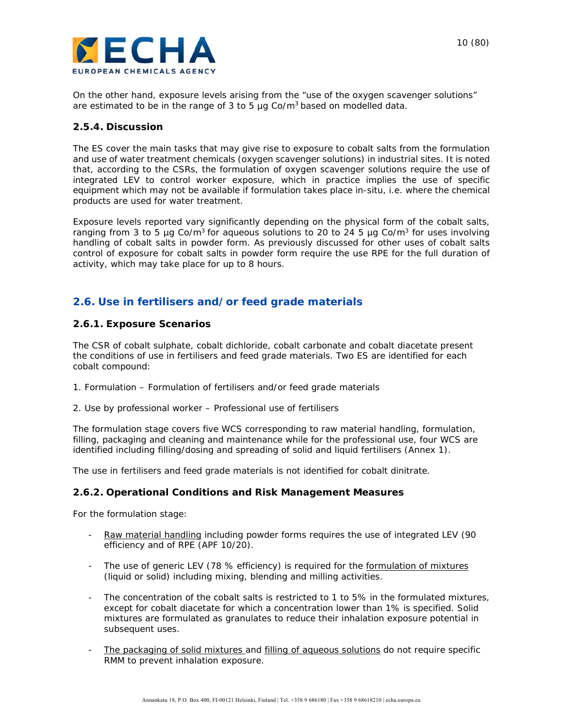

On the other hand, exposure levels arising from the "use of the oxygen scavenger solutions" are estimated to be in the range of 3 to 5  $\mu$ g Co/m<sup>3</sup> based on modelled data.

#### **2.5.4. Discussion**

The ES cover the main tasks that may give rise to exposure to cobalt salts from the formulation and use of water treatment chemicals (oxygen scavenger solutions) in industrial sites. It is noted that, according to the CSRs, the formulation of oxygen scavenger solutions require the use of integrated LEV to control worker exposure, which in practice implies the use of specific equipment which may not be available if formulation takes place in-situ, i.e. where the chemical products are used for water treatment.

Exposure levels reported vary significantly depending on the physical form of the cobalt salts, ranging from 3 to 5 µg Co/m<sup>3</sup> for aqueous solutions to 20 to 24 5 µg Co/m<sup>3</sup> for uses involving handling of cobalt salts in powder form. As previously discussed for other uses of cobalt salts control of exposure for cobalt salts in powder form require the use RPE for the full duration of activity, which may take place for up to 8 hours.

## **2.6. Use in fertilisers and/or feed grade materials**

#### **2.6.1. Exposure Scenarios**

The CSR of cobalt sulphate, cobalt dichloride, cobalt carbonate and cobalt diacetate present the conditions of use in fertilisers and feed grade materials. Two ES are identified for each cobalt compound:

- 1. Formulation Formulation of fertilisers and/or feed grade materials
- 2. Use by professional worker Professional use of fertilisers

The formulation stage covers five WCS corresponding to raw material handling, formulation, filling, packaging and cleaning and maintenance while for the professional use, four WCS are identified including filling/dosing and spreading of solid and liquid fertilisers (Annex 1).

The use in fertilisers and feed grade materials is not identified for cobalt dinitrate.

#### **2.6.2. Operational Conditions and Risk Management Measures**

For the formulation stage:

- Raw material handling including powder forms requires the use of *integrated LEV (90 efficiency and of RPE (APF 10/20)*.
- The use of generic LEV (78 % efficiency) is required for the formulation of mixtures (liquid or solid) including mixing, blending and milling activities.
- The concentration of the cobalt salts is restricted to 1 to 5% in the formulated mixtures, except for cobalt diacetate for which a concentration lower than 1% is specified. Solid mixtures are formulated as granulates to reduce their inhalation exposure potential in subsequent uses.
- The packaging of solid mixtures and filling of aqueous solutions *do not require specific RMM* to prevent inhalation exposure.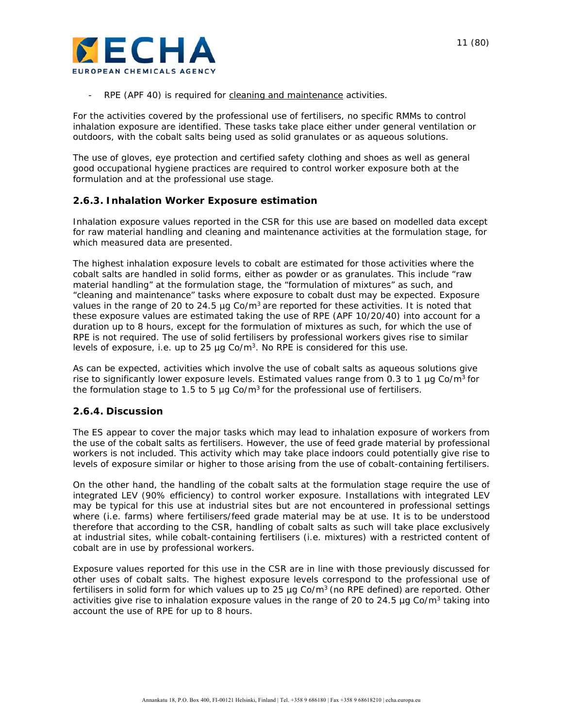

*RPE (APF 40)* is required for *cleaning and maintenance activities*.

For the activities covered by the professional use of fertilisers, no specific RMMs to control inhalation exposure are identified. These tasks take place either under general ventilation or outdoors, with the cobalt salts being used as solid granulates or as aqueous solutions.

The use of gloves, eye protection and certified safety clothing and shoes as well as general good occupational hygiene practices are required to control worker exposure both at the formulation and at the professional use stage.

#### **2.6.3. Inhalation Worker Exposure estimation**

Inhalation exposure values reported in the CSR for this use are based on modelled data except for raw material handling and cleaning and maintenance activities at the formulation stage, for which measured data are presented.

The highest inhalation exposure levels to cobalt are estimated for those activities where the cobalt salts are handled in solid forms, either as powder or as granulates. This include "raw material handling" at the formulation stage, the "formulation of mixtures" as such, and "cleaning and maintenance" tasks where exposure to cobalt dust may be expected. Exposure values in the range of 20 to 24.5 µg Co/ $m<sup>3</sup>$  are reported for these activities. It is noted that these exposure values are estimated taking the use of RPE (APF 10/20/40) into account for a duration up to 8 hours, except for the formulation of mixtures as such, for which the use of RPE is not required. The use of solid fertilisers by professional workers gives rise to similar levels of exposure, i.e. up to 25  $\mu$ g Co/m<sup>3</sup>. No RPE is considered for this use.

As can be expected, activities which involve the use of cobalt salts as aqueous solutions give rise to significantly lower exposure levels. Estimated values range from 0.3 to 1  $\mu$ g Co/m<sup>3</sup> for the formulation stage to 1.5 to 5  $\mu$ g Co/m<sup>3</sup> for the professional use of fertilisers.

#### **2.6.4. Discussion**

The ES appear to cover the major tasks which may lead to inhalation exposure of workers from the use of the cobalt salts as fertilisers. However, the use of feed grade material by professional workers is not included. This activity which may take place indoors could potentially give rise to levels of exposure similar or higher to those arising from the use of cobalt-containing fertilisers.

On the other hand, the handling of the cobalt salts at the formulation stage require the use of integrated LEV (90% efficiency) to control worker exposure. Installations with integrated LEV may be typical for this use at industrial sites but are not encountered in professional settings where (i.e. farms) where fertilisers/feed grade material may be at use. It is to be understood therefore that according to the CSR, handling of cobalt salts as such will take place exclusively at industrial sites, while cobalt-containing fertilisers (i.e. mixtures) with a restricted content of cobalt are in use by professional workers.

Exposure values reported for this use in the CSR are in line with those previously discussed for other uses of cobalt salts. The highest exposure levels correspond to the professional use of fertilisers in solid form for which values up to 25  $\mu$ g Co/m<sup>3</sup> (no RPE defined) are reported. Other activities give rise to inhalation exposure values in the range of 20 to 24.5  $\mu$ g Co/m<sup>3</sup> taking into account the use of RPE for up to 8 hours.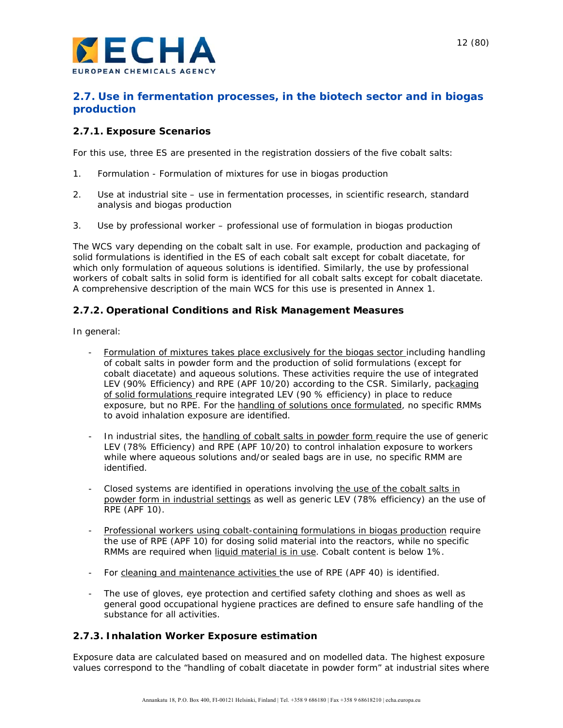

## **2.7. Use in fermentation processes, in the biotech sector and in biogas production**

### **2.7.1. Exposure Scenarios**

For this use, three ES are presented in the registration dossiers of the five cobalt salts:

- 1. Formulation Formulation of mixtures for use in biogas production
- 2. Use at industrial site use in fermentation processes, in scientific research, standard analysis and biogas production
- 3. Use by professional worker professional use of formulation in biogas production

The WCS vary depending on the cobalt salt in use. For example, production and packaging of solid formulations is identified in the ES of each cobalt salt except for cobalt diacetate, for which only formulation of aqueous solutions is identified. Similarly, the use by professional workers of cobalt salts in solid form is identified for all cobalt salts except for cobalt diacetate. A comprehensive description of the main WCS for this use is presented in Annex 1.

### **2.7.2. Operational Conditions and Risk Management Measures**

In general:

- Formulation of mixtures takes place exclusively for the biogas sector including handling of cobalt salts in powder form and the production of solid formulations (except for cobalt diacetate) and aqueous solutions. These activities require the use of *integrated LEV (90% Efficiency) and RPE (APF 10/20)* according to the CSR. Similarly, packaging of solid formulations require *integrated LEV (90 % efficiency*) in place to reduce exposure, but no RPE. For the handling of solutions once formulated, *no specific RMMs* to avoid inhalation exposure are identified.
- In industrial sites, the handling of cobalt salts in powder form require the use of *generic LEV (78% Efficiency) and RPE (APF 10/20)* to control inhalation exposure to workers while where aqueous solutions and/or sealed bags are in use, no specific RMM are identified.
- *Closed systems* are identified in operations involving the use of the cobalt salts in powder form in industrial settings as well as *generic LEV (78% efficiency) an the use of RPE (APF 10).*
- Professional workers using cobalt-containing formulations in biogas production require the *use of RPE (APF 10)* for dosing solid material into the reactors, while *no specific RMMs* are required when liquid material is in use. Cobalt content is below 1%.
- For cleaning and maintenance activities the *use of RPE (APF 40)* is identified.
- The use of gloves, eye protection and certified safety clothing and shoes as well as general good occupational hygiene practices are defined to ensure safe handling of the substance for all activities.

#### **2.7.3. Inhalation Worker Exposure estimation**

Exposure data are calculated based on measured and on modelled data. The highest exposure values correspond to the "handling of cobalt diacetate in powder form" at industrial sites where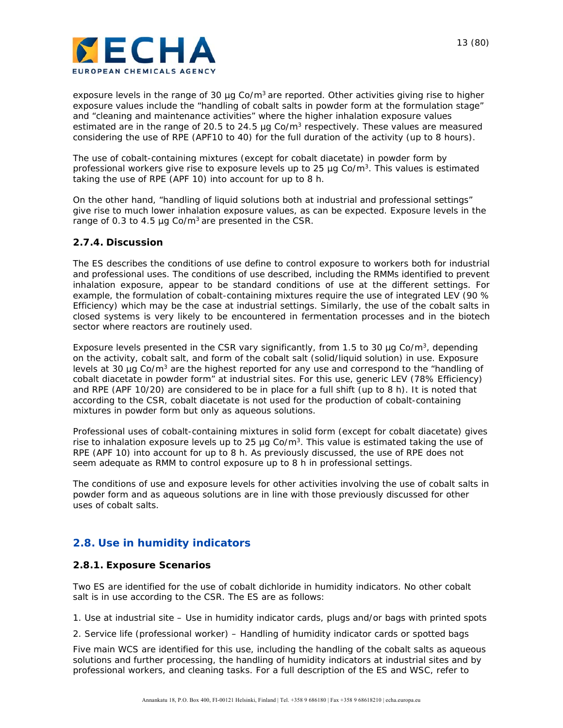

exposure levels in the range of 30  $\mu$ g Co/m<sup>3</sup> are reported. Other activities giving rise to higher exposure values include the "handling of cobalt salts in powder form at the formulation stage" and "cleaning and maintenance activities" where the higher inhalation exposure values estimated are in the range of 20.5 to 24.5 µg Co/m<sup>3</sup> respectively. These values are measured considering the use of RPE (APF10 to 40) for the full duration of the activity (up to 8 hours).

The use of cobalt-containing mixtures (except for cobalt diacetate) in powder form by professional workers give rise to exposure levels up to 25  $\mu$ g Co/m<sup>3</sup>. This values is estimated taking the use of RPE (APF 10) into account for up to 8 h.

On the other hand, "handling of liquid solutions both at industrial and professional settings" give rise to much lower inhalation exposure values, as can be expected. Exposure levels in the range of 0.3 to 4.5  $\mu$ g Co/m<sup>3</sup> are presented in the CSR.

#### **2.7.4. Discussion**

The ES describes the conditions of use define to control exposure to workers both for industrial and professional uses. The conditions of use described, including the RMMs identified to prevent inhalation exposure, appear to be standard conditions of use at the different settings. For example, the formulation of cobalt-containing mixtures require the use of integrated LEV (90 % Efficiency) which may be the case at industrial settings. Similarly, the use of the cobalt salts in closed systems is very likely to be encountered in fermentation processes and in the biotech sector where reactors are routinely used.

Exposure levels presented in the CSR vary significantly, from 1.5 to 30  $\mu$ g Co/m<sup>3</sup>, depending on the activity, cobalt salt, and form of the cobalt salt (solid/liquid solution) in use. Exposure levels at 30  $\mu$ g Co/m<sup>3</sup> are the highest reported for any use and correspond to the "handling of cobalt diacetate in powder form" at industrial sites. For this use, generic LEV (78% Efficiency) and RPE (APF 10/20) are considered to be in place for a full shift (up to 8 h). It is noted that according to the CSR, cobalt diacetate is not used for the production of cobalt-containing mixtures in powder form but only as aqueous solutions.

Professional uses of cobalt-containing mixtures in solid form (except for cobalt diacetate) gives rise to inhalation exposure levels up to 25  $\mu$ g Co/m<sup>3</sup>. This value is estimated taking the use of RPE (APF 10) into account for up to 8 h. As previously discussed, the use of RPE does not seem adequate as RMM to control exposure up to 8 h in professional settings.

The conditions of use and exposure levels for other activities involving the use of cobalt salts in powder form and as aqueous solutions are in line with those previously discussed for other uses of cobalt salts.

## **2.8. Use in humidity indicators**

#### **2.8.1. Exposure Scenarios**

Two ES are identified for the use of cobalt dichloride in humidity indicators. No other cobalt salt is in use according to the CSR. The ES are as follows:

1. Use at industrial site – Use in humidity indicator cards, plugs and/or bags with printed spots

2. Service life (professional worker) – Handling of humidity indicator cards or spotted bags

Five main WCS are identified for this use, including the handling of the cobalt salts as aqueous solutions and further processing, the handling of humidity indicators at industrial sites and by professional workers, and cleaning tasks. For a full description of the ES and WSC, refer to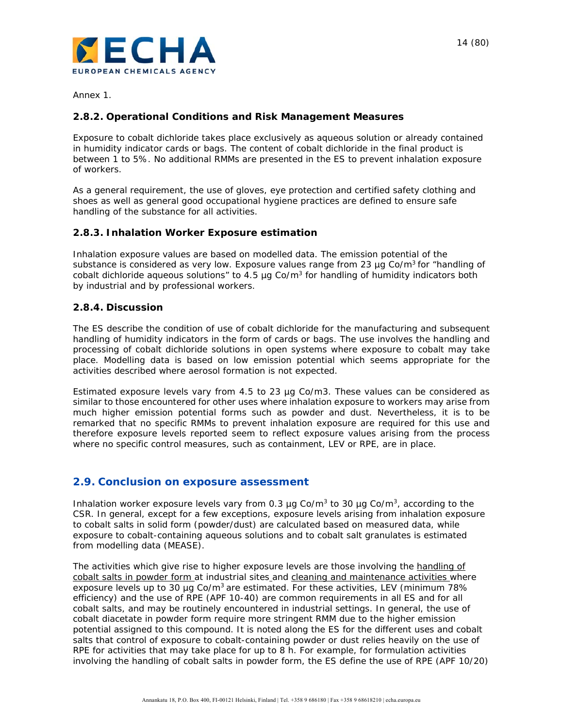

Annex 1.

## **2.8.2. Operational Conditions and Risk Management Measures**

Exposure to cobalt dichloride takes place exclusively as aqueous solution or already contained in humidity indicator cards or bags. The content of cobalt dichloride in the final product is between 1 to 5%. No additional RMMs are presented in the ES to prevent inhalation exposure of workers.

As a general requirement, the use of gloves, eye protection and certified safety clothing and shoes as well as general good occupational hygiene practices are defined to ensure safe handling of the substance for all activities.

### **2.8.3. Inhalation Worker Exposure estimation**

Inhalation exposure values are based on modelled data. The emission potential of the substance is considered as very low. Exposure values range from 23  $\mu$ g Co/m<sup>3</sup> for "handling of cobalt dichloride aqueous solutions" to 4.5  $\mu$ g Co/m<sup>3</sup> for handling of humidity indicators both by industrial and by professional workers.

#### **2.8.4. Discussion**

The ES describe the condition of use of cobalt dichloride for the manufacturing and subsequent handling of humidity indicators in the form of cards or bags. The use involves the handling and processing of cobalt dichloride solutions in open systems where exposure to cobalt may take place. Modelling data is based on low emission potential which seems appropriate for the activities described where aerosol formation is not expected.

Estimated exposure levels vary from  $4.5$  to 23  $\mu$ g Co/m3. These values can be considered as similar to those encountered for other uses where inhalation exposure to workers may arise from much higher emission potential forms such as powder and dust. Nevertheless, it is to be remarked that no specific RMMs to prevent inhalation exposure are required for this use and therefore exposure levels reported seem to reflect exposure values arising from the process where no specific control measures, such as containment, LEV or RPE, are in place.

#### **2.9. Conclusion on exposure assessment**

Inhalation worker exposure levels vary from 0.3  $\mu$ g Co/m<sup>3</sup> to 30  $\mu$ g Co/m<sup>3</sup>, according to the CSR. In general, except for a few exceptions, exposure levels arising from inhalation exposure to cobalt salts in solid form (powder/dust) are calculated based on measured data, while exposure to cobalt-containing aqueous solutions and to cobalt salt granulates is estimated from modelling data (MEASE).

The activities which give rise to higher exposure levels are those involving the handling of cobalt salts in powder form at industrial sites and cleaning and maintenance activities where exposure levels up to 30  $\mu$ g Co/m<sup>3</sup> are estimated. For these activities, LEV (minimum 78%) efficiency) and the use of RPE (APF 10-40) are common requirements in all ES and for all cobalt salts, and may be routinely encountered in industrial settings. In general, the use of cobalt diacetate in powder form require more stringent RMM due to the higher emission potential assigned to this compound. It is noted along the ES for the different uses and cobalt salts that control of exposure to cobalt-containing powder or dust relies heavily on the use of RPE for activities that may take place for up to 8 h. For example, for formulation activities involving the handling of cobalt salts in powder form, the ES define the use of RPE (APF 10/20)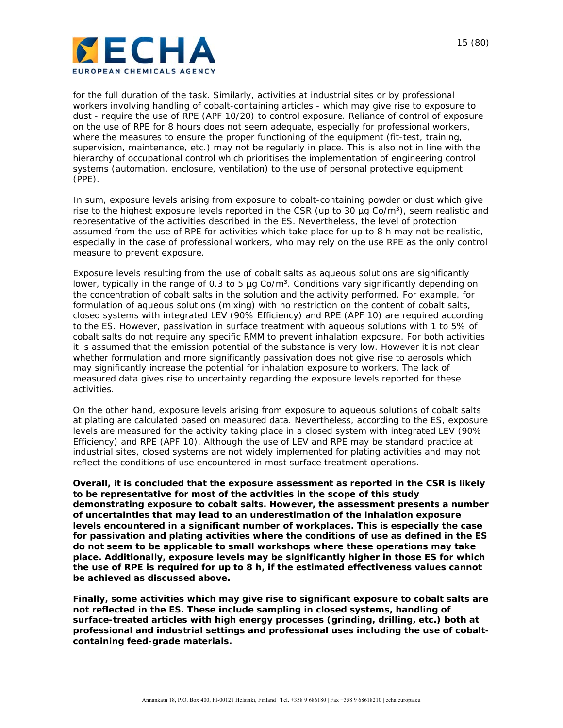

for the full duration of the task. Similarly, activities at industrial sites or by professional workers involving handling of cobalt-containing articles - which may give rise to exposure to dust - require the use of RPE (APF 10/20) to control exposure. Reliance of control of exposure on the use of RPE for 8 hours does not seem adequate, especially for professional workers, where the measures to ensure the proper functioning of the equipment (fit-test, training, supervision, maintenance, etc.) may not be regularly in place. This is also not in line with the hierarchy of occupational control which prioritises the implementation of engineering control systems (automation, enclosure, ventilation) to the use of personal protective equipment (PPE).

In sum, exposure levels arising from exposure to cobalt-containing powder or dust which give rise to the highest exposure levels reported in the CSR (up to 30  $\mu$ g Co/m<sup>3</sup>), seem realistic and representative of the activities described in the ES. Nevertheless, the level of protection assumed from the use of RPE for activities which take place for up to 8 h may not be realistic, especially in the case of professional workers, who may rely on the use RPE as the only control measure to prevent exposure.

Exposure levels resulting from the use of cobalt salts as aqueous solutions are significantly lower, typically in the range of 0.3 to 5  $\mu$ g Co/m<sup>3</sup>. Conditions vary significantly depending on the concentration of cobalt salts in the solution and the activity performed. For example, for formulation of aqueous solutions (mixing) with no restriction on the content of cobalt salts, closed systems with integrated LEV (90% Efficiency) and RPE (APF 10) are required according to the ES. However, passivation in surface treatment with aqueous solutions with 1 to 5% of cobalt salts do not require any specific RMM to prevent inhalation exposure. For both activities it is assumed that the emission potential of the substance is very low. However it is not clear whether formulation and more significantly passivation does not give rise to aerosols which may significantly increase the potential for inhalation exposure to workers. The lack of measured data gives rise to uncertainty regarding the exposure levels reported for these activities.

On the other hand, exposure levels arising from exposure to aqueous solutions of cobalt salts at plating are calculated based on measured data. Nevertheless, according to the ES, exposure levels are measured for the activity taking place in a closed system with integrated LEV (90% Efficiency) and RPE (APF 10). Although the use of LEV and RPE may be standard practice at industrial sites, closed systems are not widely implemented for plating activities and may not reflect the conditions of use encountered in most surface treatment operations.

*Overall, it is concluded that the exposure assessment as reported in the CSR is likely to be representative for most of the activities in the scope of this study demonstrating exposure to cobalt salts. However, the assessment presents a number of uncertainties that may lead to an underestimation of the inhalation exposure levels encountered in a significant number of workplaces. This is especially the case for passivation and plating activities where the conditions of use as defined in the ES do not seem to be applicable to small workshops where these operations may take place. Additionally, exposure levels may be significantly higher in those ES for which the use of RPE is required for up to 8 h, if the estimated effectiveness values cannot be achieved as discussed above.* 

*Finally, some activities which may give rise to significant exposure to cobalt salts are not reflected in the ES. These include sampling in closed systems, handling of surface-treated articles with high energy processes (grinding, drilling, etc.) both at professional and industrial settings and professional uses including the use of cobaltcontaining feed-grade materials.*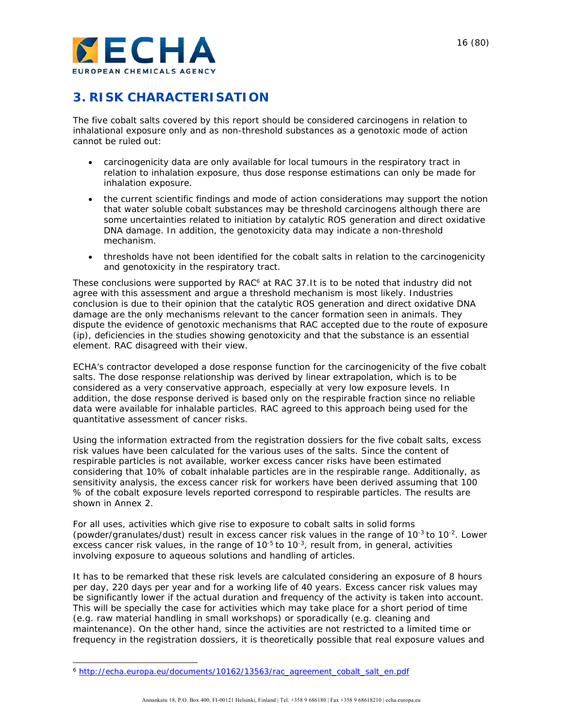

## **3. RISK CHARACTERISATION**

The five cobalt salts covered by this report should be considered carcinogens in relation to inhalational exposure only and as non-threshold substances as a genotoxic mode of action cannot be ruled out:

- carcinogenicity data are only available for local tumours in the respiratory tract in relation to inhalation exposure, thus dose response estimations can only be made for inhalation exposure.
- the current scientific findings and mode of action considerations may support the notion that water soluble cobalt substances may be threshold carcinogens although there are some uncertainties related to initiation by catalytic ROS generation and direct oxidative DNA damage. In addition, the genotoxicity data may indicate a non-threshold mechanism.
- thresholds have not been identified for the cobalt salts in relation to the carcinogenicity and genotoxicity in the respiratory tract.

These conclusions were supported by RAC<sup>6</sup> at RAC 37.It is to be noted that industry did not agree with this assessment and argue a threshold mechanism is most likely. Industries conclusion is due to their opinion that the catalytic ROS generation and direct oxidative DNA damage are the only mechanisms relevant to the cancer formation seen in animals. They dispute the evidence of genotoxic mechanisms that RAC accepted due to the route of exposure (ip), deficiencies in the studies showing genotoxicity and that the substance is an essential element. RAC disagreed with their view.

ECHA's contractor developed a dose response function for the carcinogenicity of the five cobalt salts. The dose response relationship was derived by linear extrapolation, which is to be considered as a very conservative approach, especially at very low exposure levels. In addition, the dose response derived is based only on the respirable fraction since no reliable data were available for inhalable particles. RAC agreed to this approach being used for the quantitative assessment of cancer risks.

Using the information extracted from the registration dossiers for the five cobalt salts, excess risk values have been calculated for the various uses of the salts. Since the content of respirable particles is not available, worker excess cancer risks have been estimated considering that 10% of cobalt inhalable particles are in the respirable range. Additionally, as sensitivity analysis, the excess cancer risk for workers have been derived assuming that 100 % of the cobalt exposure levels reported correspond to respirable particles. The results are shown in Annex 2.

For all uses, activities which give rise to exposure to cobalt salts in solid forms (powder/granulates/dust) result in excess cancer risk values in the range of 10<sup>-3</sup> to 10<sup>-2</sup>. Lower excess cancer risk values, in the range of  $10^{-5}$  to  $10^{-3}$ , result from, in general, activities involving exposure to aqueous solutions and handling of articles.

It has to be remarked that these risk levels are calculated considering an exposure of 8 hours per day, 220 days per year and for a working life of 40 years. Excess cancer risk values may be significantly lower if the actual duration and frequency of the activity is taken into account. This will be specially the case for activities which may take place for a short period of time (e.g. raw material handling in small workshops) or sporadically (e.g. cleaning and maintenance). On the other hand, since the activities are not restricted to a limited time or frequency in the registration dossiers, it is theoretically possible that real exposure values and

l <sup>6</sup> http://echa.europa.eu/documents/10162/13563/rac\_agreement\_cobalt\_salt\_en.pdf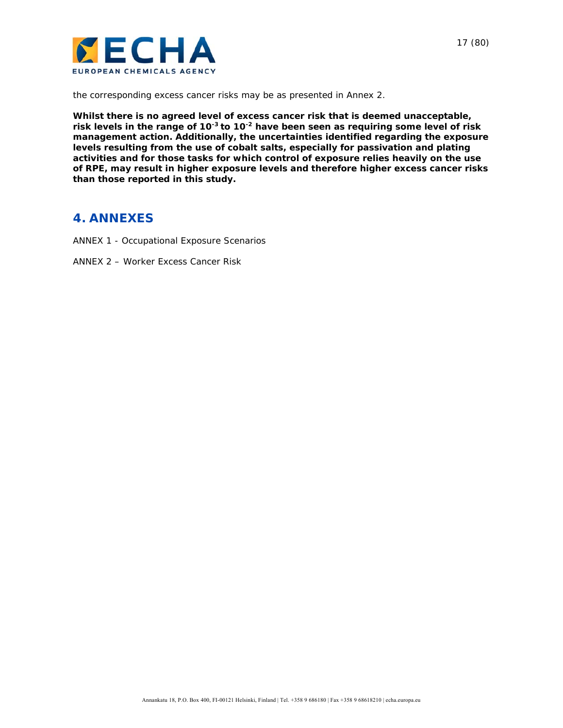

the corresponding excess cancer risks may be as presented in Annex 2.

*Whilst there is no agreed level of excess cancer risk that is deemed unacceptable, risk levels in the range of 10-3 to 10-2 have been seen as requiring some level of risk management action. Additionally, the uncertainties identified regarding the exposure levels resulting from the use of cobalt salts, especially for passivation and plating activities and for those tasks for which control of exposure relies heavily on the use of RPE, may result in higher exposure levels and therefore higher excess cancer risks than those reported in this study.* 

## **4. ANNEXES**

- ANNEX 1 Occupational Exposure Scenarios
- ANNEX 2 Worker Excess Cancer Risk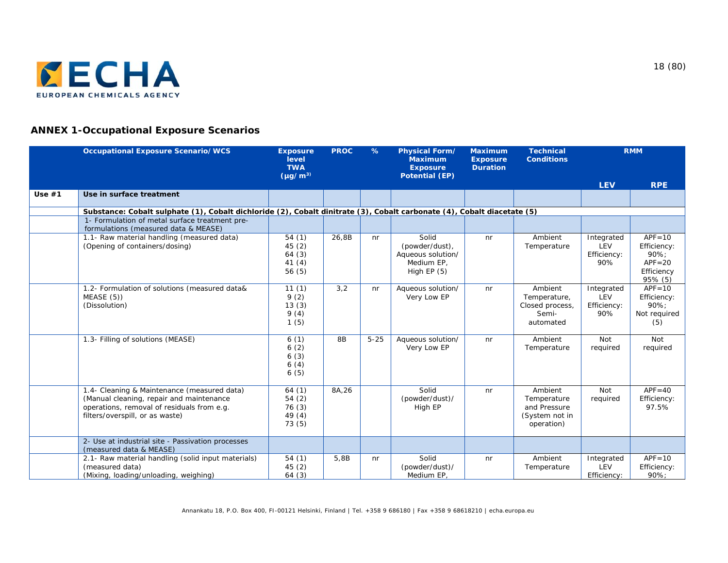

## **ANNEX 1-Occupational Exposure Scenarios**

|          | <b>Occupational Exposure Scenario/WCS</b>                                                                                                                                | <b>Exposure</b><br>level<br><b>TWA</b><br>$(\mu g/m^3)$ | <b>PROC</b> | $\%$     | <b>Physical Form/</b><br><b>Maximum</b><br><b>Exposure</b><br><b>Potential (EP)</b> | <b>Maximum</b><br><b>Exposure</b><br><b>Duration</b> | <b>Technical</b><br><b>Conditions</b>                                  |                                         | <b>RMM</b>                                                               |
|----------|--------------------------------------------------------------------------------------------------------------------------------------------------------------------------|---------------------------------------------------------|-------------|----------|-------------------------------------------------------------------------------------|------------------------------------------------------|------------------------------------------------------------------------|-----------------------------------------|--------------------------------------------------------------------------|
|          |                                                                                                                                                                          |                                                         |             |          |                                                                                     |                                                      |                                                                        | <b>LEV</b>                              | <b>RPE</b>                                                               |
| Use $#1$ | Use in surface treatment                                                                                                                                                 |                                                         |             |          |                                                                                     |                                                      |                                                                        |                                         |                                                                          |
|          | Substance: Cobalt sulphate (1), Cobalt dichloride (2), Cobalt dinitrate (3), Cobalt carbonate (4), Cobalt diacetate (5)                                                  |                                                         |             |          |                                                                                     |                                                      |                                                                        |                                         |                                                                          |
|          | 1- Formulation of metal surface treatment pre-<br>formulations (measured data & MEASE)                                                                                   |                                                         |             |          |                                                                                     |                                                      |                                                                        |                                         |                                                                          |
|          | 1.1- Raw material handling (measured data)<br>(Opening of containers/dosing)                                                                                             | 54(1)<br>45(2)<br>64(3)<br>41(4)<br>56(5)               | 26,8B       | nr       | Solid<br>(powder/dust),<br>Aqueous solution/<br>Medium EP,<br>High $EP(5)$          | n <sub>r</sub>                                       | Ambient<br>Temperature                                                 | Integrated<br>LEV<br>Efficiency:<br>90% | $APF = 10$<br>Efficiency:<br>90%;<br>$APF = 20$<br>Efficiency<br>95% (5) |
|          | 1.2- Formulation of solutions (measured data&<br>MEASE(5)<br>(Dissolution)                                                                                               | 11(1)<br>9(2)<br>13(3)<br>9(4)<br>1(5)                  | 3,2         | nr       | Aqueous solution/<br>Very Low EP                                                    | nr                                                   | Ambient<br>Temperature,<br>Closed process,<br>Semi-<br>automated       | Integrated<br>LEV<br>Efficiency:<br>90% | $APF = 10$<br>Efficiency:<br>90%;<br>Not required<br>(5)                 |
|          | 1.3- Filling of solutions (MEASE)                                                                                                                                        | 6(1)<br>6(2)<br>6(3)<br>6(4)<br>6(5)                    | 8B          | $5 - 25$ | Aqueous solution/<br>Very Low EP                                                    | nr                                                   | Ambient<br>Temperature                                                 | <b>Not</b><br>required                  | <b>Not</b><br>required                                                   |
|          | 1.4- Cleaning & Maintenance (measured data)<br>(Manual cleaning, repair and maintenance<br>operations, removal of residuals from e.g.<br>filters/overspill, or as waste) | 64(1)<br>54(2)<br>76 (3)<br>49(4)<br>73(5)              | 8A,26       |          | Solid<br>(powder/dust)/<br>High EP                                                  | nr                                                   | Ambient<br>Temperature<br>and Pressure<br>(System not in<br>operation) | Not<br>required                         | $APF = 40$<br>Efficiency:<br>97.5%                                       |
|          | 2- Use at industrial site - Passivation processes<br>(measured data & MEASE)                                                                                             |                                                         |             |          |                                                                                     |                                                      |                                                                        |                                         |                                                                          |
|          | 2.1- Raw material handling (solid input materials)<br>(measured data)<br>(Mixing, loading/unloading, weighing)                                                           | 54(1)<br>45(2)<br>64(3)                                 | 5,8B        | nr       | Solid<br>(powder/dust)/<br>Medium EP,                                               | nr                                                   | Ambient<br>Temperature                                                 | Integrated<br>LEV<br>Efficiency:        | $APF = 10$<br>Efficiency:<br>90%:                                        |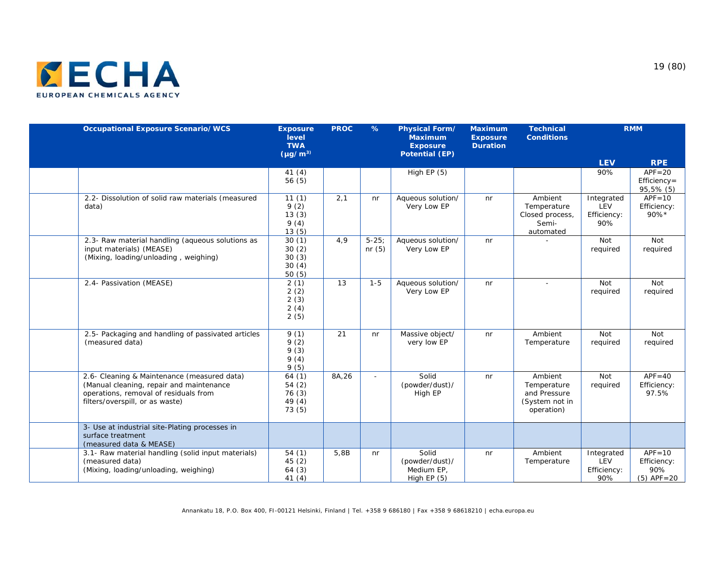

| <b>Occupational Exposure Scenario/WCS</b>                                                                                                                           | <b>Exposure</b><br>level<br><b>TWA</b><br>$(\mu g/m^3)$ | <b>PROC</b> | $\%$                 | Physical Form/<br><b>Maximum</b><br><b>Exposure</b><br><b>Potential (EP)</b> | <b>Maximum</b><br><b>Exposure</b><br><b>Duration</b> | <b>Technical</b><br><b>Conditions</b>                                  |                                         | <b>RMM</b>                                         |
|---------------------------------------------------------------------------------------------------------------------------------------------------------------------|---------------------------------------------------------|-------------|----------------------|------------------------------------------------------------------------------|------------------------------------------------------|------------------------------------------------------------------------|-----------------------------------------|----------------------------------------------------|
|                                                                                                                                                                     |                                                         |             |                      |                                                                              |                                                      |                                                                        | <b>LEV</b>                              | <b>RPE</b>                                         |
|                                                                                                                                                                     | 41(4)<br>56(5)                                          |             |                      | High $EP(5)$                                                                 |                                                      |                                                                        | 90%                                     | $APF = 20$<br>$Efficiency =$<br>95,5% (5)          |
| 2.2- Dissolution of solid raw materials (measured<br>data)                                                                                                          | 11(1)<br>9(2)<br>13(3)<br>9(4)<br>13(5)                 | 2,1         | n <sub>r</sub>       | Aqueous solution/<br>Very Low EP                                             | nr                                                   | Ambient<br>Temperature<br>Closed process,<br>Semi-<br>automated        | Integrated<br>LEV<br>Efficiency:<br>90% | $APF = 10$<br>Efficiency:<br>90%*                  |
| 2.3- Raw material handling (aqueous solutions as<br>input materials) (MEASE)<br>(Mixing, loading/unloading, weighing)                                               | 30(1)<br>30(2)<br>30(3)<br>30(4)<br>50(5)               | 4.9         | $5 - 25$<br>nr $(5)$ | Aqueous solution/<br>Very Low EP                                             | n <sub>r</sub>                                       |                                                                        | <b>Not</b><br>required                  | Not<br>required                                    |
| 2.4- Passivation (MEASE)                                                                                                                                            | 2(1)<br>2(2)<br>2(3)<br>2(4)<br>2(5)                    | 13          | $1 - 5$              | Aqueous solution/<br>Very Low EP                                             | nr                                                   |                                                                        | <b>Not</b><br>required                  | Not<br>required                                    |
| 2.5- Packaging and handling of passivated articles<br>(measured data)                                                                                               | 9(1)<br>9(2)<br>9(3)<br>9(4)<br>9(5)                    | 21          | nr                   | Massive object/<br>very low EP                                               | nr                                                   | Ambient<br>Temperature                                                 | <b>Not</b><br>required                  | Not<br>required                                    |
| 2.6- Cleaning & Maintenance (measured data)<br>(Manual cleaning, repair and maintenance<br>operations, removal of residuals from<br>filters/overspill, or as waste) | 64(1)<br>54(2)<br>76(3)<br>49 (4)<br>73 (5)             | 8A,26       | ÷                    | Solid<br>(powder/dust)/<br>High EP                                           | n <sub>r</sub>                                       | Ambient<br>Temperature<br>and Pressure<br>(System not in<br>operation) | <b>Not</b><br>required                  | $APF = 40$<br>Efficiency:<br>97.5%                 |
| 3- Use at industrial site-Plating processes in<br>surface treatment<br>(measured data & MEASE)                                                                      |                                                         |             |                      |                                                                              |                                                      |                                                                        |                                         |                                                    |
| 3.1- Raw material handling (solid input materials)<br>(measured data)<br>(Mixing, loading/unloading, weighing)                                                      | 54(1)<br>45(2)<br>64(3)<br>41(4)                        | 5,8B        | nr                   | Solid<br>(powder/dust)/<br>Medium EP,<br>High $EP(5)$                        | n <sub>r</sub>                                       | Ambient<br>Temperature                                                 | Integrated<br>LEV<br>Efficiency:<br>90% | $APF = 10$<br>Efficiency:<br>90%<br>$(5)$ APF = 20 |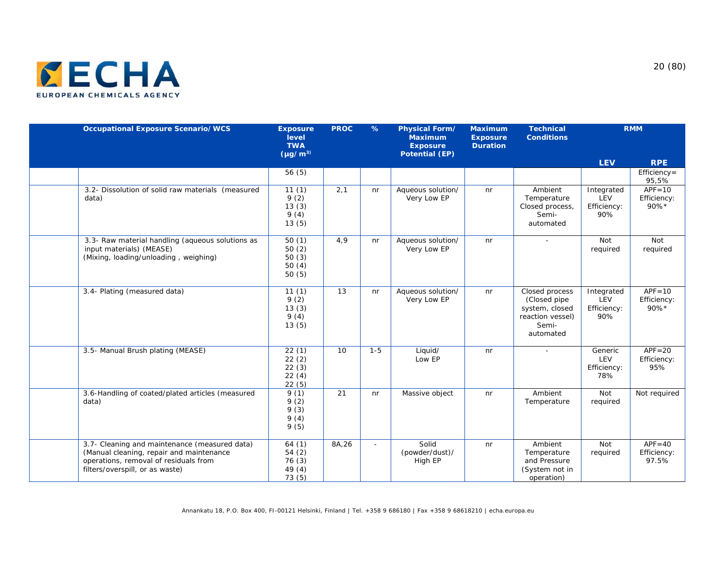

| <b>Occupational Exposure Scenario/WCS</b>                                                                                                                             | <b>Exposure</b><br>level<br><b>TWA</b><br>$(\mu g/m^3)$ | <b>PROC</b> | $\%$    | Physical Form/<br><b>Maximum</b><br><b>Exposure</b><br><b>Potential (EP)</b> | <b>Maximum</b><br><b>Exposure</b><br><b>Duration</b> | <b>Technical</b><br><b>Conditions</b>                                                       |                                         | <b>RMM</b>                         |
|-----------------------------------------------------------------------------------------------------------------------------------------------------------------------|---------------------------------------------------------|-------------|---------|------------------------------------------------------------------------------|------------------------------------------------------|---------------------------------------------------------------------------------------------|-----------------------------------------|------------------------------------|
|                                                                                                                                                                       |                                                         |             |         |                                                                              |                                                      |                                                                                             | <b>LEV</b>                              | <b>RPE</b>                         |
|                                                                                                                                                                       | 56(5)                                                   |             |         |                                                                              |                                                      |                                                                                             |                                         | Efficiency=<br>95,5%               |
| 3.2- Dissolution of solid raw materials (measured<br>data)                                                                                                            | 11(1)<br>9(2)<br>13(3)<br>9(4)<br>13(5)                 | 2,1         | nr      | Aqueous solution/<br>Very Low EP                                             | n <sub>r</sub>                                       | Ambient<br>Temperature<br>Closed process,<br>Semi-<br>automated                             | Integrated<br>LEV<br>Efficiency:<br>90% | $APF = 10$<br>Efficiency:<br>90%*  |
| 3.3- Raw material handling (aqueous solutions as<br>input materials) (MEASE)<br>(Mixing, loading/unloading, weighing)                                                 | 50(1)<br>50(2)<br>50(3)<br>50(4)<br>50(5)               | 4,9         | nr      | Aqueous solution/<br>Very Low EP                                             | nr                                                   |                                                                                             | Not<br>required                         | Not<br>required                    |
| 3.4- Plating (measured data)                                                                                                                                          | 11(1)<br>9(2)<br>13(3)<br>9(4)<br>13(5)                 | 13          | nr      | Aqueous solution/<br>Very Low EP                                             | nr                                                   | Closed process<br>(Closed pipe)<br>system, closed<br>reaction vessel)<br>Semi-<br>automated | Integrated<br>LEV<br>Efficiency:<br>90% | $APF = 10$<br>Efficiency:<br>90%*  |
| 3.5- Manual Brush plating (MEASE)                                                                                                                                     | 22(1)<br>22(2)<br>22(3)<br>22(4)<br>22(5)               | 10          | $1 - 5$ | Liquid/<br>Low EP                                                            | nr                                                   | $\sim$                                                                                      | Generic<br>LEV<br>Efficiency:<br>78%    | $APF = 20$<br>Efficiency:<br>95%   |
| 3.6-Handling of coated/plated articles (measured<br>data)                                                                                                             | 9(1)<br>9(2)<br>9(3)<br>9(4)<br>9(5)                    | 21          | nr      | Massive object                                                               | nr                                                   | Ambient<br>Temperature                                                                      | Not<br>required                         | Not required                       |
| 3.7- Cleaning and maintenance (measured data)<br>(Manual cleaning, repair and maintenance<br>operations, removal of residuals from<br>filters/overspill, or as waste) | 64(1)<br>54(2)<br>76(3)<br>49 (4)<br>73(5)              | 8A,26       |         | Solid<br>(powder/dust)/<br>High EP                                           | nr                                                   | Ambient<br>Temperature<br>and Pressure<br>(System not in<br>operation)                      | Not<br>required                         | $APF = 40$<br>Efficiency:<br>97.5% |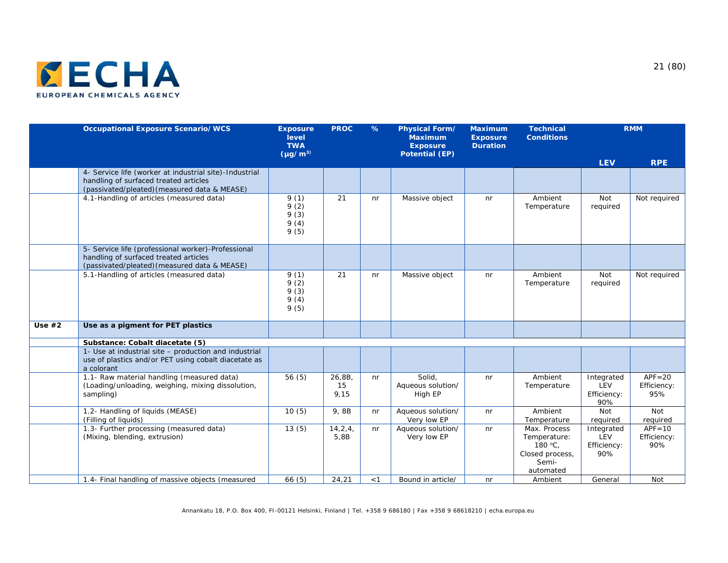

|          | <b>Occupational Exposure Scenario/WCS</b>                                                                                                       | <b>Exposure</b><br>level<br><b>TWA</b><br>$(\mu g/m^3)$ | <b>PROC</b>          | $\%$           | Physical Form/<br><b>Maximum</b><br><b>Exposure</b><br><b>Potential (EP)</b> | <b>Maximum</b><br><b>Exposure</b><br><b>Duration</b> | <b>Technical</b><br><b>Conditions</b>                                            |                                         | <b>RMM</b>                       |
|----------|-------------------------------------------------------------------------------------------------------------------------------------------------|---------------------------------------------------------|----------------------|----------------|------------------------------------------------------------------------------|------------------------------------------------------|----------------------------------------------------------------------------------|-----------------------------------------|----------------------------------|
|          |                                                                                                                                                 |                                                         |                      |                |                                                                              |                                                      |                                                                                  | <b>LEV</b>                              | <b>RPE</b>                       |
|          | 4- Service life (worker at industrial site)-Industrial<br>handling of surfaced treated articles<br>(passivated/pleated) (measured data & MEASE) |                                                         |                      |                |                                                                              |                                                      |                                                                                  |                                         |                                  |
|          | 4.1-Handling of articles (measured data)                                                                                                        | 9(1)<br>9(2)<br>9(3)<br>9(4)<br>9(5)                    | 21                   | n <sub>r</sub> | Massive object                                                               | nr                                                   | Ambient<br>Temperature                                                           | Not<br>required                         | Not required                     |
|          | 5- Service life (professional worker)-Professional<br>handling of surfaced treated articles<br>(passivated/pleated) (measured data & MEASE)     |                                                         |                      |                |                                                                              |                                                      |                                                                                  |                                         |                                  |
|          | 5.1-Handling of articles (measured data)                                                                                                        | 9(1)<br>9(2)<br>9(3)<br>9(4)<br>9(5)                    | 21                   | n <sub>r</sub> | Massive object                                                               | nr                                                   | Ambient<br>Temperature                                                           | Not<br>required                         | Not required                     |
| Use $#2$ | Use as a pigment for PET plastics                                                                                                               |                                                         |                      |                |                                                                              |                                                      |                                                                                  |                                         |                                  |
|          | Substance: Cobalt diacetate (5)                                                                                                                 |                                                         |                      |                |                                                                              |                                                      |                                                                                  |                                         |                                  |
|          | 1- Use at industrial site - production and industrial<br>use of plastics and/or PET using cobalt diacetate as<br>a colorant                     |                                                         |                      |                |                                                                              |                                                      |                                                                                  |                                         |                                  |
|          | 1.1- Raw material handling (measured data)<br>(Loading/unloading, weighing, mixing dissolution,<br>sampling)                                    | 56(5)                                                   | 26,8B,<br>15<br>9,15 | n <sub>r</sub> | Solid.<br>Aqueous solution/<br>High EP                                       | n <sub>r</sub>                                       | Ambient<br>Temperature                                                           | Integrated<br>LEV<br>Efficiency:<br>90% | $APF = 20$<br>Efficiency:<br>95% |
|          | 1.2- Handling of liquids (MEASE)<br>(Filling of liquids)                                                                                        | 10(5)                                                   | 9,8B                 | nr             | Aqueous solution/<br>Very low EP                                             | n <sub>r</sub>                                       | Ambient<br>Temperature                                                           | Not<br>required                         | Not<br>required                  |
|          | 1.3- Further processing (measured data)<br>(Mixing, blending, extrusion)                                                                        | 13(5)                                                   | 14, 2, 4,<br>5,8B    | nr             | Aqueous solution/<br>Very low EP                                             | nr                                                   | Max. Process<br>Temperature:<br>180 °C,<br>Closed process,<br>Semi-<br>automated | Integrated<br>LEV<br>Efficiency:<br>90% | $APF = 10$<br>Efficiency:<br>90% |
|          | 1.4- Final handling of massive objects (measured                                                                                                | 66(5)                                                   | 24.21                | $<$ 1          | Bound in article/                                                            | nr                                                   | Ambient                                                                          | General                                 | Not                              |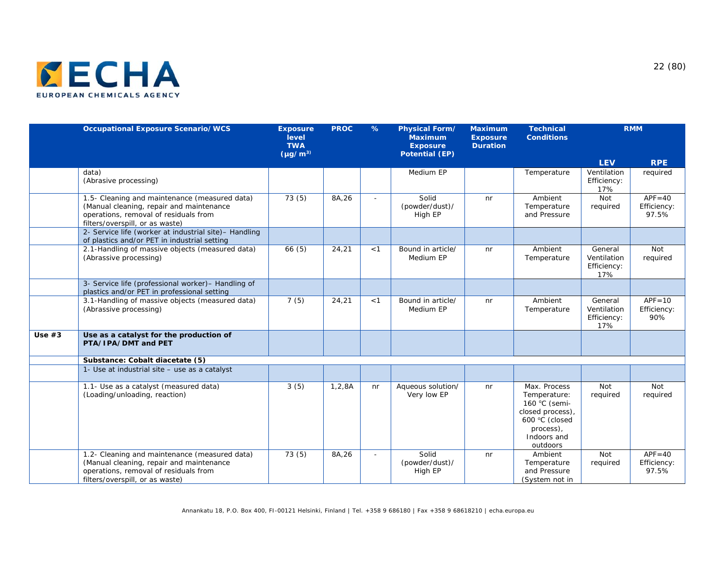

|          | <b>Occupational Exposure Scenario/WCS</b>                                                                                                                             | <b>Exposure</b><br>level<br><b>TWA</b><br>$(yg/m^3)$ | <b>PROC</b> | $\%$  | <b>Physical Form/</b><br><b>Maximum</b><br><b>Exposure</b><br><b>Potential (EP)</b> | <b>Maximum</b><br><b>Exposure</b><br><b>Duration</b> | <b>Technical</b><br><b>Conditions</b>                                                                                       |                                              | <b>RMM</b>                         |
|----------|-----------------------------------------------------------------------------------------------------------------------------------------------------------------------|------------------------------------------------------|-------------|-------|-------------------------------------------------------------------------------------|------------------------------------------------------|-----------------------------------------------------------------------------------------------------------------------------|----------------------------------------------|------------------------------------|
|          |                                                                                                                                                                       |                                                      |             |       |                                                                                     |                                                      |                                                                                                                             | <b>LEV</b>                                   | <b>RPE</b>                         |
|          | data)<br>(Abrasive processing)                                                                                                                                        |                                                      |             |       | Medium EP                                                                           |                                                      | Temperature                                                                                                                 | Ventilation<br>Efficiency:<br>17%            | required                           |
|          | 1.5- Cleaning and maintenance (measured data)<br>(Manual cleaning, repair and maintenance<br>operations, removal of residuals from<br>filters/overspill, or as waste) | 73(5)                                                | 8A,26       |       | Solid<br>(powder/dust)/<br>High EP                                                  | nr                                                   | Ambient<br>Temperature<br>and Pressure                                                                                      | Not<br>required                              | $APF = 40$<br>Efficiency:<br>97.5% |
|          | 2- Service life (worker at industrial site)- Handling<br>of plastics and/or PET in industrial setting                                                                 |                                                      |             |       |                                                                                     |                                                      |                                                                                                                             |                                              |                                    |
|          | 2.1-Handling of massive objects (measured data)<br>(Abrassive processing)                                                                                             | 66(5)                                                | 24,21       | $<$ 1 | Bound in article/<br>Medium EP                                                      | n <sub>r</sub>                                       | Ambient<br>Temperature                                                                                                      | General<br>Ventilation<br>Efficiency:<br>17% | Not<br>required                    |
|          | 3- Service life (professional worker)- Handling of<br>plastics and/or PET in professional setting                                                                     |                                                      |             |       |                                                                                     |                                                      |                                                                                                                             |                                              |                                    |
|          | 3.1-Handling of massive objects (measured data)<br>(Abrassive processing)                                                                                             | 7(5)                                                 | 24,21       | < 1   | Bound in article/<br>Medium EP                                                      | n <sub>r</sub>                                       | Ambient<br>Temperature                                                                                                      | General<br>Ventilation<br>Efficiency:<br>17% | $APF = 10$<br>Efficiency:<br>90%   |
| Use $#3$ | Use as a catalyst for the production of<br>PTA/IPA/DMT and PET                                                                                                        |                                                      |             |       |                                                                                     |                                                      |                                                                                                                             |                                              |                                    |
|          | Substance: Cobalt diacetate (5)                                                                                                                                       |                                                      |             |       |                                                                                     |                                                      |                                                                                                                             |                                              |                                    |
|          | 1- Use at industrial site - use as a catalyst                                                                                                                         |                                                      |             |       |                                                                                     |                                                      |                                                                                                                             |                                              |                                    |
|          | 1.1- Use as a catalyst (measured data)<br>(Loading/unloading, reaction)                                                                                               | 3(5)                                                 | 1, 2, 8A    | nr    | Aqueous solution/<br>Very low EP                                                    | n <sub>r</sub>                                       | Max. Process<br>Temperature:<br>160 °C (semi-<br>closed process),<br>600 °C (closed<br>process),<br>Indoors and<br>outdoors | Not<br>required                              | Not<br>required                    |
|          | 1.2- Cleaning and maintenance (measured data)<br>(Manual cleaning, repair and maintenance<br>operations, removal of residuals from<br>filters/overspill, or as waste) | 73(5)                                                | 8A,26       |       | Solid<br>(powder/dust)/<br>High EP                                                  | nr                                                   | Ambient<br>Temperature<br>and Pressure<br>(System not in                                                                    | Not<br>required                              | $APF = 40$<br>Efficiency:<br>97.5% |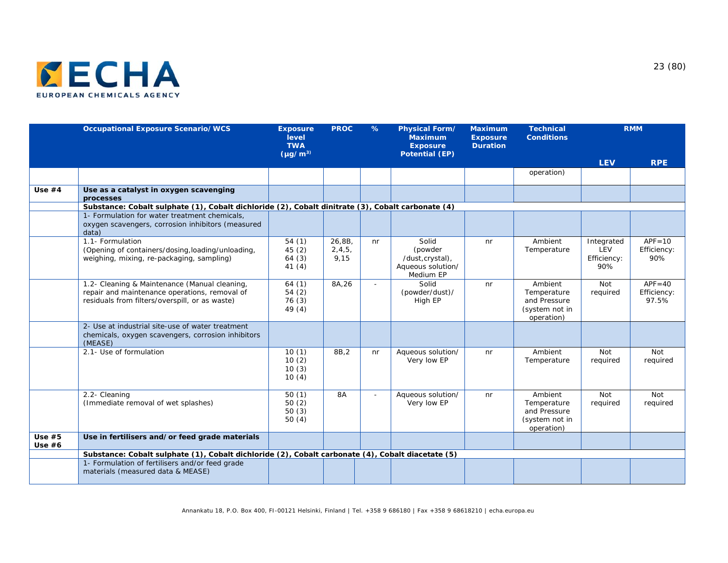

|                      | <b>Occupational Exposure Scenario/WCS</b>                                                                                                        | <b>Exposure</b><br>level<br><b>TWA</b><br>$(yg/m^3)$ | <b>PROC</b>                | $\%$ | <b>Physical Form/</b><br><b>Maximum</b><br><b>Exposure</b><br><b>Potential (EP)</b> | <b>Maximum</b><br><b>Exposure</b><br><b>Duration</b> | <b>Technical</b><br><b>Conditions</b>                                  |                                         | <b>RMM</b>                         |
|----------------------|--------------------------------------------------------------------------------------------------------------------------------------------------|------------------------------------------------------|----------------------------|------|-------------------------------------------------------------------------------------|------------------------------------------------------|------------------------------------------------------------------------|-----------------------------------------|------------------------------------|
|                      |                                                                                                                                                  |                                                      |                            |      |                                                                                     |                                                      |                                                                        | <b>LEV</b>                              | <b>RPE</b>                         |
|                      |                                                                                                                                                  |                                                      |                            |      |                                                                                     |                                                      | operation)                                                             |                                         |                                    |
| Use $#4$             | Use as a catalyst in oxygen scavenging<br>processes                                                                                              |                                                      |                            |      |                                                                                     |                                                      |                                                                        |                                         |                                    |
|                      | Substance: Cobalt sulphate (1), Cobalt dichloride (2), Cobalt dinitrate (3), Cobalt carbonate (4)                                                |                                                      |                            |      |                                                                                     |                                                      |                                                                        |                                         |                                    |
|                      | 1- Formulation for water treatment chemicals,<br>oxygen scavengers, corrosion inhibitors (measured<br>data)                                      |                                                      |                            |      |                                                                                     |                                                      |                                                                        |                                         |                                    |
|                      | 1.1- Formulation<br>(Opening of containers/dosing, loading/unloading,<br>weighing, mixing, re-packaging, sampling)                               | 54(1)<br>45(2)<br>64(3)<br>41(4)                     | 26,8B,<br>2, 4, 5,<br>9,15 | nr   | Solid<br>(powder<br>/dust, crystal),<br>Aqueous solution/<br>Medium EP              | nr                                                   | Ambient<br>Temperature                                                 | Integrated<br>LEV<br>Efficiency:<br>90% | $APF = 10$<br>Efficiency:<br>90%   |
|                      | 1.2- Cleaning & Maintenance (Manual cleaning,<br>repair and maintenance operations, removal of<br>residuals from filters/overspill, or as waste) | 64(1)<br>54(2)<br>76(3)<br>49 (4)                    | 8A,26                      |      | Solid<br>(powder/dust)/<br>High EP                                                  | n <sub>r</sub>                                       | Ambient<br>Temperature<br>and Pressure<br>(system not in<br>operation) | Not<br>required                         | $APF = 40$<br>Efficiency:<br>97.5% |
|                      | 2- Use at industrial site-use of water treatment<br>chemicals, oxygen scavengers, corrosion inhibitors<br>(MEASE)                                |                                                      |                            |      |                                                                                     |                                                      |                                                                        |                                         |                                    |
|                      | 2.1- Use of formulation                                                                                                                          | 10(1)<br>10(2)<br>10(3)<br>10(4)                     | 8B, 2                      | nr   | Aqueous solution/<br>Very low EP                                                    | n <sub>r</sub>                                       | Ambient<br>Temperature                                                 | Not<br>required                         | Not<br>required                    |
|                      | 2.2- Cleaning<br>(Immediate removal of wet splashes)                                                                                             | 50(1)<br>50(2)<br>50(3)<br>50(4)                     | <b>8A</b>                  |      | Aqueous solution/<br>Very low EP                                                    | n <sub>r</sub>                                       | Ambient<br>Temperature<br>and Pressure<br>(system not in<br>operation) | Not<br>required                         | Not<br>required                    |
| Use $#5$<br>Use $#6$ | Use in fertilisers and/or feed grade materials                                                                                                   |                                                      |                            |      |                                                                                     |                                                      |                                                                        |                                         |                                    |
|                      | Substance: Cobalt sulphate (1), Cobalt dichloride (2), Cobalt carbonate (4), Cobalt diacetate (5)                                                |                                                      |                            |      |                                                                                     |                                                      |                                                                        |                                         |                                    |
|                      | 1- Formulation of fertilisers and/or feed grade<br>materials (measured data & MEASE)                                                             |                                                      |                            |      |                                                                                     |                                                      |                                                                        |                                         |                                    |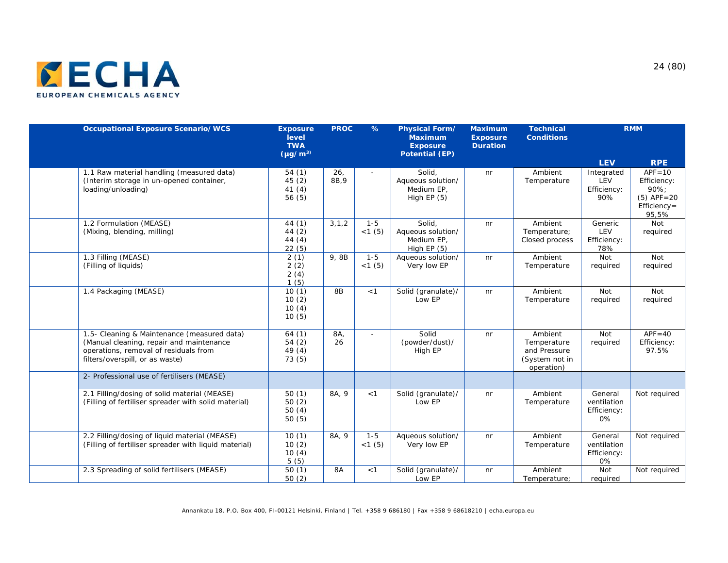

| <b>Occupational Exposure Scenario/WCS</b>                                                                                                                           | <b>Exposure</b><br>level<br><b>TWA</b><br>$(\mu g/m^3)$ | <b>PROC</b>              | $\%$              | <b>Physical Form/</b><br><b>Maximum</b><br><b>Exposure</b><br><b>Potential (EP)</b> | <b>Maximum</b><br><b>Exposure</b><br><b>Duration</b> | <b>Technical</b><br><b>Conditions</b>                                  |                                             | <b>RMM</b>                                                                   |
|---------------------------------------------------------------------------------------------------------------------------------------------------------------------|---------------------------------------------------------|--------------------------|-------------------|-------------------------------------------------------------------------------------|------------------------------------------------------|------------------------------------------------------------------------|---------------------------------------------|------------------------------------------------------------------------------|
|                                                                                                                                                                     |                                                         |                          |                   |                                                                                     |                                                      |                                                                        | <b>LEV</b>                                  | <b>RPE</b>                                                                   |
| 1.1 Raw material handling (measured data)<br>(Interim storage in un-opened container,<br>loading/unloading)                                                         | 54(1)<br>45(2)<br>41 $(4)$<br>56(5)                     | 26 <sub>1</sub><br>8B, 9 |                   | Solid,<br>Aqueous solution/<br>Medium EP,<br>High $EP(5)$                           | nr                                                   | Ambient<br>Temperature                                                 | Integrated<br>LEV<br>Efficiency:<br>90%     | $APF = 10$<br>Efficiency:<br>90%;<br>$(5)$ APF=20<br>$Efficiency =$<br>95,5% |
| 1.2 Formulation (MEASE)<br>(Mixing, blending, milling)                                                                                                              | 44 (1)<br>44 (2)<br>44(4)<br>22(5)                      | 3, 1, 2                  | $1 - 5$<br><1(5)  | Solid.<br>Aqueous solution/<br>Medium EP,<br>High $EP(5)$                           | n <sub>r</sub>                                       | Ambient<br>Temperature;<br>Closed process                              | Generic<br>LEV<br>Efficiency:<br>78%        | Not<br>required                                                              |
| 1.3 Filling (MEASE)<br>(Filling of liquids)                                                                                                                         | 2(1)<br>2(2)<br>2(4)<br>1(5)                            | 9,8B                     | $1 - 5$<br>< 1(5) | Aqueous solution/<br>Very low EP                                                    | nr                                                   | Ambient<br>Temperature                                                 | Not<br>required                             | Not<br>required                                                              |
| 1.4 Packaging (MEASE)                                                                                                                                               | 10(1)<br>10(2)<br>10(4)<br>10(5)                        | 8 <sub>B</sub>           | < 1               | Solid (granulate)/<br>Low EP                                                        | n <sub>r</sub>                                       | Ambient<br>Temperature                                                 | Not<br>required                             | Not<br>required                                                              |
| 1.5- Cleaning & Maintenance (measured data)<br>(Manual cleaning, repair and maintenance<br>operations, removal of residuals from<br>filters/overspill, or as waste) | 64(1)<br>54(2)<br>49 (4)<br>73(5)                       | 8A,<br>26                | ×.                | Solid<br>(powder/dust)/<br>High EP                                                  | nr                                                   | Ambient<br>Temperature<br>and Pressure<br>(System not in<br>operation) | Not<br>required                             | $APF = 40$<br>Efficiency:<br>97.5%                                           |
| 2- Professional use of fertilisers (MEASE)                                                                                                                          |                                                         |                          |                   |                                                                                     |                                                      |                                                                        |                                             |                                                                              |
| 2.1 Filling/dosing of solid material (MEASE)<br>(Filling of fertiliser spreader with solid material)                                                                | 50(1)<br>50(2)<br>50(4)<br>50(5)                        | 8A, 9                    | < 1               | Solid (granulate)/<br>Low EP                                                        | nr                                                   | Ambient<br>Temperature                                                 | General<br>ventilation<br>Efficiency:<br>0% | Not required                                                                 |
| 2.2 Filling/dosing of liquid material (MEASE)<br>(Filling of fertiliser spreader with liquid material)                                                              | 10(1)<br>10(2)<br>10(4)<br>5(5)                         | 8A, 9                    | $1 - 5$<br><1(5)  | Aqueous solution/<br>Very low EP                                                    | nr                                                   | Ambient<br>Temperature                                                 | General<br>ventilation<br>Efficiency:<br>0% | Not required                                                                 |
| 2.3 Spreading of solid fertilisers (MEASE)                                                                                                                          | 50(1)<br>50(2)                                          | 8A                       | < 1               | Solid (granulate)/<br>Low EP                                                        | nr                                                   | Ambient<br>Temperature;                                                | Not<br>required                             | Not required                                                                 |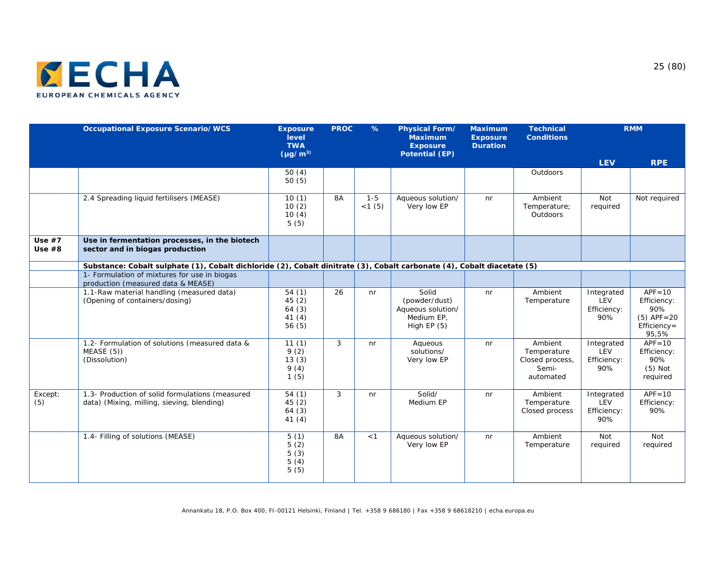

|                      | <b>Occupational Exposure Scenario/WCS</b>                                                                               | <b>Exposure</b><br>level<br><b>TWA</b><br>$(\mu g/m^3)$ | <b>PROC</b> | $\%$             | <b>Physical Form/</b><br><b>Maximum</b><br><b>Exposure</b><br><b>Potential (EP)</b> | <b>Maximum</b><br><b>Exposure</b><br><b>Duration</b> | <b>Technical</b><br><b>Conditions</b>                           |                                         | <b>RMM</b>                                                                 |
|----------------------|-------------------------------------------------------------------------------------------------------------------------|---------------------------------------------------------|-------------|------------------|-------------------------------------------------------------------------------------|------------------------------------------------------|-----------------------------------------------------------------|-----------------------------------------|----------------------------------------------------------------------------|
|                      |                                                                                                                         |                                                         |             |                  |                                                                                     |                                                      |                                                                 | <b>LEV</b>                              | <b>RPE</b>                                                                 |
|                      |                                                                                                                         | 50(4)<br>50(5)                                          |             |                  |                                                                                     |                                                      | Outdoors                                                        |                                         |                                                                            |
|                      | 2.4 Spreading liquid fertilisers (MEASE)                                                                                | 10(1)<br>10(2)<br>10(4)<br>5(5)                         | 8A          | $1 - 5$<br><1(5) | Aqueous solution/<br>Very low EP                                                    | nr                                                   | Ambient<br>Temperature;<br>Outdoors                             | Not<br>required                         | Not required                                                               |
| Use $#7$<br>Use $#8$ | Use in fermentation processes, in the biotech<br>sector and in biogas production                                        |                                                         |             |                  |                                                                                     |                                                      |                                                                 |                                         |                                                                            |
|                      | Substance: Cobalt sulphate (1), Cobalt dichloride (2), Cobalt dinitrate (3), Cobalt carbonate (4), Cobalt diacetate (5) |                                                         |             |                  |                                                                                     |                                                      |                                                                 |                                         |                                                                            |
|                      | 1- Formulation of mixtures for use in biogas<br>production (measured data & MEASE)                                      |                                                         |             |                  |                                                                                     |                                                      |                                                                 |                                         |                                                                            |
|                      | 1.1-Raw material handling (measured data)<br>(Opening of containers/dosing)                                             | 54(1)<br>45(2)<br>64(3)<br>41(4)<br>56(5)               | 26          | nr               | Solid<br>(powder/dust)<br>Aqueous solution/<br>Medium EP,<br>High $EP(5)$           | nr                                                   | Ambient<br>Temperature                                          | Integrated<br>LEV<br>Efficiency:<br>90% | $APF = 10$<br>Efficiency:<br>90%<br>$(5)$ APF = 20<br>Efficiency=<br>95,5% |
|                      | 1.2- Formulation of solutions (measured data &<br>MEASE(5)<br>(Dissolution)                                             | 11(1)<br>9(2)<br>13(3)<br>9(4)<br>1(5)                  | 3           | nr               | Aqueous<br>solutions/<br>Very low EP                                                | n <sub>r</sub>                                       | Ambient<br>Temperature<br>Closed process,<br>Semi-<br>automated | Integrated<br>LEV<br>Efficiency:<br>90% | $APF = 10$<br>Efficiency:<br>90%<br>$(5)$ Not<br>required                  |
| Except:<br>(5)       | 1.3- Production of solid formulations (measured<br>data) (Mixing, milling, sieving, blending)                           | 54(1)<br>45(2)<br>64(3)<br>41(4)                        | 3           | nr               | Solid/<br>Medium EP                                                                 | nr                                                   | Ambient<br>Temperature<br>Closed process                        | Integrated<br>LEV<br>Efficiency:<br>90% | $APF = 10$<br>Efficiency:<br>90%                                           |
|                      | 1.4- Filling of solutions (MEASE)                                                                                       | 5(1)<br>5(2)<br>5(3)<br>5(4)<br>5(5)                    | 8A          | < 1              | Aqueous solution/<br>Very low EP                                                    | nr                                                   | Ambient<br>Temperature                                          | Not<br>required                         | Not<br>required                                                            |

Annankatu 18, P.O. Box 400, FI-00121 Helsinki, Finland | Tel. +358 9 686180 | Fax +358 9 68618210 | echa.europa.eu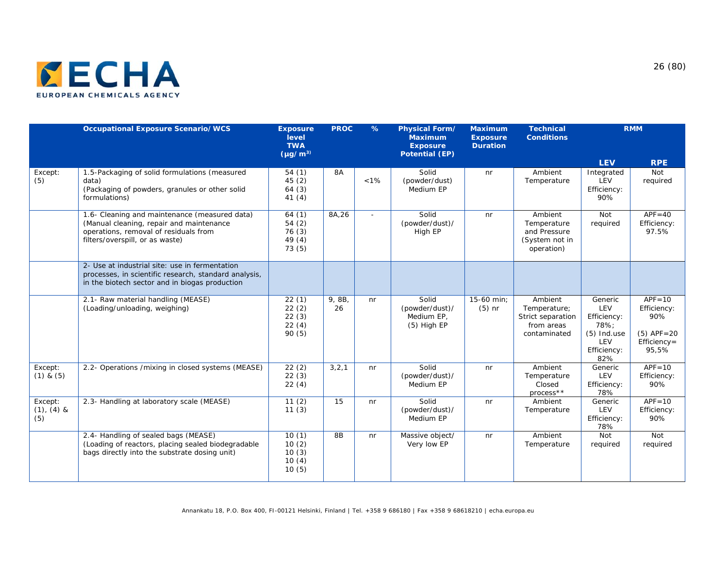

|                                   | <b>Occupational Exposure Scenario/WCS</b>                                                                                                                             | <b>Exposure</b><br>level<br><b>TWA</b><br>$(\mu q/m^3)$ | <b>PROC</b>  | $\%$    | <b>Physical Form/</b><br><b>Maximum</b><br><b>Exposure</b><br><b>Potential (EP)</b> | <b>Maximum</b><br><b>Exposure</b><br><b>Duration</b> | <b>Technical</b><br><b>Conditions</b>                                      |                                                                                     | <b>RMM</b>                                                                    |
|-----------------------------------|-----------------------------------------------------------------------------------------------------------------------------------------------------------------------|---------------------------------------------------------|--------------|---------|-------------------------------------------------------------------------------------|------------------------------------------------------|----------------------------------------------------------------------------|-------------------------------------------------------------------------------------|-------------------------------------------------------------------------------|
|                                   |                                                                                                                                                                       |                                                         |              |         |                                                                                     |                                                      |                                                                            | <b>LEV</b>                                                                          | <b>RPE</b>                                                                    |
| Except:<br>(5)                    | 1.5-Packaging of solid formulations (measured<br>data)<br>(Packaging of powders, granules or other solid<br>formulations)                                             | 54(1)<br>45(2)<br>64(3)<br>41(4)                        | 8A           | $< 1\%$ | Solid<br>(powder/dust)<br>Medium EP                                                 | n <sub>r</sub>                                       | Ambient<br>Temperature                                                     | Integrated<br>LEV<br>Efficiency:<br>90%                                             | Not<br>required                                                               |
|                                   | 1.6- Cleaning and maintenance (measured data)<br>(Manual cleaning, repair and maintenance<br>operations, removal of residuals from<br>filters/overspill, or as waste) | 64(1)<br>54(2)<br>76(3)<br>49(4)<br>73(5)               | 8A,26        | ÷       | Solid<br>(powder/dust)/<br>High EP                                                  | n <sub>r</sub>                                       | Ambient<br>Temperature<br>and Pressure<br>(System not in<br>operation)     | Not<br>required                                                                     | $APF = 40$<br>Efficiency:<br>97.5%                                            |
|                                   | 2- Use at industrial site: use in fermentation<br>processes, in scientific research, standard analysis,<br>in the biotech sector and in biogas production             |                                                         |              |         |                                                                                     |                                                      |                                                                            |                                                                                     |                                                                               |
|                                   | 2.1- Raw material handling (MEASE)<br>(Loading/unloading, weighing)                                                                                                   | 22(1)<br>22(2)<br>22(3)<br>22(4)<br>90 (5)              | 9, 8B,<br>26 | nr      | Solid<br>(powder/dust)/<br>Medium EP,<br>$(5)$ High EP                              | 15-60 min;<br>$(5)$ nr                               | Ambient<br>Temperature;<br>Strict separation<br>from areas<br>contaminated | Generic<br>LEV<br>Efficiency:<br>78%:<br>$(5)$ Ind.use<br>LEV<br>Efficiency:<br>82% | $APF = 10$<br>Efficiency:<br>90%<br>$(5)$ APF = 20<br>$Efficiency =$<br>95,5% |
| Except:<br>$(1)$ & $(5)$          | 2.2- Operations / mixing in closed systems (MEASE)                                                                                                                    | 22(2)<br>22(3)<br>22(4)                                 | 3, 2, 1      | nr      | Solid<br>(powder/dust)/<br>Medium EP                                                | nr                                                   | Ambient<br>Temperature<br>Closed<br>process**                              | Generic<br>LEV<br>Efficiency:<br>78%                                                | $APF = 10$<br>Efficiency:<br>90%                                              |
| Except:<br>$(1)$ , $(4)$ &<br>(5) | 2.3- Handling at laboratory scale (MEASE)                                                                                                                             | 11(2)<br>11(3)                                          | 15           | nr      | Solid<br>(powder/dust)/<br>Medium EP                                                | n <sub>r</sub>                                       | Ambient<br>Temperature                                                     | Generic<br>LEV<br>Efficiency:<br>78%                                                | $APF = 10$<br>Efficiency:<br>90%                                              |
|                                   | 2.4- Handling of sealed bags (MEASE)<br>(Loading of reactors, placing sealed biodegradable<br>bags directly into the substrate dosing unit)                           | 10(1)<br>10(2)<br>10(3)<br>10(4)<br>10(5)               | 8B           | nr      | Massive object/<br>Very low EP                                                      | nr                                                   | Ambient<br>Temperature                                                     | Not<br>required                                                                     | Not<br>required                                                               |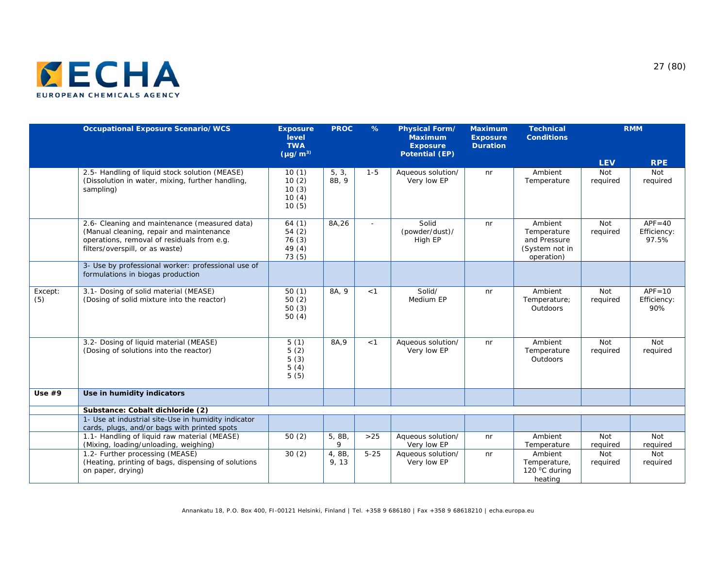

|                | <b>Occupational Exposure Scenario/WCS</b>                                                                                                                                  | <b>Exposure</b><br>level<br><b>TWA</b><br>$(\mu g/m^3)$ | <b>PROC</b>     | $\%$     | Physical Form/<br><b>Maximum</b><br><b>Exposure</b><br><b>Potential (EP)</b> | <b>Maximum</b><br><b>Exposure</b><br><b>Duration</b> | <b>Technical</b><br><b>Conditions</b>                                  |                 | <b>RMM</b>                         |
|----------------|----------------------------------------------------------------------------------------------------------------------------------------------------------------------------|---------------------------------------------------------|-----------------|----------|------------------------------------------------------------------------------|------------------------------------------------------|------------------------------------------------------------------------|-----------------|------------------------------------|
|                |                                                                                                                                                                            |                                                         |                 |          |                                                                              |                                                      |                                                                        | <b>LEV</b>      | <b>RPE</b>                         |
|                | 2.5- Handling of liquid stock solution (MEASE)<br>(Dissolution in water, mixing, further handling,<br>sampling)                                                            | 10(1)<br>10(2)<br>10(3)<br>10(4)<br>10(5)               | 5, 3,<br>8B, 9  | $1 - 5$  | Aqueous solution/<br>Very low EP                                             | nr                                                   | Ambient<br>Temperature                                                 | Not<br>required | Not<br>required                    |
|                | 2.6- Cleaning and maintenance (measured data)<br>(Manual cleaning, repair and maintenance<br>operations, removal of residuals from e.g.<br>filters/overspill, or as waste) | 64(1)<br>54(2)<br>76(3)<br>49(4)<br>73(5)               | 8A, 26          | $\sim$   | Solid<br>(powder/dust)/<br>High EP                                           | n <sub>r</sub>                                       | Ambient<br>Temperature<br>and Pressure<br>(System not in<br>operation) | Not<br>required | $APF = 40$<br>Efficiency:<br>97.5% |
|                | 3- Use by professional worker: professional use of<br>formulations in biogas production                                                                                    |                                                         |                 |          |                                                                              |                                                      |                                                                        |                 |                                    |
| Except:<br>(5) | 3.1- Dosing of solid material (MEASE)<br>(Dosing of solid mixture into the reactor)                                                                                        | 50(1)<br>50(2)<br>50(3)<br>50(4)                        | 8A, 9           | < 1      | Solid/<br>Medium EP                                                          | nr                                                   | Ambient<br>Temperature;<br>Outdoors                                    | Not<br>required | $APF = 10$<br>Efficiency:<br>90%   |
|                | 3.2- Dosing of liquid material (MEASE)<br>(Dosing of solutions into the reactor)                                                                                           | 5(1)<br>5(2)<br>5(3)<br>5(4)<br>5(5)                    | 8A, 9           | < 1      | Aqueous solution/<br>Very low EP                                             | nr                                                   | Ambient<br>Temperature<br>Outdoors                                     | Not<br>required | Not<br>required                    |
| Use $#9$       | Use in humidity indicators                                                                                                                                                 |                                                         |                 |          |                                                                              |                                                      |                                                                        |                 |                                    |
|                | Substance: Cobalt dichloride (2)                                                                                                                                           |                                                         |                 |          |                                                                              |                                                      |                                                                        |                 |                                    |
|                | 1- Use at industrial site-Use in humidity indicator<br>cards, plugs, and/or bags with printed spots                                                                        |                                                         |                 |          |                                                                              |                                                      |                                                                        |                 |                                    |
|                | 1.1- Handling of liquid raw material (MEASE)<br>(Mixing, loading/unloading, weighing)                                                                                      | 50(2)                                                   | 5, 8B,<br>9     | $>25$    | Aqueous solution/<br>Very low EP                                             | nr                                                   | Ambient<br>Temperature                                                 | Not<br>required | Not<br>required                    |
|                | 1.2- Further processing (MEASE)<br>(Heating, printing of bags, dispensing of solutions<br>on paper, drying)                                                                | 30(2)                                                   | 4, 8B,<br>9, 13 | $5 - 25$ | Aqueous solution/<br>Very low EP                                             | nr                                                   | Ambient<br>Temperature,<br>120 °C during<br>heating                    | Not<br>required | Not<br>required                    |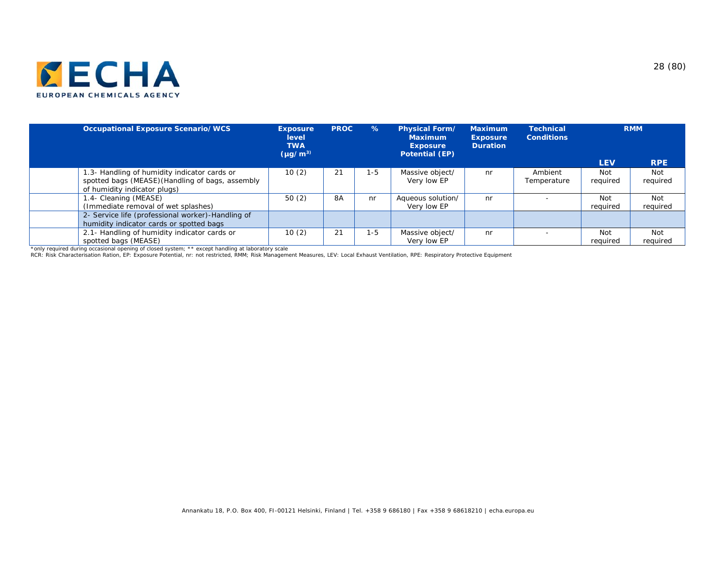

| <b>Occupational Exposure Scenario/WCS</b>                                                                                        | <b>Exposure</b><br>level<br><b>TWA</b><br>$(\mu q/m^3)$ | <b>PROC</b> | $\frac{9}{6}$ | <b>Physical Form/</b><br><b>Maximum</b><br><b>Exposure</b><br><b>Potential (EP)</b> | <b>Maximum</b><br><b>Exposure</b><br><b>Duration</b> | Technical<br><b>Conditions</b> |                        | <b>RMM</b>             |
|----------------------------------------------------------------------------------------------------------------------------------|---------------------------------------------------------|-------------|---------------|-------------------------------------------------------------------------------------|------------------------------------------------------|--------------------------------|------------------------|------------------------|
|                                                                                                                                  |                                                         |             |               |                                                                                     |                                                      |                                | <b>LEV</b>             | <b>RPE</b>             |
| 1.3- Handling of humidity indicator cards or<br>spotted bags (MEASE) (Handling of bags, assembly<br>of humidity indicator plugs) | 10(2)                                                   | 21          | $-5$          | Massive object/<br>Very low EP                                                      | nr                                                   | Ambient<br>Temperature         | <b>Not</b><br>required | <b>Not</b><br>required |
| 1.4- Cleaning (MEASE)<br>(Immediate removal of wet splashes)                                                                     | 50(2)                                                   | 8A          | nr            | Aqueous solution/<br>Very low EP                                                    | nr                                                   |                                | <b>Not</b><br>required | Not<br>required        |
| 2- Service life (professional worker)-Handling of<br>humidity indicator cards or spotted bags                                    |                                                         |             |               |                                                                                     |                                                      |                                |                        |                        |
| 2.1- Handling of humidity indicator cards or<br>spotted bags (MEASE)                                                             | 10(2)                                                   | 21          | 1-5           | Massive object/<br>Very low EP                                                      | nr                                                   |                                | <b>Not</b><br>required | Not<br>required        |
| *only required during occasional opening of closed system; ** except handling at laboratory scale                                |                                                         |             |               |                                                                                     |                                                      |                                |                        |                        |

RCR: Risk Characterisation Ration, EP: Exposure Potential, nr: not restricted, RMM; Risk Management Measures, LEV: Local Exhaust Ventilation, RPE: Respiratory Protective Equipment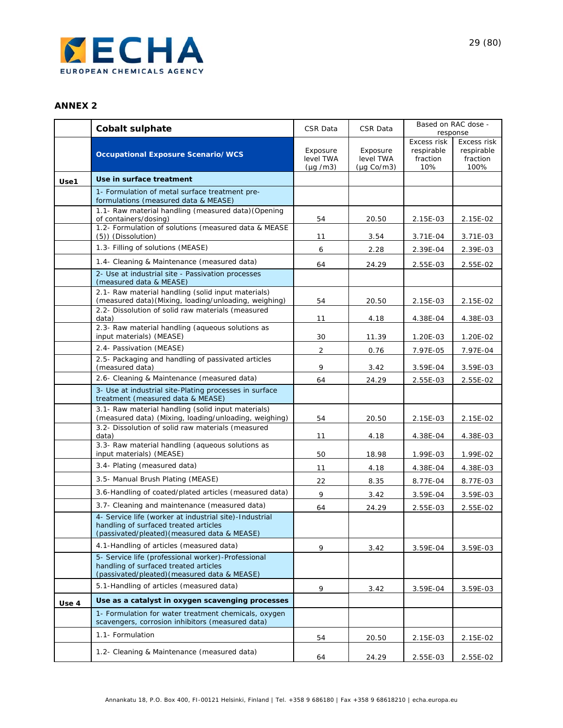

#### **ANNEX 2**

|       | <b>Cobalt sulphate</b>                                                                                                                          | CSR Data                              | CSR Data                                         | Based on RAC dose -<br>response              |                                               |  |
|-------|-------------------------------------------------------------------------------------------------------------------------------------------------|---------------------------------------|--------------------------------------------------|----------------------------------------------|-----------------------------------------------|--|
|       | <b>Occupational Exposure Scenario/WCS</b>                                                                                                       | Exposure<br>level TWA<br>$(\mu q/m3)$ | Exposure<br>level TWA<br>$(\mu g \text{ Co/m3})$ | Excess risk<br>respirable<br>fraction<br>10% | Excess risk<br>respirable<br>fraction<br>100% |  |
| Use1  | Use in surface treatment                                                                                                                        |                                       |                                                  |                                              |                                               |  |
|       | 1- Formulation of metal surface treatment pre-<br>formulations (measured data & MEASE)                                                          |                                       |                                                  |                                              |                                               |  |
|       | 1.1- Raw material handling (measured data) (Opening<br>of containers/dosing)                                                                    | 54                                    | 20.50                                            | 2.15E-03                                     | 2.15E-02                                      |  |
|       | 1.2- Formulation of solutions (measured data & MEASE<br>(5)) (Dissolution)                                                                      | 11                                    | 3.54                                             | 3.71E-04                                     | 3.71E-03                                      |  |
|       | 1.3- Filling of solutions (MEASE)                                                                                                               | 6                                     | 2.28                                             | 2.39E-04                                     | 2.39E-03                                      |  |
|       | 1.4- Cleaning & Maintenance (measured data)                                                                                                     | 64                                    | 24.29                                            | 2.55E-03                                     | 2.55E-02                                      |  |
|       | 2- Use at industrial site - Passivation processes<br>(measured data & MEASE)                                                                    |                                       |                                                  |                                              |                                               |  |
|       | 2.1- Raw material handling (solid input materials)<br>(measured data) (Mixing, loading/unloading, weighing)                                     | 54                                    | 20.50                                            | 2.15E-03                                     | 2.15E-02                                      |  |
|       | 2.2- Dissolution of solid raw materials (measured<br>data)                                                                                      | 11                                    | 4.18                                             | 4.38E-04                                     | 4.38E-03                                      |  |
|       | 2.3- Raw material handling (aqueous solutions as<br>input materials) (MEASE)                                                                    | 30                                    | 11.39                                            | 1.20E-03                                     | 1.20E-02                                      |  |
|       | 2.4- Passivation (MEASE)                                                                                                                        | 2                                     | 0.76                                             | 7.97E-05                                     | 7.97E-04                                      |  |
|       | 2.5- Packaging and handling of passivated articles<br>(measured data)                                                                           | 9                                     | 3.42                                             | 3.59E-04                                     | 3.59E-03                                      |  |
|       | 2.6- Cleaning & Maintenance (measured data)                                                                                                     | 64                                    | 24.29                                            | 2.55E-03                                     | 2.55E-02                                      |  |
|       | 3- Use at industrial site-Plating processes in surface<br>treatment (measured data & MEASE)                                                     |                                       |                                                  |                                              |                                               |  |
|       | 3.1- Raw material handling (solid input materials)<br>(measured data) (Mixing, loading/unloading, weighing)                                     | 54                                    | 20.50                                            | 2.15E-03                                     | 2.15E-02                                      |  |
|       | 3.2- Dissolution of solid raw materials (measured<br>data)                                                                                      | 11                                    | 4.18                                             | 4.38E-04                                     | 4.38E-03                                      |  |
|       | 3.3- Raw material handling (aqueous solutions as<br>input materials) (MEASE)                                                                    | 50                                    | 18.98                                            | 1.99E-03                                     | 1.99E-02                                      |  |
|       | 3.4- Plating (measured data)                                                                                                                    | 11                                    | 4.18                                             | 4.38E-04                                     | 4.38E-03                                      |  |
|       | 3.5- Manual Brush Plating (MEASE)                                                                                                               | 22                                    | 8.35                                             | 8.77E-04                                     | 8.77E-03                                      |  |
|       | 3.6-Handling of coated/plated articles (measured data)                                                                                          | 9                                     | 3.42                                             | 3.59E-04                                     | 3.59E-03                                      |  |
|       | 3.7- Cleaning and maintenance (measured data)                                                                                                   | 64                                    | 24.29                                            | 2.55E-03                                     | 2.55E-02                                      |  |
|       | 4- Service life (worker at industrial site)-Industrial<br>handling of surfaced treated articles<br>(passivated/pleated) (measured data & MEASE) |                                       |                                                  |                                              |                                               |  |
|       | 4.1-Handling of articles (measured data)                                                                                                        | 9                                     | 3.42                                             | 3.59E-04                                     | 3.59E-03                                      |  |
|       | 5- Service life (professional worker)-Professional<br>handling of surfaced treated articles<br>(passivated/pleated) (measured data & MEASE)     |                                       |                                                  |                                              |                                               |  |
|       | 5.1-Handling of articles (measured data)                                                                                                        | 9                                     | 3.42                                             | 3.59E-04                                     | 3.59E-03                                      |  |
| Use 4 | Use as a catalyst in oxygen scavenging processes                                                                                                |                                       |                                                  |                                              |                                               |  |
|       | 1- Formulation for water treatment chemicals, oxygen<br>scavengers, corrosion inhibitors (measured data)                                        |                                       |                                                  |                                              |                                               |  |
|       | 1.1- Formulation                                                                                                                                | 54                                    | 20.50                                            | 2.15E-03                                     | 2.15E-02                                      |  |
|       | 1.2- Cleaning & Maintenance (measured data)                                                                                                     | 64                                    | 24.29                                            | 2.55E-03                                     | 2.55E-02                                      |  |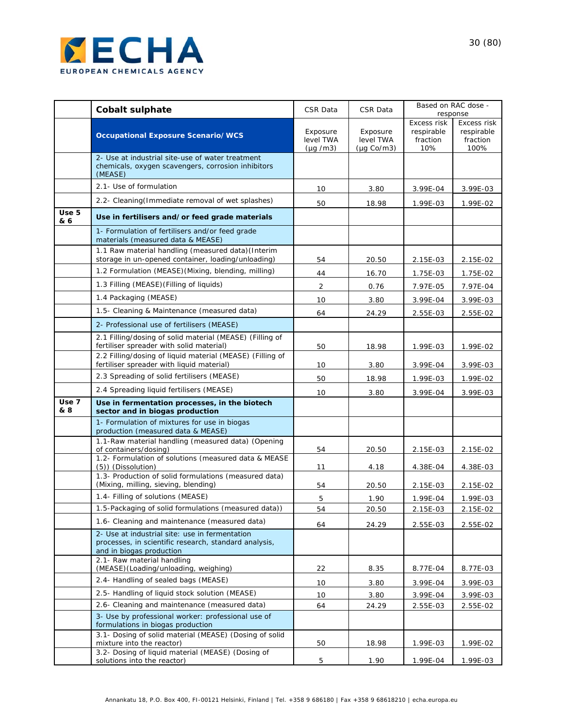

|                         | <b>Cobalt sulphate</b>                                                                                                              | CSR Data                              | CSR Data                                         |                                              | Based on RAC dose -<br>response               |
|-------------------------|-------------------------------------------------------------------------------------------------------------------------------------|---------------------------------------|--------------------------------------------------|----------------------------------------------|-----------------------------------------------|
|                         | <b>Occupational Exposure Scenario/WCS</b>                                                                                           | Exposure<br>level TWA<br>$(\mu q/m3)$ | Exposure<br>level TWA<br>$(\mu q \text{ Co/m3})$ | Excess risk<br>respirable<br>fraction<br>10% | Excess risk<br>respirable<br>fraction<br>100% |
|                         | 2- Use at industrial site-use of water treatment<br>chemicals, oxygen scavengers, corrosion inhibitors<br>(MEASE)                   |                                       |                                                  |                                              |                                               |
|                         | 2.1- Use of formulation                                                                                                             | 10                                    | 3.80                                             | 3.99E-04                                     | 3.99E-03                                      |
|                         | 2.2- Cleaning (Immediate removal of wet splashes)                                                                                   | 50                                    | 18.98                                            | 1.99E-03                                     | 1.99E-02                                      |
| Use <sub>5</sub><br>& 6 | Use in fertilisers and/or feed grade materials                                                                                      |                                       |                                                  |                                              |                                               |
|                         | 1- Formulation of fertilisers and/or feed grade<br>materials (measured data & MEASE)                                                |                                       |                                                  |                                              |                                               |
|                         | 1.1 Raw material handling (measured data) (Interim<br>storage in un-opened container, loading/unloading)                            | 54                                    | 20.50                                            | 2.15E-03                                     | 2.15E-02                                      |
|                         | 1.2 Formulation (MEASE)(Mixing, blending, milling)                                                                                  | 44                                    | 16.70                                            | 1.75E-03                                     | 1.75E-02                                      |
|                         | 1.3 Filling (MEASE) (Filling of liquids)                                                                                            | 2                                     | 0.76                                             | 7.97E-05                                     | 7.97E-04                                      |
|                         | 1.4 Packaging (MEASE)                                                                                                               | 10                                    | 3.80                                             | 3.99E-04                                     | 3.99E-03                                      |
|                         | 1.5- Cleaning & Maintenance (measured data)                                                                                         | 64                                    | 24.29                                            | 2.55E-03                                     | 2.55E-02                                      |
|                         | 2- Professional use of fertilisers (MEASE)                                                                                          |                                       |                                                  |                                              |                                               |
|                         | 2.1 Filling/dosing of solid material (MEASE) (Filling of<br>fertiliser spreader with solid material)                                | 50                                    | 18.98                                            | 1.99E-03                                     | 1.99E-02                                      |
|                         | 2.2 Filling/dosing of liquid material (MEASE) (Filling of<br>fertiliser spreader with liquid material)                              |                                       |                                                  |                                              |                                               |
|                         | 2.3 Spreading of solid fertilisers (MEASE)                                                                                          | 10                                    | 3.80                                             | 3.99E-04                                     | 3.99E-03                                      |
|                         | 2.4 Spreading liquid fertilisers (MEASE)                                                                                            | 50                                    | 18.98                                            | 1.99E-03                                     | 1.99E-02                                      |
| Use <sub>7</sub>        | Use in fermentation processes, in the biotech                                                                                       | 10                                    | 3.80                                             | 3.99E-04                                     | 3.99E-03                                      |
| & 8                     | sector and in biogas production                                                                                                     |                                       |                                                  |                                              |                                               |
|                         | 1- Formulation of mixtures for use in biogas<br>production (measured data & MEASE)                                                  |                                       |                                                  |                                              |                                               |
|                         | 1.1-Raw material handling (measured data) (Opening<br>of containers/dosing)<br>1.2- Formulation of solutions (measured data & MEASE | 54                                    | 20.50                                            | 2.15E-03                                     | 2.15E-02                                      |
|                         | (5)) (Dissolution)                                                                                                                  | 11                                    | 4.18                                             | 4.38E-04                                     | 4.38E-03                                      |
|                         | 1.3- Production of solid formulations (measured data)<br>(Mixing, milling, sieving, blending)                                       | 54                                    | 20.50                                            | 2.15E-03                                     | 2.15E-02                                      |
|                         | 1.4- Filling of solutions (MEASE)                                                                                                   | 5                                     | 1.90                                             | 1.99E-04                                     | 1.99E-03                                      |
|                         | 1.5-Packaging of solid formulations (measured data))                                                                                | 54                                    | 20.50                                            | 2.15E-03                                     | 2.15E-02                                      |
|                         | 1.6- Cleaning and maintenance (measured data)                                                                                       | 64                                    | 24.29                                            | 2.55E-03                                     | 2.55E-02                                      |
|                         | 2- Use at industrial site: use in fermentation<br>processes, in scientific research, standard analysis,<br>and in biogas production |                                       |                                                  |                                              |                                               |
|                         | 2.1- Raw material handling<br>(MEASE) (Loading/unloading, weighing)                                                                 | 22                                    | 8.35                                             | 8.77E-04                                     | 8.77E-03                                      |
|                         | 2.4- Handling of sealed bags (MEASE)                                                                                                | 10                                    | 3.80                                             | 3.99E-04                                     | 3.99E-03                                      |
|                         | 2.5- Handling of liquid stock solution (MEASE)                                                                                      | 10                                    | 3.80                                             | 3.99E-04                                     | 3.99E-03                                      |
|                         | 2.6- Cleaning and maintenance (measured data)                                                                                       | 64                                    | 24.29                                            | 2.55E-03                                     | 2.55E-02                                      |
|                         | 3- Use by professional worker: professional use of<br>formulations in biogas production                                             |                                       |                                                  |                                              |                                               |
|                         | 3.1- Dosing of solid material (MEASE) (Dosing of solid<br>mixture into the reactor)                                                 | 50                                    | 18.98                                            | 1.99E-03                                     | 1.99E-02                                      |
|                         | 3.2- Dosing of liquid material (MEASE) (Dosing of<br>solutions into the reactor)                                                    | 5                                     | 1.90                                             | 1.99E-04                                     | 1.99E-03                                      |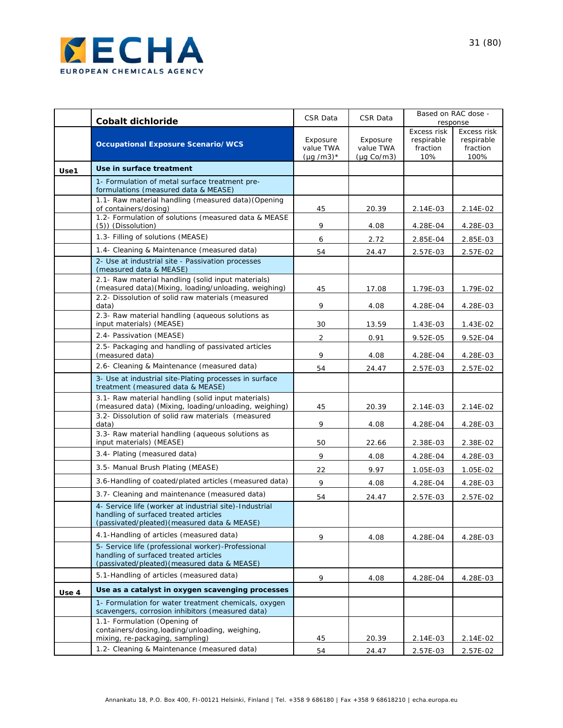

|       | <b>Cobalt dichloride</b>                                                                                                                        | CSR Data                                | CSR Data                                         | Based on RAC dose -<br>response              |                                               |
|-------|-------------------------------------------------------------------------------------------------------------------------------------------------|-----------------------------------------|--------------------------------------------------|----------------------------------------------|-----------------------------------------------|
|       | <b>Occupational Exposure Scenario/WCS</b>                                                                                                       | Exposure<br>value TWA<br>$(\mu q/m3)^*$ | Exposure<br>value TWA<br>$(\mu q \text{ Co/m3})$ | Excess risk<br>respirable<br>fraction<br>10% | Excess risk<br>respirable<br>fraction<br>100% |
| Use1  | Use in surface treatment                                                                                                                        |                                         |                                                  |                                              |                                               |
|       | 1- Formulation of metal surface treatment pre-<br>formulations (measured data & MEASE)                                                          |                                         |                                                  |                                              |                                               |
|       | 1.1- Raw material handling (measured data) (Opening<br>of containers/dosing)                                                                    | 45                                      | 20.39                                            | 2.14E-03                                     | 2.14E-02                                      |
|       | 1.2- Formulation of solutions (measured data & MEASE<br>(5)) (Dissolution)                                                                      | 9                                       | 4.08                                             | 4.28E-04                                     | 4.28E-03                                      |
|       | 1.3- Filling of solutions (MEASE)                                                                                                               | 6                                       | 2.72                                             | 2.85E-04                                     | 2.85E-03                                      |
|       | 1.4- Cleaning & Maintenance (measured data)                                                                                                     | 54                                      | 24.47                                            | 2.57E-03                                     | 2.57E-02                                      |
|       | 2- Use at industrial site - Passivation processes<br>(measured data & MEASE)                                                                    |                                         |                                                  |                                              |                                               |
|       | 2.1- Raw material handling (solid input materials)<br>(measured data) (Mixing, loading/unloading, weighing)                                     | 45                                      | 17.08                                            | 1.79E-03                                     | 1.79E-02                                      |
|       | 2.2- Dissolution of solid raw materials (measured<br>data)                                                                                      | 9                                       | 4.08                                             | 4.28E-04                                     | 4.28E-03                                      |
|       | 2.3- Raw material handling (aqueous solutions as<br>input materials) (MEASE)                                                                    | 30                                      | 13.59                                            | 1.43E-03                                     | 1.43E-02                                      |
|       | 2.4- Passivation (MEASE)                                                                                                                        | $\overline{2}$                          | 0.91                                             | 9.52E-05                                     | 9.52E-04                                      |
|       | 2.5- Packaging and handling of passivated articles<br>(measured data)                                                                           | 9                                       | 4.08                                             | 4.28E-04                                     | 4.28E-03                                      |
|       | 2.6- Cleaning & Maintenance (measured data)                                                                                                     | 54                                      | 24.47                                            | 2.57E-03                                     | 2.57E-02                                      |
|       | 3- Use at industrial site-Plating processes in surface<br>treatment (measured data & MEASE)                                                     |                                         |                                                  |                                              |                                               |
|       | 3.1- Raw material handling (solid input materials)<br>(measured data) (Mixing, loading/unloading, weighing)                                     | 45                                      | 20.39                                            | 2.14E-03                                     | 2.14E-02                                      |
|       | 3.2- Dissolution of solid raw materials (measured<br>data)                                                                                      | 9                                       | 4.08                                             | 4.28E-04                                     | 4.28E-03                                      |
|       | 3.3- Raw material handling (aqueous solutions as<br>input materials) (MEASE)                                                                    | 50                                      | 22.66                                            | 2.38E-03                                     | 2.38E-02                                      |
|       | 3.4- Plating (measured data)                                                                                                                    | 9                                       | 4.08                                             | 4.28E-04                                     | 4.28E-03                                      |
|       | 3.5- Manual Brush Plating (MEASE)                                                                                                               | 22                                      | 9.97                                             | 1.05E-03                                     | 1.05E-02                                      |
|       | 3.6-Handling of coated/plated articles (measured data)                                                                                          | 9                                       | 4.08                                             | 4.28E-04                                     | 4.28E-03                                      |
|       | 3.7- Cleaning and maintenance (measured data)                                                                                                   | 54                                      | 24.47                                            | 2.57E-03                                     | 2.57E-02                                      |
|       | 4- Service life (worker at industrial site)-Industrial<br>handling of surfaced treated articles<br>(passivated/pleated) (measured data & MEASE) |                                         |                                                  |                                              |                                               |
|       | 4.1-Handling of articles (measured data)                                                                                                        | 9                                       | 4.08                                             | 4.28E-04                                     | 4.28E-03                                      |
|       | 5- Service life (professional worker)-Professional<br>handling of surfaced treated articles<br>(passivated/pleated) (measured data & MEASE)     |                                         |                                                  |                                              |                                               |
|       | 5.1-Handling of articles (measured data)                                                                                                        | 9                                       | 4.08                                             | 4.28E-04                                     | 4.28E-03                                      |
| Use 4 | Use as a catalyst in oxygen scavenging processes                                                                                                |                                         |                                                  |                                              |                                               |
|       | 1- Formulation for water treatment chemicals, oxygen<br>scavengers, corrosion inhibitors (measured data)                                        |                                         |                                                  |                                              |                                               |
|       | 1.1- Formulation (Opening of<br>containers/dosing, loading/unloading, weighing,<br>mixing, re-packaging, sampling)                              | 45                                      | 20.39                                            | 2.14E-03                                     | 2.14E-02                                      |
|       | 1.2- Cleaning & Maintenance (measured data)                                                                                                     | 54                                      | 24.47                                            | 2.57E-03                                     | 2.57E-02                                      |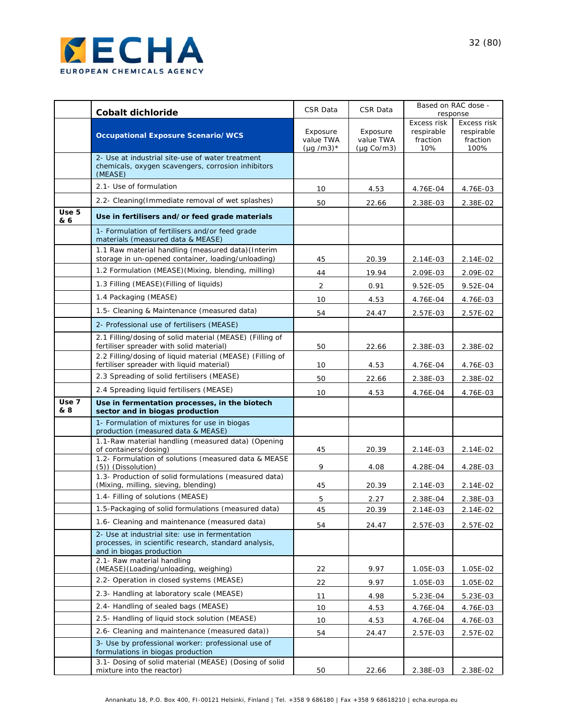

|              | <b>Cobalt dichloride</b>                                                                                                                 | CSR Data                                | CSR Data                                         |                                              | Based on RAC dose -<br>response               |
|--------------|------------------------------------------------------------------------------------------------------------------------------------------|-----------------------------------------|--------------------------------------------------|----------------------------------------------|-----------------------------------------------|
|              | <b>Occupational Exposure Scenario/WCS</b>                                                                                                | Exposure<br>value TWA<br>$(\mu q/m3)^*$ | Exposure<br>value TWA<br>$(\mu q \text{ Co/m3})$ | Excess risk<br>respirable<br>fraction<br>10% | Excess risk<br>respirable<br>fraction<br>100% |
|              | 2- Use at industrial site-use of water treatment<br>chemicals, oxygen scavengers, corrosion inhibitors<br>(MEASE)                        |                                         |                                                  |                                              |                                               |
|              | 2.1- Use of formulation                                                                                                                  | 10                                      | 4.53                                             | 4.76E-04                                     | 4.76E-03                                      |
|              | 2.2- Cleaning (Immediate removal of wet splashes)                                                                                        | 50                                      | 22.66                                            | 2.38E-03                                     | 2.38E-02                                      |
| Use 5<br>& 6 | Use in fertilisers and/or feed grade materials                                                                                           |                                         |                                                  |                                              |                                               |
|              | 1- Formulation of fertilisers and/or feed grade<br>materials (measured data & MEASE)                                                     |                                         |                                                  |                                              |                                               |
|              | 1.1 Raw material handling (measured data) (Interim<br>storage in un-opened container, loading/unloading)                                 | 45                                      | 20.39                                            | 2.14E-03                                     | 2.14E-02                                      |
|              | 1.2 Formulation (MEASE)(Mixing, blending, milling)                                                                                       | 44                                      | 19.94                                            | 2.09E-03                                     | 2.09E-02                                      |
|              | 1.3 Filling (MEASE) (Filling of liquids)                                                                                                 | $\overline{2}$                          | 0.91                                             | 9.52E-05                                     | 9.52E-04                                      |
|              | 1.4 Packaging (MEASE)                                                                                                                    | 10                                      | 4.53                                             | 4.76E-04                                     | 4.76E-03                                      |
|              | 1.5- Cleaning & Maintenance (measured data)                                                                                              | 54                                      | 24.47                                            | 2.57E-03                                     | 2.57E-02                                      |
|              | 2- Professional use of fertilisers (MEASE)                                                                                               |                                         |                                                  |                                              |                                               |
|              | 2.1 Filling/dosing of solid material (MEASE) (Filling of<br>fertiliser spreader with solid material)                                     | 50                                      | 22.66                                            | 2.38E-03                                     | 2.38E-02                                      |
|              | 2.2 Filling/dosing of liquid material (MEASE) (Filling of<br>fertiliser spreader with liquid material)                                   | 10                                      | 4.53                                             | 4.76E-04                                     | 4.76E-03                                      |
|              | 2.3 Spreading of solid fertilisers (MEASE)                                                                                               | 50                                      | 22.66                                            | 2.38E-03                                     | 2.38E-02                                      |
|              | 2.4 Spreading liquid fertilisers (MEASE)                                                                                                 | 10                                      | 4.53                                             | 4.76E-04                                     | 4.76E-03                                      |
| Use 7<br>& 8 | Use in fermentation processes, in the biotech<br>sector and in biogas production                                                         |                                         |                                                  |                                              |                                               |
|              | 1- Formulation of mixtures for use in biogas<br>production (measured data & MEASE)<br>1.1-Raw material handling (measured data) (Opening |                                         |                                                  |                                              |                                               |
|              | of containers/dosing)<br>1.2- Formulation of solutions (measured data & MEASE                                                            | 45                                      | 20.39                                            | 2.14E-03                                     | 2.14E-02                                      |
|              | (5)) (Dissolution)                                                                                                                       | 9                                       | 4.08                                             | 4.28E-04                                     | 4.28E-03                                      |
|              | 1.3- Production of solid formulations (measured data)<br>(Mixing, milling, sieving, blending)                                            | 45                                      | 20.39                                            | 2.14E-03                                     | 2.14E-02                                      |
|              | 1.4- Filling of solutions (MEASE)                                                                                                        | 5                                       | 2.27                                             | 2.38E-04                                     | 2.38E-03                                      |
|              | 1.5-Packaging of solid formulations (measured data)                                                                                      | 45                                      | 20.39                                            | 2.14E-03                                     | 2.14E-02                                      |
|              | 1.6- Cleaning and maintenance (measured data)                                                                                            | 54                                      | 24.47                                            | 2.57E-03                                     | 2.57E-02                                      |
|              | 2- Use at industrial site: use in fermentation<br>processes, in scientific research, standard analysis,<br>and in biogas production      |                                         |                                                  |                                              |                                               |
|              | 2.1- Raw material handling<br>(MEASE)(Loading/unloading, weighing)                                                                       | 22                                      | 9.97                                             | 1.05E-03                                     | 1.05E-02                                      |
|              | 2.2- Operation in closed systems (MEASE)                                                                                                 | 22                                      | 9.97                                             | $1.05E - 03$                                 | 1.05E-02                                      |
|              | 2.3- Handling at laboratory scale (MEASE)                                                                                                | 11                                      | 4.98                                             | 5.23E-04                                     | 5.23E-03                                      |
|              | 2.4- Handling of sealed bags (MEASE)                                                                                                     | 10                                      | 4.53                                             | 4.76E-04                                     | 4.76E-03                                      |
|              | 2.5- Handling of liquid stock solution (MEASE)                                                                                           | 10                                      | 4.53                                             | 4.76E-04                                     | 4.76E-03                                      |
|              | 2.6- Cleaning and maintenance (measured data))                                                                                           | 54                                      | 24.47                                            | 2.57E-03                                     | 2.57E-02                                      |
|              | 3- Use by professional worker: professional use of<br>formulations in biogas production                                                  |                                         |                                                  |                                              |                                               |
|              | 3.1- Dosing of solid material (MEASE) (Dosing of solid<br>mixture into the reactor)                                                      | 50                                      | 22.66                                            | 2.38E-03                                     | 2.38E-02                                      |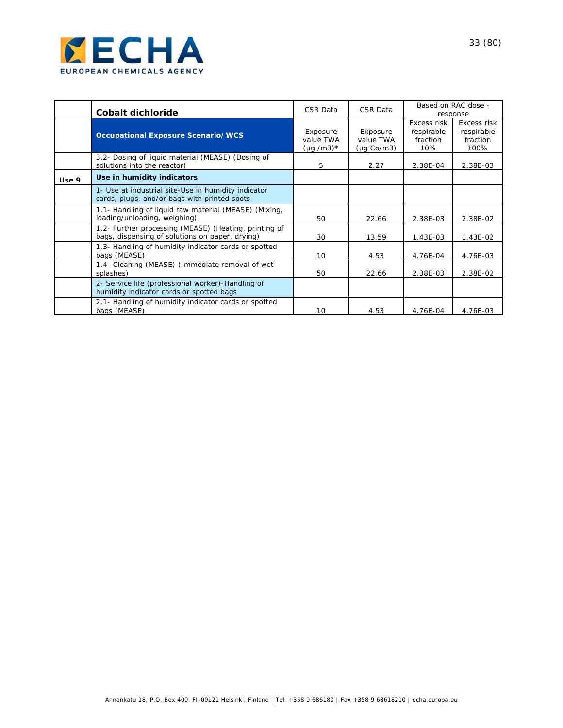

|       | Cobalt dichloride                                                                                        | CSR Data                                | CSR Data                                         |                                              | Based on RAC dose -<br>response               |
|-------|----------------------------------------------------------------------------------------------------------|-----------------------------------------|--------------------------------------------------|----------------------------------------------|-----------------------------------------------|
|       | <b>Occupational Exposure Scenario/WCS</b>                                                                | Exposure<br>value TWA<br>$(\mu q/m3)^*$ | Exposure<br>value TWA<br>$(\mu q \text{ Co/m3})$ | Excess risk<br>respirable<br>fraction<br>10% | Excess risk<br>respirable<br>fraction<br>100% |
|       | 3.2- Dosing of liquid material (MEASE) (Dosing of<br>solutions into the reactor)                         | 5                                       | 2.27                                             | 2.38E-04                                     | 2.38E-03                                      |
| Use 9 | Use in humidity indicators                                                                               |                                         |                                                  |                                              |                                               |
|       | 1- Use at industrial site-Use in humidity indicator<br>cards, plugs, and/or bags with printed spots      |                                         |                                                  |                                              |                                               |
|       | 1.1- Handling of liquid raw material (MEASE) (Mixing,<br>loading/unloading, weighing)                    | 50                                      | 22.66                                            | 2.38E-03                                     | 2.38E-02                                      |
|       | 1.2- Further processing (MEASE) (Heating, printing of<br>bags, dispensing of solutions on paper, drying) | 30                                      | 13.59                                            | $1.43E-03$                                   | 1.43E-02                                      |
|       | 1.3- Handling of humidity indicator cards or spotted<br>bags (MEASE)                                     | 10                                      | 4.53                                             | 4.76E-04                                     | 4.76E-03                                      |
|       | 1.4- Cleaning (MEASE) (Immediate removal of wet<br>splashes)                                             | 50                                      | 22.66                                            | 2.38E-03                                     | 2.38E-02                                      |
|       | 2- Service life (professional worker)-Handling of<br>humidity indicator cards or spotted bags            |                                         |                                                  |                                              |                                               |
|       | 2.1- Handling of humidity indicator cards or spotted<br>bags (MEASE)                                     | 10                                      | 4.53                                             | 4.76E-04                                     | 4.76E-03                                      |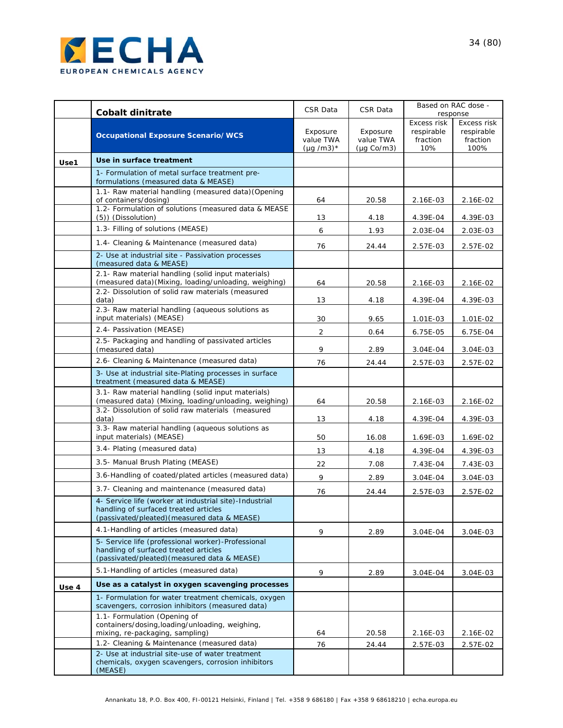

|       | <b>Cobalt dinitrate</b>                                                                                                                                           | CSR Data                                | CSR Data                            |                                              | Based on RAC dose -<br>response               |
|-------|-------------------------------------------------------------------------------------------------------------------------------------------------------------------|-----------------------------------------|-------------------------------------|----------------------------------------------|-----------------------------------------------|
|       | <b>Occupational Exposure Scenario/WCS</b>                                                                                                                         | Exposure<br>value TWA<br>$(\mu q/m3)^*$ | Exposure<br>value TWA<br>(µg Co/m3) | Excess risk<br>respirable<br>fraction<br>10% | Excess risk<br>respirable<br>fraction<br>100% |
| Use1  | Use in surface treatment                                                                                                                                          |                                         |                                     |                                              |                                               |
|       | 1- Formulation of metal surface treatment pre-<br>formulations (measured data & MEASE)                                                                            |                                         |                                     |                                              |                                               |
|       | 1.1- Raw material handling (measured data) (Opening<br>of containers/dosing)                                                                                      | 64                                      | 20.58                               |                                              | 2.16E-02                                      |
|       | 1.2- Formulation of solutions (measured data & MEASE<br>(5)) (Dissolution)                                                                                        | 13                                      | 4.18                                | 2.16E-03<br>4.39E-04                         | 4.39E-03                                      |
|       | 1.3- Filling of solutions (MEASE)                                                                                                                                 | 6                                       | 1.93                                | 2.03E-04                                     | 2.03E-03                                      |
|       | 1.4- Cleaning & Maintenance (measured data)                                                                                                                       | 76                                      | 24.44                               | 2.57E-03                                     | 2.57E-02                                      |
|       | 2- Use at industrial site - Passivation processes<br>(measured data & MEASE)                                                                                      |                                         |                                     |                                              |                                               |
|       | 2.1- Raw material handling (solid input materials)<br>(measured data) (Mixing, loading/unloading, weighing)                                                       | 64                                      | 20.58                               | 2.16E-03                                     | 2.16E-02                                      |
|       | 2.2- Dissolution of solid raw materials (measured<br>data)                                                                                                        | 13                                      | 4.18                                | 4.39E-04                                     | 4.39E-03                                      |
|       | 2.3- Raw material handling (aqueous solutions as<br>input materials) (MEASE)                                                                                      | 30                                      | 9.65                                | 1.01E-03                                     | 1.01E-02                                      |
|       | 2.4- Passivation (MEASE)                                                                                                                                          | $\overline{2}$                          | 0.64                                | 6.75E-05                                     | 6.75E-04                                      |
|       | 2.5- Packaging and handling of passivated articles<br>(measured data)                                                                                             | 9                                       | 2.89                                | 3.04E-04                                     | $3.04E-03$                                    |
|       | 2.6- Cleaning & Maintenance (measured data)                                                                                                                       | 76                                      | 24.44                               | 2.57E-03                                     | 2.57E-02                                      |
|       | 3- Use at industrial site-Plating processes in surface<br>treatment (measured data & MEASE)                                                                       |                                         |                                     |                                              |                                               |
|       | 3.1- Raw material handling (solid input materials)<br>(measured data) (Mixing, loading/unloading, weighing)                                                       | 64                                      | 20.58                               | 2.16E-03                                     | 2.16E-02                                      |
|       | 3.2- Dissolution of solid raw materials (measured<br>data)                                                                                                        | 13                                      | 4.18                                | 4.39E-04                                     | 4.39E-03                                      |
|       | 3.3- Raw material handling (aqueous solutions as<br>input materials) (MEASE)                                                                                      | 50                                      | 16.08                               | 1.69E-03                                     | 1.69E-02                                      |
|       | 3.4- Plating (measured data)                                                                                                                                      | 13                                      | 4.18                                | 4.39E-04                                     | 4.39E-03                                      |
|       | 3.5- Manual Brush Plating (MEASE)                                                                                                                                 | 22                                      | 7.08                                | 7.43E-04                                     | 7.43E-03                                      |
|       | 3.6-Handling of coated/plated articles (measured data)                                                                                                            | 9                                       | 2.89                                | 3.04E-04                                     | 3.04E-03                                      |
|       | 3.7- Cleaning and maintenance (measured data)                                                                                                                     | 76                                      | 24.44                               | 2.57E-03                                     | 2.57E-02                                      |
|       | 4- Service life (worker at industrial site)-Industrial<br>handling of surfaced treated articles<br>(passivated/pleated) (measured data & MEASE)                   |                                         |                                     |                                              |                                               |
|       | 4.1-Handling of articles (measured data)                                                                                                                          | 9                                       | 2.89                                | 3.04E-04                                     | 3.04E-03                                      |
|       | 5- Service life (professional worker)-Professional<br>handling of surfaced treated articles<br>(passivated/pleated) (measured data & MEASE)                       |                                         |                                     |                                              |                                               |
|       | 5.1-Handling of articles (measured data)                                                                                                                          | 9                                       | 2.89                                | 3.04E-04                                     | 3.04E-03                                      |
| Use 4 | Use as a catalyst in oxygen scavenging processes                                                                                                                  |                                         |                                     |                                              |                                               |
|       | 1- Formulation for water treatment chemicals, oxygen<br>scavengers, corrosion inhibitors (measured data)                                                          |                                         |                                     |                                              |                                               |
|       | 1.1- Formulation (Opening of<br>containers/dosing, loading/unloading, weighing,<br>mixing, re-packaging, sampling)<br>1.2- Cleaning & Maintenance (measured data) | 64                                      | 20.58                               | 2.16E-03                                     | 2.16E-02                                      |
|       | 2- Use at industrial site-use of water treatment<br>chemicals, oxygen scavengers, corrosion inhibitors<br>(MEASE)                                                 | 76                                      | 24.44                               | 2.57E-03                                     | 2.57E-02                                      |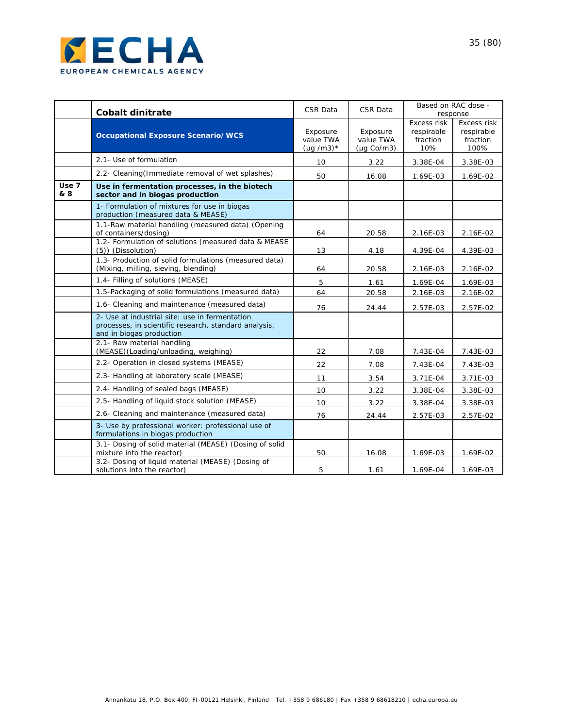

|              | <b>Cobalt dinitrate</b>                                                                                                             | CSR Data                                | CSR Data                                         | Based on RAC dose -<br>response              |                                               |
|--------------|-------------------------------------------------------------------------------------------------------------------------------------|-----------------------------------------|--------------------------------------------------|----------------------------------------------|-----------------------------------------------|
|              | <b>Occupational Exposure Scenario/WCS</b>                                                                                           | Exposure<br>value TWA<br>$(\mu q/m3)^*$ | Exposure<br>value TWA<br>$(\mu q \text{ Co/m3})$ | Excess risk<br>respirable<br>fraction<br>10% | Excess risk<br>respirable<br>fraction<br>100% |
|              | 2.1- Use of formulation                                                                                                             | 10                                      | 3.22                                             | 3.38E-04                                     | 3.38E-03                                      |
|              | 2.2- Cleaning (Immediate removal of wet splashes)                                                                                   | 50                                      | 16.08                                            | 1.69E-03                                     | 1.69E-02                                      |
| Use 7<br>& 8 | Use in fermentation processes, in the biotech<br>sector and in biogas production                                                    |                                         |                                                  |                                              |                                               |
|              | 1- Formulation of mixtures for use in biogas<br>production (measured data & MEASE)                                                  |                                         |                                                  |                                              |                                               |
|              | 1.1-Raw material handling (measured data) (Opening<br>of containers/dosing)                                                         | 64                                      | 20.58                                            | 2.16E-03                                     | 2.16E-02                                      |
|              | 1.2- Formulation of solutions (measured data & MEASE<br>(5)) (Dissolution)                                                          | 13                                      | 4.18                                             | 4.39E-04                                     | 4.39E-03                                      |
|              | 1.3- Production of solid formulations (measured data)<br>(Mixing, milling, sieving, blending)                                       | 64                                      | 20.58                                            | 2.16E-03                                     | 2.16E-02                                      |
|              | 1.4- Filling of solutions (MEASE)                                                                                                   | 5                                       | 1.61                                             | 1.69E-04                                     | 1.69E-03                                      |
|              | 1.5-Packaging of solid formulations (measured data)                                                                                 | 64                                      | 20.58                                            | 2.16E-03                                     | 2.16E-02                                      |
|              | 1.6- Cleaning and maintenance (measured data)                                                                                       | 76                                      | 24.44                                            | 2.57E-03                                     | 2.57E-02                                      |
|              | 2- Use at industrial site: use in fermentation<br>processes, in scientific research, standard analysis,<br>and in biogas production |                                         |                                                  |                                              |                                               |
|              | 2.1- Raw material handling<br>(MEASE)(Loading/unloading, weighing)                                                                  | 22                                      | 7.08                                             | 7.43E-04                                     | 7.43E-03                                      |
|              | 2.2- Operation in closed systems (MEASE)                                                                                            | 22                                      | 7.08                                             | 7.43E-04                                     | 7.43E-03                                      |
|              | 2.3- Handling at laboratory scale (MEASE)                                                                                           | 11                                      | 3.54                                             | 3.71E-04                                     | 3.71E-03                                      |
|              | 2.4- Handling of sealed bags (MEASE)                                                                                                | 10                                      | 3.22                                             | 3.38E-04                                     | 3.38E-03                                      |
|              | 2.5- Handling of liquid stock solution (MEASE)                                                                                      | 10                                      | 3.22                                             | 3.38E-04                                     | 3.38E-03                                      |
|              | 2.6- Cleaning and maintenance (measured data)                                                                                       | 76                                      | 24.44                                            | 2.57E-03                                     | 2.57E-02                                      |
|              | 3- Use by professional worker: professional use of<br>formulations in biogas production                                             |                                         |                                                  |                                              |                                               |
|              | 3.1- Dosing of solid material (MEASE) (Dosing of solid<br>mixture into the reactor)                                                 | 50                                      | 16.08                                            | 1.69E-03                                     | 1.69E-02                                      |
|              | 3.2- Dosing of liquid material (MEASE) (Dosing of<br>solutions into the reactor)                                                    | 5                                       | 1.61                                             | 1.69E-04                                     | 1.69E-03                                      |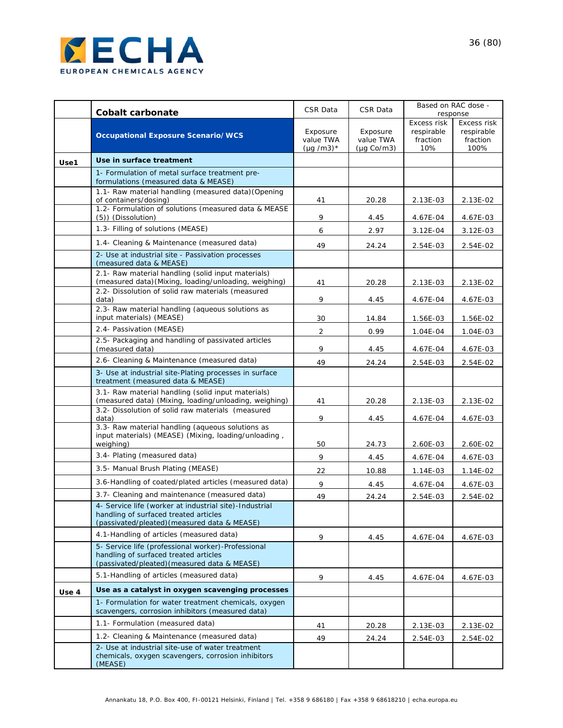

|       | <b>Cobalt carbonate</b>                                                                                                                         | CSR Data                                | CSR Data                                         | Based on RAC dose -<br>response                     |                                               |
|-------|-------------------------------------------------------------------------------------------------------------------------------------------------|-----------------------------------------|--------------------------------------------------|-----------------------------------------------------|-----------------------------------------------|
|       | <b>Occupational Exposure Scenario/WCS</b>                                                                                                       | Exposure<br>value TWA<br>$(\mu q/m3)^*$ | Exposure<br>value TWA<br>$(\mu q \text{ Co/m3})$ | <b>Excess risk</b><br>respirable<br>fraction<br>10% | Excess risk<br>respirable<br>fraction<br>100% |
| Use1  | Use in surface treatment                                                                                                                        |                                         |                                                  |                                                     |                                               |
|       | 1- Formulation of metal surface treatment pre-<br>formulations (measured data & MEASE)                                                          |                                         |                                                  |                                                     |                                               |
|       | 1.1- Raw material handling (measured data) (Opening                                                                                             |                                         |                                                  |                                                     |                                               |
|       | of containers/dosing)<br>1.2- Formulation of solutions (measured data & MEASE<br>(5)) (Dissolution)                                             | 41<br>9                                 | 20.28<br>4.45                                    | 2.13E-03<br>4.67E-04                                | 2.13E-02<br>4.67E-03                          |
|       | 1.3- Filling of solutions (MEASE)                                                                                                               | 6                                       | 2.97                                             | 3.12E-04                                            | $3.12E-03$                                    |
|       | 1.4- Cleaning & Maintenance (measured data)                                                                                                     | 49                                      | 24.24                                            | 2.54E-03                                            | 2.54E-02                                      |
|       | 2- Use at industrial site - Passivation processes<br>(measured data & MEASE)                                                                    |                                         |                                                  |                                                     |                                               |
|       | 2.1- Raw material handling (solid input materials)<br>(measured data) (Mixing, loading/unloading, weighing)                                     | 41                                      | 20.28                                            | 2.13E-03                                            | 2.13E-02                                      |
|       | 2.2- Dissolution of solid raw materials (measured<br>data)                                                                                      | 9                                       | 4.45                                             | 4.67E-04                                            | 4.67E-03                                      |
|       | 2.3- Raw material handling (aqueous solutions as<br>input materials) (MEASE)                                                                    | 30                                      | 14.84                                            | 1.56E-03                                            | 1.56E-02                                      |
|       | 2.4- Passivation (MEASE)                                                                                                                        | 2                                       | 0.99                                             | 1.04E-04                                            | 1.04E-03                                      |
|       | 2.5- Packaging and handling of passivated articles<br>(measured data)                                                                           | 9                                       | 4.45                                             | 4.67E-04                                            | 4.67E-03                                      |
|       | 2.6- Cleaning & Maintenance (measured data)                                                                                                     | 49                                      | 24.24                                            | 2.54E-03                                            | 2.54E-02                                      |
|       | 3- Use at industrial site-Plating processes in surface<br>treatment (measured data & MEASE)                                                     |                                         |                                                  |                                                     |                                               |
|       | 3.1- Raw material handling (solid input materials)<br>(measured data) (Mixing, loading/unloading, weighing)                                     | 41                                      | 20.28                                            | 2.13E-03                                            | 2.13E-02                                      |
|       | 3.2- Dissolution of solid raw materials (measured<br>data)                                                                                      | 9                                       | 4.45                                             | 4.67E-04                                            | 4.67E-03                                      |
|       | 3.3- Raw material handling (aqueous solutions as<br>input materials) (MEASE) (Mixing, loading/unloading,<br>weighing)                           | 50                                      | 24.73                                            | 2.60E-03                                            | 2.60E-02                                      |
|       | 3.4- Plating (measured data)                                                                                                                    | 9                                       | 4.45                                             | 4.67E-04                                            | 4.67E-03                                      |
|       | 3.5- Manual Brush Plating (MEASE)                                                                                                               | 22                                      | 10.88                                            | 1.14E-03                                            | $1.14E-02$                                    |
|       | 3.6-Handling of coated/plated articles (measured data)                                                                                          | 9                                       | 4.45                                             | 4.67E-04                                            | 4.67E-03                                      |
|       | 3.7- Cleaning and maintenance (measured data)                                                                                                   | 49                                      | 24.24                                            | 2.54E-03                                            | 2.54E-02                                      |
|       | 4- Service life (worker at industrial site)-Industrial<br>handling of surfaced treated articles<br>(passivated/pleated) (measured data & MEASE) |                                         |                                                  |                                                     |                                               |
|       | 4.1-Handling of articles (measured data)                                                                                                        | 9                                       | 4.45                                             | 4.67E-04                                            | 4.67E-03                                      |
|       | 5- Service life (professional worker)-Professional<br>handling of surfaced treated articles<br>(passivated/pleated) (measured data & MEASE)     |                                         |                                                  |                                                     |                                               |
|       | 5.1-Handling of articles (measured data)                                                                                                        | 9                                       | 4.45                                             | 4.67E-04                                            | 4.67E-03                                      |
| Use 4 | Use as a catalyst in oxygen scavenging processes                                                                                                |                                         |                                                  |                                                     |                                               |
|       | 1- Formulation for water treatment chemicals, oxygen<br>scavengers, corrosion inhibitors (measured data)                                        |                                         |                                                  |                                                     |                                               |
|       | 1.1- Formulation (measured data)                                                                                                                | 41                                      | 20.28                                            | 2.13E-03                                            | 2.13E-02                                      |
|       | 1.2- Cleaning & Maintenance (measured data)                                                                                                     | 49                                      | 24.24                                            | 2.54E-03                                            | 2.54E-02                                      |
|       | 2- Use at industrial site-use of water treatment<br>chemicals, oxygen scavengers, corrosion inhibitors<br>(MEASE)                               |                                         |                                                  |                                                     |                                               |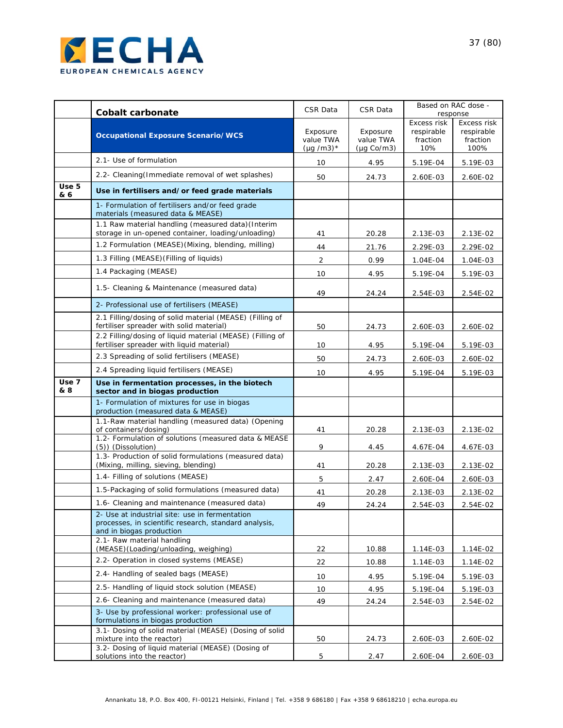

|              | <b>Cobalt carbonate</b>                                                                                                             | CSR Data                                | CSR Data                                         |                                              | Based on RAC dose -<br>response               |
|--------------|-------------------------------------------------------------------------------------------------------------------------------------|-----------------------------------------|--------------------------------------------------|----------------------------------------------|-----------------------------------------------|
|              | <b>Occupational Exposure Scenario/WCS</b>                                                                                           | Exposure<br>value TWA<br>$(\mu q/m3)^*$ | Exposure<br>value TWA<br>$(\mu q \text{ Co/m3})$ | Excess risk<br>respirable<br>fraction<br>10% | Excess risk<br>respirable<br>fraction<br>100% |
|              | 2.1- Use of formulation                                                                                                             | 10                                      | 4.95                                             | $5.19E - 04$                                 | 5.19E-03                                      |
|              | 2.2- Cleaning (Immediate removal of wet splashes)                                                                                   | 50                                      | 24.73                                            | 2.60E-03                                     | 2.60E-02                                      |
| Use 5<br>& 6 | Use in fertilisers and/or feed grade materials                                                                                      |                                         |                                                  |                                              |                                               |
|              | 1- Formulation of fertilisers and/or feed grade<br>materials (measured data & MEASE)                                                |                                         |                                                  |                                              |                                               |
|              | 1.1 Raw material handling (measured data) (Interim<br>storage in un-opened container, loading/unloading)                            | 41                                      | 20.28                                            | 2.13E-03                                     | 2.13E-02                                      |
|              | 1.2 Formulation (MEASE) (Mixing, blending, milling)                                                                                 | 44                                      | 21.76                                            | 2.29E-03                                     | 2.29E-02                                      |
|              | 1.3 Filling (MEASE) (Filling of liquids)                                                                                            | $\overline{2}$                          | 0.99                                             | 1.04E-04                                     | 1.04E-03                                      |
|              | 1.4 Packaging (MEASE)                                                                                                               | 10                                      | 4.95                                             | 5.19E-04                                     | 5.19E-03                                      |
|              | 1.5- Cleaning & Maintenance (measured data)                                                                                         | 49                                      | 24.24                                            | 2.54E-03                                     | 2.54E-02                                      |
|              | 2- Professional use of fertilisers (MEASE)                                                                                          |                                         |                                                  |                                              |                                               |
|              | 2.1 Filling/dosing of solid material (MEASE) (Filling of<br>fertiliser spreader with solid material)                                | 50                                      | 24.73                                            | 2.60E-03                                     | 2.60E-02                                      |
|              | 2.2 Filling/dosing of liquid material (MEASE) (Filling of<br>fertiliser spreader with liquid material)                              | 10                                      | 4.95                                             | 5.19E-04                                     | 5.19E-03                                      |
|              | 2.3 Spreading of solid fertilisers (MEASE)                                                                                          | 50                                      | 24.73                                            | 2.60E-03                                     | 2.60E-02                                      |
|              | 2.4 Spreading liquid fertilisers (MEASE)                                                                                            | 10                                      | 4.95                                             | 5.19E-04                                     | 5.19E-03                                      |
| Use 7<br>& 8 | Use in fermentation processes, in the biotech<br>sector and in biogas production                                                    |                                         |                                                  |                                              |                                               |
|              | 1- Formulation of mixtures for use in biogas<br>production (measured data & MEASE)                                                  |                                         |                                                  |                                              |                                               |
|              | 1.1-Raw material handling (measured data) (Opening<br>of containers/dosing)                                                         | 41                                      | 20.28                                            | 2.13E-03                                     | 2.13E-02                                      |
|              | 1.2- Formulation of solutions (measured data & MEASE<br>(5)) (Dissolution)                                                          | 9                                       | 4.45                                             | 4.67E-04                                     | 4.67E-03                                      |
|              | 1.3- Production of solid formulations (measured data)<br>(Mixing, milling, sieving, blending)                                       | 41                                      | 20.28                                            | 2.13E-03                                     | 2.13E-02                                      |
|              | 1.4- Filling of solutions (MEASE)                                                                                                   | 5                                       | 2.47                                             | 2.60E-04                                     | 2.60E-03                                      |
|              | 1.5-Packaging of solid formulations (measured data)                                                                                 | 41                                      | 20.28                                            | 2.13E-03                                     | 2.13E-02                                      |
|              | 1.6- Cleaning and maintenance (measured data)                                                                                       | 49                                      | 24.24                                            | 2.54E-03                                     | 2.54E-02                                      |
|              | 2- Use at industrial site: use in fermentation<br>processes, in scientific research, standard analysis,<br>and in biogas production |                                         |                                                  |                                              |                                               |
|              | 2.1- Raw material handling<br>(MEASE)(Loading/unloading, weighing)                                                                  | 22                                      | 10.88                                            | 1.14E-03                                     | 1.14E-02                                      |
|              | 2.2- Operation in closed systems (MEASE)                                                                                            | 22                                      | 10.88                                            | 1.14E-03                                     | 1.14E-02                                      |
|              | 2.4- Handling of sealed bags (MEASE)                                                                                                | 10                                      | 4.95                                             | 5.19E-04                                     | 5.19E-03                                      |
|              | 2.5- Handling of liquid stock solution (MEASE)                                                                                      | 10                                      | 4.95                                             | 5.19E-04                                     | 5.19E-03                                      |
|              | 2.6- Cleaning and maintenance (measured data)                                                                                       | 49                                      | 24.24                                            | 2.54E-03                                     | 2.54E-02                                      |
|              | 3- Use by professional worker: professional use of<br>formulations in biogas production                                             |                                         |                                                  |                                              |                                               |
|              | 3.1- Dosing of solid material (MEASE) (Dosing of solid<br>mixture into the reactor)                                                 | 50                                      | 24.73                                            | 2.60E-03                                     | 2.60E-02                                      |
|              | 3.2- Dosing of liquid material (MEASE) (Dosing of<br>solutions into the reactor)                                                    | 5                                       | 2.47                                             | 2.60E-04                                     | 2.60E-03                                      |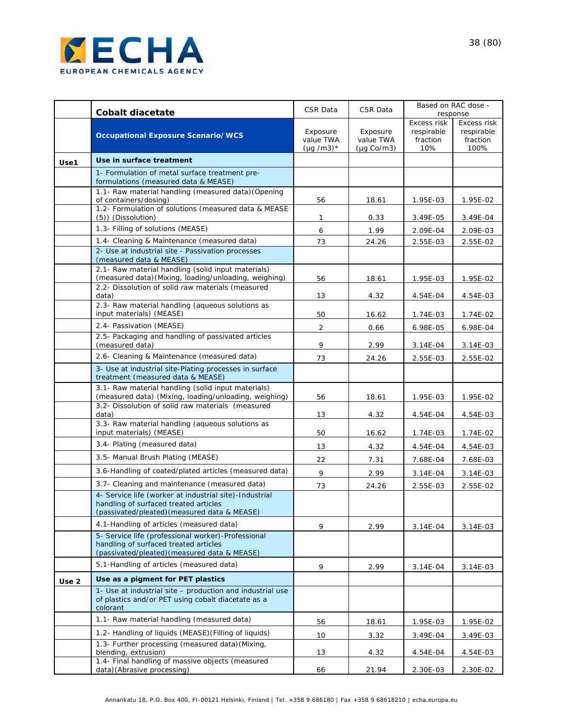

|       |                                                                                                                                                 | CSR Data                                | CSR Data                                         | Based on RAC dose -           |                                |  |
|-------|-------------------------------------------------------------------------------------------------------------------------------------------------|-----------------------------------------|--------------------------------------------------|-------------------------------|--------------------------------|--|
|       | <b>Cobalt diacetate</b>                                                                                                                         |                                         |                                                  | Excess risk                   | response<br>Excess risk        |  |
|       | <b>Occupational Exposure Scenario/WCS</b>                                                                                                       | Exposure<br>value TWA<br>$(\mu q/m3)^*$ | Exposure<br>value TWA<br>$(\mu q \text{ Co/m3})$ | respirable<br>fraction<br>10% | respirable<br>fraction<br>100% |  |
| Use1  | Use in surface treatment                                                                                                                        |                                         |                                                  |                               |                                |  |
|       | 1- Formulation of metal surface treatment pre-<br>formulations (measured data & MEASE)                                                          |                                         |                                                  |                               |                                |  |
|       | 1.1- Raw material handling (measured data) (Opening<br>of containers/dosing)                                                                    | 56                                      |                                                  |                               |                                |  |
|       | 1.2- Formulation of solutions (measured data & MEASE<br>(5)) (Dissolution)                                                                      | 1                                       | 18.61<br>0.33                                    | 1.95E-03<br>3.49E-05          | 1.95E-02<br>3.49E-04           |  |
|       | 1.3- Filling of solutions (MEASE)                                                                                                               | 6                                       | 1.99                                             | 2.09E-04                      | 2.09E-03                       |  |
|       | 1.4- Cleaning & Maintenance (measured data)                                                                                                     | 73                                      | 24.26                                            | 2.55E-03                      | 2.55E-02                       |  |
|       | 2- Use at industrial site - Passivation processes<br>(measured data & MEASE)                                                                    |                                         |                                                  |                               |                                |  |
|       | 2.1- Raw material handling (solid input materials)<br>(measured data) (Mixing, loading/unloading, weighing)                                     | 56                                      | 18.61                                            | 1.95E-03                      | 1.95E-02                       |  |
|       | 2.2- Dissolution of solid raw materials (measured<br>data)                                                                                      | 13                                      | 4.32                                             | 4.54E-04                      | 4.54E-03                       |  |
|       | 2.3- Raw material handling (aqueous solutions as<br>input materials) (MEASE)                                                                    | 50                                      | 16.62                                            | 1.74E-03                      | 1.74E-02                       |  |
|       | 2.4- Passivation (MEASE)                                                                                                                        | $\overline{2}$                          | 0.66                                             | 6.98E-05                      | 6.98E-04                       |  |
|       | 2.5- Packaging and handling of passivated articles<br>(measured data)                                                                           | 9                                       | 2.99                                             | 3.14E-04                      | 3.14E-03                       |  |
|       | 2.6- Cleaning & Maintenance (measured data)                                                                                                     | 73                                      | 24.26                                            | 2.55E-03                      | 2.55E-02                       |  |
|       | 3- Use at industrial site-Plating processes in surface<br>treatment (measured data & MEASE)                                                     |                                         |                                                  |                               |                                |  |
|       | 3.1- Raw material handling (solid input materials)<br>(measured data) (Mixing, loading/unloading, weighing)                                     | 56                                      | 18.61                                            | 1.95E-03                      | 1.95E-02                       |  |
|       | 3.2- Dissolution of solid raw materials (measured<br>data)                                                                                      | 13                                      | 4.32                                             | 4.54E-04                      | 4.54E-03                       |  |
|       | 3.3- Raw material handling (aqueous solutions as<br>input materials) (MEASE)                                                                    | 50                                      | 16.62                                            | 1.74E-03                      | 1.74E-02                       |  |
|       | 3.4- Plating (measured data)                                                                                                                    | 13                                      | 4.32                                             | 4.54E-04                      | 4.54E-03                       |  |
|       | 3.5- Manual Brush Plating (MEASE)                                                                                                               | 22                                      | 7.31                                             | 7.68E-04                      | 7.68E-03                       |  |
|       | 3.6-Handling of coated/plated articles (measured data)                                                                                          | 9                                       | 2.99                                             | 3.14E-04                      | $3.14E-03$                     |  |
|       | 3.7- Cleaning and maintenance (measured data)                                                                                                   | 73                                      | 24.26                                            | 2.55E-03                      | 2.55E-02                       |  |
|       | 4- Service life (worker at industrial site)-Industrial<br>handling of surfaced treated articles<br>(passivated/pleated) (measured data & MEASE) |                                         |                                                  |                               |                                |  |
|       | 4.1-Handling of articles (measured data)                                                                                                        | 9                                       | 2.99                                             | 3.14E-04                      | 3.14E-03                       |  |
|       | 5- Service life (professional worker)-Professional<br>handling of surfaced treated articles<br>(passivated/pleated) (measured data & MEASE)     |                                         |                                                  |                               |                                |  |
|       | 5.1-Handling of articles (measured data)                                                                                                        | 9                                       | 2.99                                             | 3.14E-04                      | 3.14E-03                       |  |
| Use 2 | Use as a pigment for PET plastics                                                                                                               |                                         |                                                  |                               |                                |  |
|       | 1- Use at industrial site – production and industrial use<br>of plastics and/or PET using cobalt diacetate as a<br>colorant                     |                                         |                                                  |                               |                                |  |
|       | 1.1- Raw material handling (measured data)                                                                                                      | 56                                      | 18.61                                            | 1.95E-03                      | 1.95E-02                       |  |
|       | 1.2- Handling of liquids (MEASE) (Filling of liquids)                                                                                           | 10                                      | 3.32                                             | 3.49E-04                      | $3.49E - 03$                   |  |
|       | 1.3- Further processing (measured data) (Mixing,<br>blending, extrusion)                                                                        | 13                                      | 4.32                                             | 4.54E-04                      | 4.54E-03                       |  |
|       | 1.4- Final handling of massive objects (measured<br>data) (Abrasive processing)                                                                 | 66                                      | 21.94                                            | 2.30E-03                      | 2.30E-02                       |  |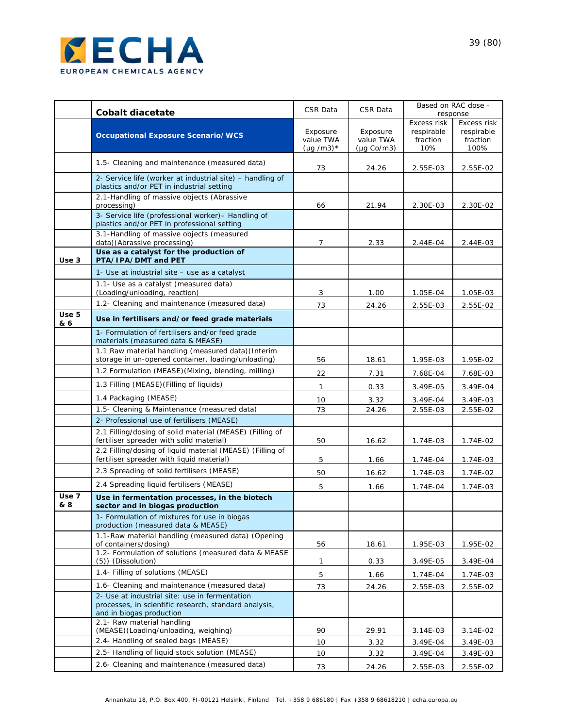

|              | <b>Cobalt diacetate</b>                                                                                                             | CSR Data                                | <b>CSR Data</b>                                  | Based on RAC dose -<br>response              |                                               |
|--------------|-------------------------------------------------------------------------------------------------------------------------------------|-----------------------------------------|--------------------------------------------------|----------------------------------------------|-----------------------------------------------|
|              | <b>Occupational Exposure Scenario/WCS</b>                                                                                           | Exposure<br>value TWA<br>$(\mu q/m3)^*$ | Exposure<br>value TWA<br>$(\mu g \text{ Co/m3})$ | Excess risk<br>respirable<br>fraction<br>10% | Excess risk<br>respirable<br>fraction<br>100% |
|              | 1.5- Cleaning and maintenance (measured data)                                                                                       | 73                                      | 24.26                                            | 2.55E-03                                     | 2.55E-02                                      |
|              | 2- Service life (worker at industrial site) – handling of<br>plastics and/or PET in industrial setting                              |                                         |                                                  |                                              |                                               |
|              | 2.1-Handling of massive objects (Abrassive<br>processing)                                                                           | 66                                      | 21.94                                            | 2.30E-03                                     | 2.30E-02                                      |
|              | 3- Service life (professional worker)- Handling of<br>plastics and/or PET in professional setting                                   |                                         |                                                  |                                              |                                               |
|              | 3.1-Handling of massive objects (measured<br>data)(Abrassive processing)                                                            | $\overline{7}$                          | 2.33                                             | 2.44E-04                                     | 2.44E-03                                      |
| Use 3        | Use as a catalyst for the production of<br>PTA/IPA/DMT and PET                                                                      |                                         |                                                  |                                              |                                               |
|              | 1- Use at industrial site - use as a catalyst                                                                                       |                                         |                                                  |                                              |                                               |
|              | 1.1- Use as a catalyst (measured data)<br>(Loading/unloading, reaction)                                                             | 3                                       | 1.00                                             | 1.05E-04                                     | 1.05E-03                                      |
|              | 1.2- Cleaning and maintenance (measured data)                                                                                       | 73                                      | 24.26                                            | 2.55E-03                                     | 2.55E-02                                      |
| Use 5<br>& 6 | Use in fertilisers and/or feed grade materials                                                                                      |                                         |                                                  |                                              |                                               |
|              | 1- Formulation of fertilisers and/or feed grade<br>materials (measured data & MEASE)                                                |                                         |                                                  |                                              |                                               |
|              | 1.1 Raw material handling (measured data) (Interim<br>storage in un-opened container, loading/unloading)                            | 56                                      | 18.61                                            | 1.95E-03                                     | 1.95E-02                                      |
|              | 1.2 Formulation (MEASE)(Mixing, blending, milling)                                                                                  | 22                                      | 7.31                                             | 7.68E-04                                     | 7.68E-03                                      |
|              | 1.3 Filling (MEASE) (Filling of liquids)                                                                                            | 1                                       | 0.33                                             | 3.49E-05                                     | 3.49E-04                                      |
|              | 1.4 Packaging (MEASE)                                                                                                               | 10                                      | 3.32                                             | 3.49E-04                                     | 3.49E-03                                      |
|              | 1.5- Cleaning & Maintenance (measured data)                                                                                         | 73                                      | 24.26                                            | 2.55E-03                                     | 2.55E-02                                      |
|              | 2- Professional use of fertilisers (MEASE)                                                                                          |                                         |                                                  |                                              |                                               |
|              | 2.1 Filling/dosing of solid material (MEASE) (Filling of<br>fertiliser spreader with solid material)                                | 50                                      | 16.62                                            | 1.74E-03                                     | 1.74E-02                                      |
|              | 2.2 Filling/dosing of liquid material (MEASE) (Filling of<br>fertiliser spreader with liquid material)                              | 5                                       | 1.66                                             | 1.74E-04                                     | 1.74E-03                                      |
|              | 2.3 Spreading of solid fertilisers (MEASE)                                                                                          | 50                                      | 16.62                                            | 1.74E-03                                     | 1.74E-02                                      |
|              | 2.4 Spreading liquid fertilisers (MEASE)                                                                                            | 5                                       | 1.66                                             | 1.74E-04                                     | 1.74E-03                                      |
| Use 7<br>& 8 | Use in fermentation processes, in the biotech<br>sector and in biogas production                                                    |                                         |                                                  |                                              |                                               |
|              | 1- Formulation of mixtures for use in biogas<br>production (measured data & MEASE)                                                  |                                         |                                                  |                                              |                                               |
|              | 1.1-Raw material handling (measured data) (Opening<br>of containers/dosing)                                                         | 56                                      | 18.61                                            | 1.95E-03                                     | 1.95E-02                                      |
|              | 1.2- Formulation of solutions (measured data & MEASE<br>(5)) (Dissolution)                                                          | 1                                       | 0.33                                             | 3.49E-05                                     | 3.49E-04                                      |
|              | 1.4- Filling of solutions (MEASE)                                                                                                   | 5                                       | 1.66                                             | 1.74E-04                                     | 1.74E-03                                      |
|              | 1.6- Cleaning and maintenance (measured data)                                                                                       | 73                                      | 24.26                                            | 2.55E-03                                     | 2.55E-02                                      |
|              | 2- Use at industrial site: use in fermentation<br>processes, in scientific research, standard analysis,<br>and in biogas production |                                         |                                                  |                                              |                                               |
|              | 2.1- Raw material handling<br>(MEASE)(Loading/unloading, weighing)                                                                  | 90                                      | 29.91                                            | 3.14E-03                                     | 3.14E-02                                      |
|              | 2.4- Handling of sealed bags (MEASE)                                                                                                | 10                                      | 3.32                                             | 3.49E-04                                     | 3.49E-03                                      |
|              | 2.5- Handling of liquid stock solution (MEASE)                                                                                      | 10                                      | 3.32                                             | 3.49E-04                                     | 3.49E-03                                      |
|              | 2.6- Cleaning and maintenance (measured data)                                                                                       | 73                                      | 24.26                                            | 2.55E-03                                     | 2.55E-02                                      |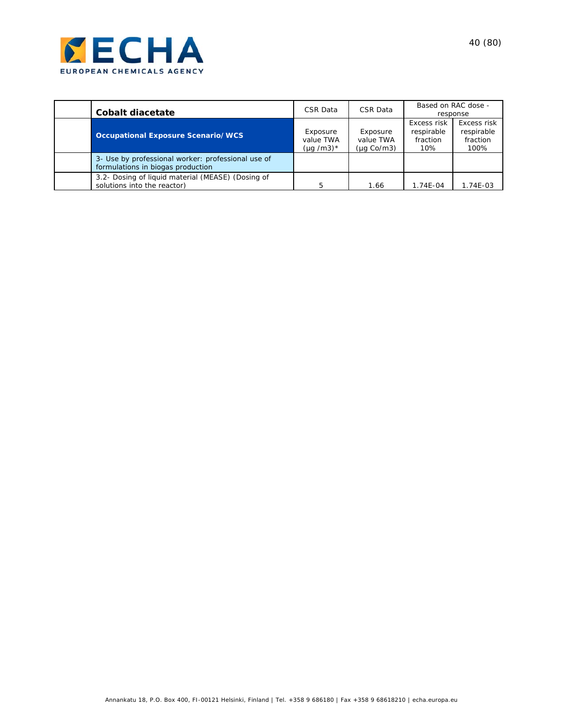

| Cobalt diacetate                                                                        | CSR Data                                | CSR Data                            | Based on RAC dose -                          | response                                      |
|-----------------------------------------------------------------------------------------|-----------------------------------------|-------------------------------------|----------------------------------------------|-----------------------------------------------|
| <b>Occupational Exposure Scenario/WCS</b>                                               | Exposure<br>value TWA<br>$(\mu q/m3)^*$ | Exposure<br>value TWA<br>(µg Co/m3) | Excess risk<br>respirable<br>fraction<br>10% | Excess risk<br>respirable<br>fraction<br>100% |
| 3- Use by professional worker: professional use of<br>formulations in biogas production |                                         |                                     |                                              |                                               |
| 3.2- Dosing of liquid material (MEASE) (Dosing of<br>solutions into the reactor)        | 5                                       | 1.66                                | 1.74E-04                                     | 1.74E-03                                      |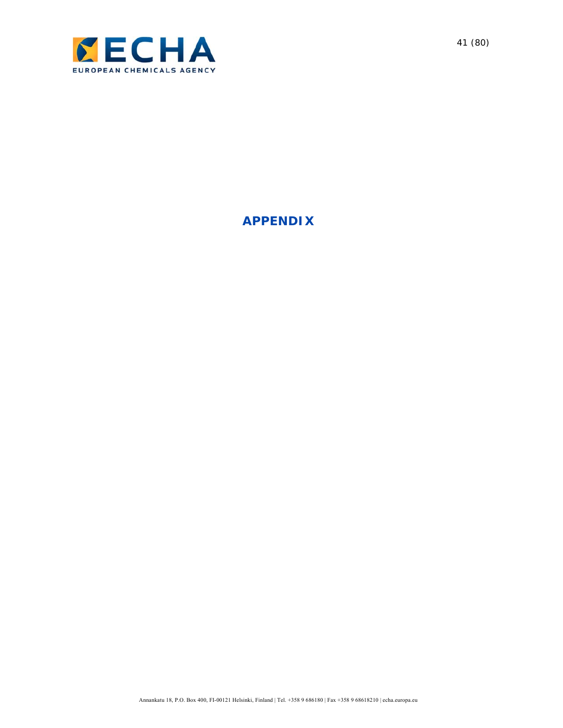

**APPENDIX**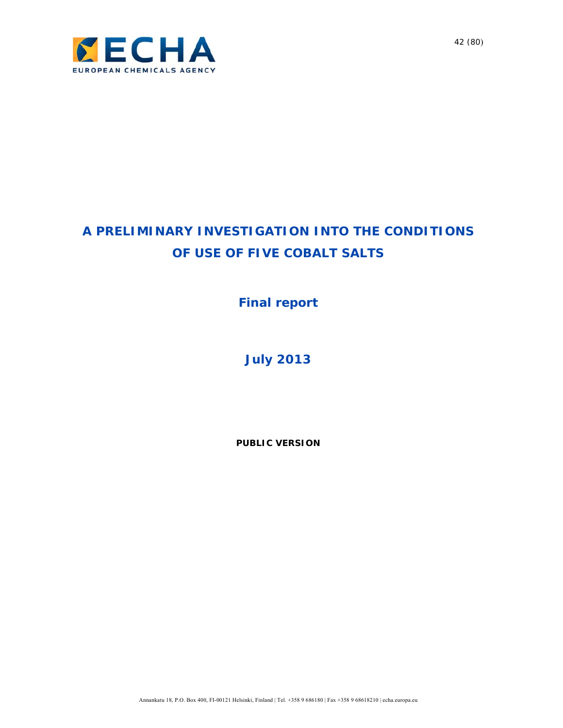

# **A PRELIMINARY INVESTIGATION INTO THE CONDITIONS OF USE OF FIVE COBALT SALTS**

**Final report** 

**July 2013**

**PUBLIC VERSION**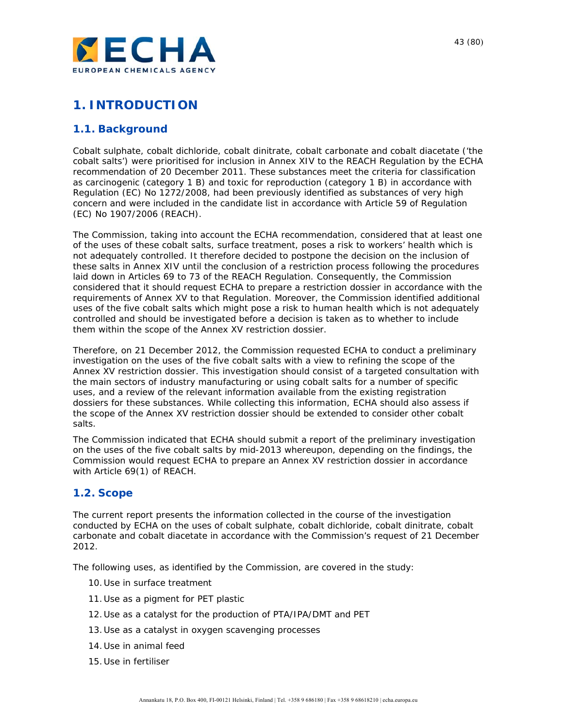

## **1. INTRODUCTION**

### **1.1. Background**

Cobalt sulphate, cobalt dichloride, cobalt dinitrate, cobalt carbonate and cobalt diacetate ('the cobalt salts') were prioritised for inclusion in Annex XIV to the REACH Regulation by the ECHA recommendation of 20 December 2011. These substances meet the criteria for classification as carcinogenic (category 1 B) and toxic for reproduction (category 1 B) in accordance with Regulation (EC) No 1272/2008, had been previously identified as substances of very high concern and were included in the candidate list in accordance with Article 59 of Regulation (EC) No 1907/2006 (REACH).

The Commission, taking into account the ECHA recommendation, considered that at least one of the uses of these cobalt salts, surface treatment, poses a risk to workers' health which is not adequately controlled. It therefore decided to postpone the decision on the inclusion of these salts in Annex XIV until the conclusion of a restriction process following the procedures laid down in Articles 69 to 73 of the REACH Regulation. Consequently, the Commission considered that it should request ECHA to prepare a restriction dossier in accordance with the requirements of Annex XV to that Regulation. Moreover, the Commission identified additional uses of the five cobalt salts which might pose a risk to human health which is not adequately controlled and should be investigated before a decision is taken as to whether to include them within the scope of the Annex XV restriction dossier.

Therefore, on 21 December 2012, the Commission requested ECHA to conduct a preliminary investigation on the uses of the five cobalt salts with a view to refining the scope of the Annex XV restriction dossier. This investigation should consist of a targeted consultation with the main sectors of industry manufacturing or using cobalt salts for a number of specific uses, and a review of the relevant information available from the existing registration dossiers for these substances. While collecting this information, ECHA should also assess if the scope of the Annex XV restriction dossier should be extended to consider other cobalt salts.

The Commission indicated that ECHA should submit a report of the preliminary investigation on the uses of the five cobalt salts by mid-2013 whereupon, depending on the findings, the Commission would request ECHA to prepare an Annex XV restriction dossier in accordance with Article 69(1) of REACH.

### **1.2. Scope**

The current report presents the information collected in the course of the investigation conducted by ECHA on the uses of cobalt sulphate, cobalt dichloride, cobalt dinitrate, cobalt carbonate and cobalt diacetate in accordance with the Commission's request of 21 December 2012.

The following uses, as identified by the Commission, are covered in the study:

- 10.Use in surface treatment
- 11.Use as a pigment for PET plastic
- 12.Use as a catalyst for the production of PTA/IPA/DMT and PET
- 13.Use as a catalyst in oxygen scavenging processes
- 14.Use in animal feed
- 15.Use in fertiliser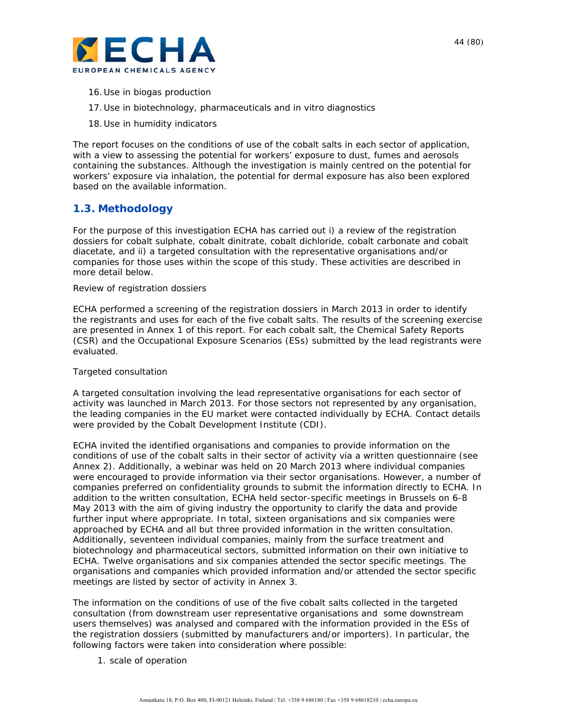

- 16.Use in biogas production
- 17.Use in biotechnology, pharmaceuticals and *in vitro* diagnostics
- 18.Use in humidity indicators

The report focuses on the conditions of use of the cobalt salts in each sector of application, with a view to assessing the potential for workers' exposure to dust, fumes and aerosols containing the substances. Although the investigation is mainly centred on the potential for workers' exposure via inhalation, the potential for dermal exposure has also been explored based on the available information.

### **1.3. Methodology**

For the purpose of this investigation ECHA has carried out i) a review of the registration dossiers for cobalt sulphate, cobalt dinitrate, cobalt dichloride, cobalt carbonate and cobalt diacetate, and ii) a targeted consultation with the representative organisations and/or companies for those uses within the scope of this study. These activities are described in more detail below.

#### *Review of registration dossiers*

ECHA performed a screening of the registration dossiers in March 2013 in order to identify the registrants and uses for each of the five cobalt salts. The results of the screening exercise are presented in Annex 1 of this report. For each cobalt salt, the Chemical Safety Reports (CSR) and the Occupational Exposure Scenarios (ESs) submitted by the lead registrants were evaluated.

#### *Targeted consultation*

A targeted consultation involving the lead representative organisations for each sector of activity was launched in March 2013. For those sectors not represented by any organisation, the leading companies in the EU market were contacted individually by ECHA. Contact details were provided by the Cobalt Development Institute (CDI).

ECHA invited the identified organisations and companies to provide information on the conditions of use of the cobalt salts in their sector of activity via a written questionnaire (see Annex 2). Additionally, a webinar was held on 20 March 2013 where individual companies were encouraged to provide information via their sector organisations. However, a number of companies preferred on confidentiality grounds to submit the information directly to ECHA. In addition to the written consultation, ECHA held sector-specific meetings in Brussels on 6-8 May 2013 with the aim of giving industry the opportunity to clarify the data and provide further input where appropriate. In total, sixteen organisations and six companies were approached by ECHA and all but three provided information in the written consultation. Additionally, seventeen individual companies, mainly from the surface treatment and biotechnology and pharmaceutical sectors, submitted information on their own initiative to ECHA. Twelve organisations and six companies attended the sector specific meetings. The organisations and companies which provided information and/or attended the sector specific meetings are listed by sector of activity in Annex 3.

The information on the conditions of use of the five cobalt salts collected in the targeted consultation (from downstream user representative organisations and some downstream users themselves) was analysed and compared with the information provided in the ESs of the registration dossiers (submitted by manufacturers and/or importers). In particular, the following factors were taken into consideration where possible:

1. scale of operation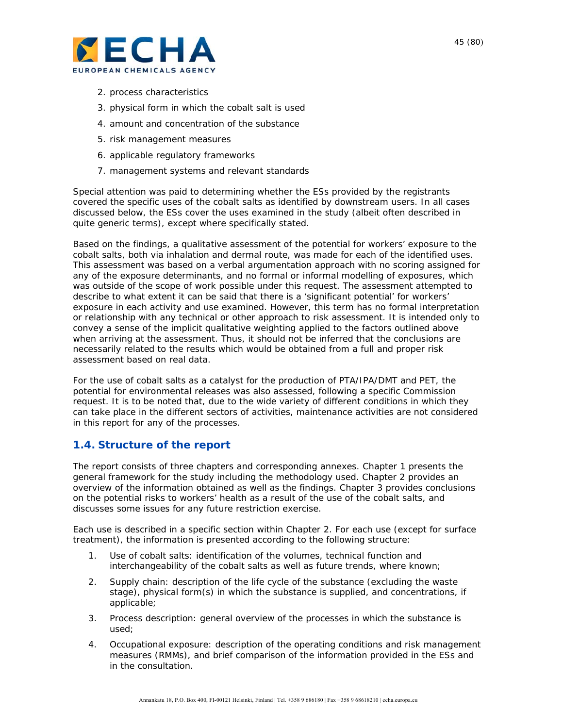

- 2. process characteristics
- 3. physical form in which the cobalt salt is used
- 4. amount and concentration of the substance
- 5. risk management measures
- 6. applicable regulatory frameworks
- 7. management systems and relevant standards

Special attention was paid to determining whether the ESs provided by the registrants covered the specific uses of the cobalt salts as identified by downstream users. In all cases discussed below, the ESs cover the uses examined in the study (albeit often described in quite generic terms), except where specifically stated.

Based on the findings, a qualitative assessment of the potential for workers' exposure to the cobalt salts, both via inhalation and dermal route, was made for each of the identified uses. This assessment was based on a verbal argumentation approach with no scoring assigned for any of the exposure determinants, and no formal or informal modelling of exposures, which was outside of the scope of work possible under this request. The assessment attempted to describe to what extent it can be said that there is a 'significant potential' for workers' exposure in each activity and use examined. However, this term has no formal interpretation or relationship with any technical or other approach to risk assessment. It is intended only to convey a sense of the implicit qualitative weighting applied to the factors outlined above when arriving at the assessment. Thus, it should not be inferred that the conclusions are necessarily related to the results which would be obtained from a full and proper risk assessment based on real data.

For the use of cobalt salts as a catalyst for the production of PTA/IPA/DMT and PET, the potential for environmental releases was also assessed, following a specific Commission request. It is to be noted that, due to the wide variety of different conditions in which they can take place in the different sectors of activities, maintenance activities are not considered in this report for any of the processes.

### **1.4. Structure of the report**

The report consists of three chapters and corresponding annexes. Chapter 1 presents the general framework for the study including the methodology used. Chapter 2 provides an overview of the information obtained as well as the findings. Chapter 3 provides conclusions on the potential risks to workers' health as a result of the use of the cobalt salts, and discusses some issues for any future restriction exercise.

Each use is described in a specific section within Chapter 2. For each use (except for surface treatment), the information is presented according to the following structure:

- 1. *Use of cobalt salts*: identification of the volumes, technical function and interchangeability of the cobalt salts as well as future trends, where known;
- 2. *Supply chain*: description of the life cycle of the substance (excluding the waste stage), physical form(s) in which the substance is supplied, and concentrations, if applicable;
- 3. *Process description*: general overview of the processes in which the substance is used;
- 4. *Occupational exposure*: description of the operating conditions and risk management measures (RMMs), and brief comparison of the information provided in the ESs and in the consultation.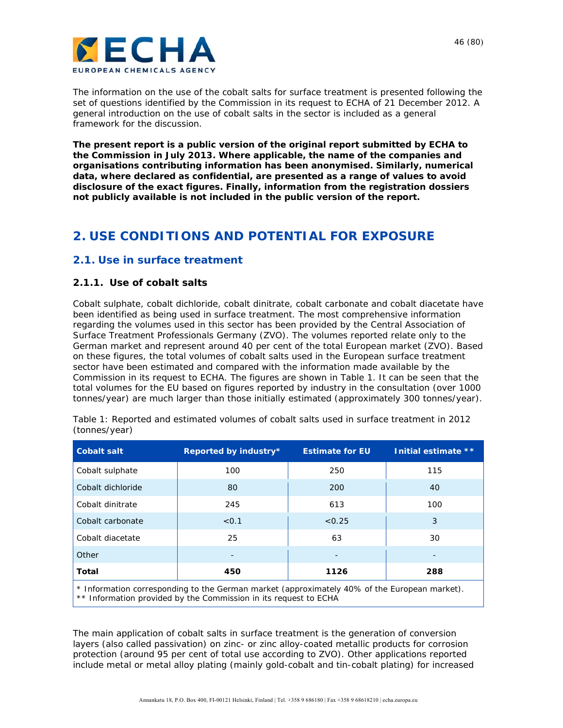



The information on the use of the cobalt salts for surface treatment is presented following the set of questions identified by the Commission in its request to ECHA of 21 December 2012. A general introduction on the use of cobalt salts in the sector is included as a general framework for the discussion.

*The present report is a public version of the original report submitted by ECHA to the Commission in July 2013. Where applicable, the name of the companies and organisations contributing information has been anonymised. Similarly, numerical data, where declared as confidential, are presented as a range of values to avoid disclosure of the exact figures. Finally, information from the registration dossiers not publicly available is not included in the public version of the report.* 

## **2. USE CONDITIONS AND POTENTIAL FOR EXPOSURE**

### **2.1. Use in surface treatment**

### **2.1.1. Use of cobalt salts**

Cobalt sulphate, cobalt dichloride, cobalt dinitrate, cobalt carbonate and cobalt diacetate have been identified as being used in surface treatment. The most comprehensive information regarding the volumes used in this sector has been provided by the Central Association of Surface Treatment Professionals Germany (ZVO). The volumes reported relate only to the German market and represent around 40 per cent of the total European market (ZVO). Based on these figures, the total volumes of cobalt salts used in the European surface treatment sector have been estimated and compared with the information made available by the Commission in its request to ECHA. The figures are shown in Table 1. It can be seen that the total volumes for the EU based on figures reported by industry in the consultation (over 1000 tonnes/year) are much larger than those initially estimated (approximately 300 tonnes/year).

| <b>Cobalt salt</b>                                                                           | Reported by industry* | <b>Estimate for EU</b> | Initial estimate ** |  |  |  |  |
|----------------------------------------------------------------------------------------------|-----------------------|------------------------|---------------------|--|--|--|--|
| Cobalt sulphate                                                                              | 100                   | 250                    | 115                 |  |  |  |  |
| Cobalt dichloride                                                                            | 80                    | 200                    | 40                  |  |  |  |  |
| Cobalt dinitrate                                                                             | 245                   | 613                    | 100                 |  |  |  |  |
| Cobalt carbonate                                                                             | < 0.1                 | < 0.25                 | 3                   |  |  |  |  |
| Cobalt diacetate                                                                             | 25                    | 63                     | 30                  |  |  |  |  |
| Other                                                                                        |                       |                        |                     |  |  |  |  |
| Total                                                                                        | 450                   | 1126                   | 288                 |  |  |  |  |
| * Information corresponding to the German market (approximately 40% of the European market). |                       |                        |                     |  |  |  |  |

Table 1: Reported and estimated volumes of cobalt salts used in surface treatment in 2012 (tonnes/year)

\*\* Information provided by the Commission in its request to ECHA

The main application of cobalt salts in surface treatment is the generation of conversion layers (also called passivation) on zinc- or zinc alloy-coated metallic products for corrosion protection (around 95 per cent of total use according to ZVO). Other applications reported include metal or metal alloy plating (mainly gold-cobalt and tin-cobalt plating) for increased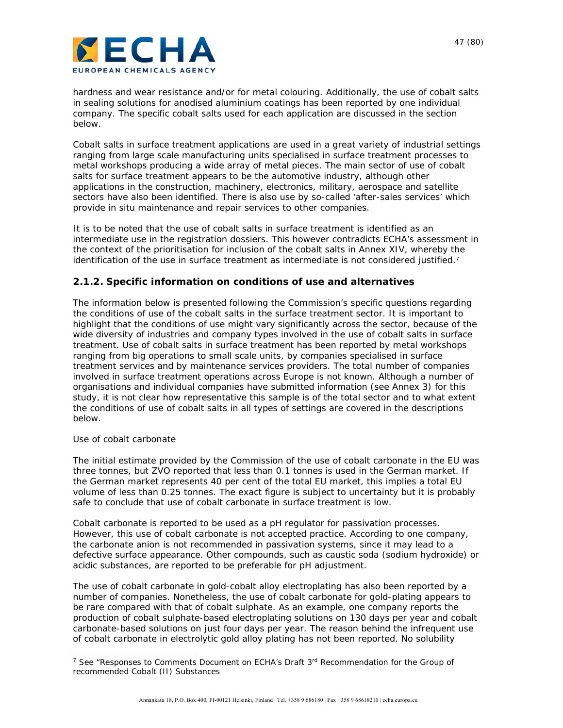hardness and wear resistance and/or for metal colouring. Additionally, the use of cobalt salts in sealing solutions for anodised aluminium coatings has been reported by one individual company. The specific cobalt salts used for each application are discussed in the section below.

Cobalt salts in surface treatment applications are used in a great variety of industrial settings ranging from large scale manufacturing units specialised in surface treatment processes to metal workshops producing a wide array of metal pieces. The main sector of use of cobalt salts for surface treatment appears to be the automotive industry, although other applications in the construction, machinery, electronics, military, aerospace and satellite sectors have also been identified. There is also use by so-called 'after-sales services' which provide *in situ* maintenance and repair services to other companies.

It is to be noted that the use of cobalt salts in surface treatment is identified as an intermediate use in the registration dossiers. This however contradicts ECHA's assessment in the context of the prioritisation for inclusion of the cobalt salts in Annex XIV, whereby the identification of the use in surface treatment as intermediate is not considered justified.<sup>7</sup>

### **2.1.2. Specific information on conditions of use and alternatives**

The information below is presented following the Commission's specific questions regarding the conditions of use of the cobalt salts in the surface treatment sector. It is important to highlight that the conditions of use might vary significantly across the sector, because of the wide diversity of industries and company types involved in the use of cobalt salts in surface treatment. Use of cobalt salts in surface treatment has been reported by metal workshops ranging from big operations to small scale units, by companies specialised in surface treatment services and by maintenance services providers. The total number of companies involved in surface treatment operations across Europe is not known. Although a number of organisations and individual companies have submitted information (see Annex 3) for this study, it is not clear how representative this sample is of the total sector and to what extent the conditions of use of cobalt salts in all types of settings are covered in the descriptions below.

#### *Use of cobalt carbonate*

 $\overline{a}$ 

The initial estimate provided by the Commission of the use of cobalt carbonate in the EU was three tonnes, but ZVO reported that less than 0.1 tonnes is used in the German market. If the German market represents 40 per cent of the total EU market, this implies a total EU volume of less than 0.25 tonnes. The exact figure is subject to uncertainty but it is probably safe to conclude that use of cobalt carbonate in surface treatment is low.

Cobalt carbonate is reported to be used as a pH regulator for passivation processes. However, this use of cobalt carbonate is not accepted practice. According to one company, the carbonate anion is not recommended in passivation systems, since it may lead to a defective surface appearance. Other compounds, such as caustic soda (sodium hydroxide) or acidic substances, are reported to be preferable for pH adjustment.

The use of cobalt carbonate in gold-cobalt alloy electroplating has also been reported by a number of companies. Nonetheless, the use of cobalt carbonate for gold-plating appears to be rare compared with that of cobalt sulphate. As an example, one company reports the production of cobalt sulphate-based electroplating solutions on 130 days per year and cobalt carbonate-based solutions on just four days per year. The reason behind the infrequent use of cobalt carbonate in electrolytic gold alloy plating has not been reported. No solubility

<sup>&</sup>lt;sup>7</sup> See "Responses to Comments Document on ECHA's Draft  $3<sup>rd</sup>$  Recommendation for the Group of recommended Cobalt (II) Substances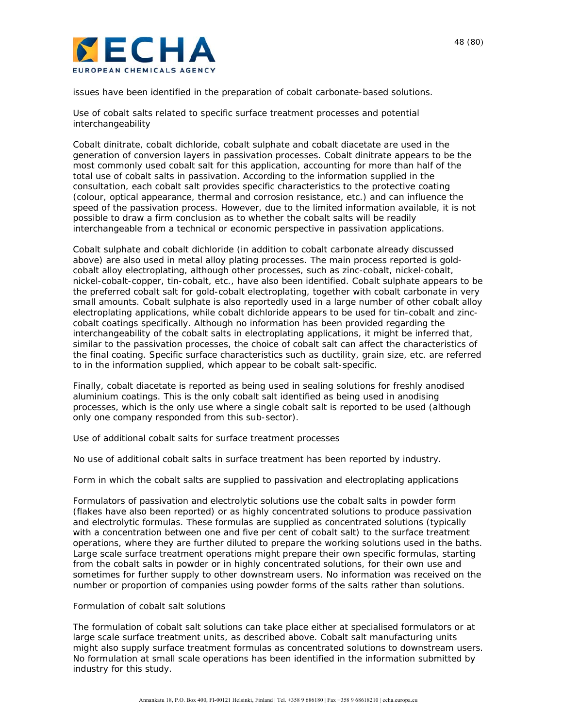

issues have been identified in the preparation of cobalt carbonate-based solutions.

#### *Use of cobalt salts related to specific surface treatment processes and potential interchangeability*

Cobalt dinitrate, cobalt dichloride, cobalt sulphate and cobalt diacetate are used in the generation of conversion layers in passivation processes. Cobalt dinitrate appears to be the most commonly used cobalt salt for this application, accounting for more than half of the total use of cobalt salts in passivation. According to the information supplied in the consultation, each cobalt salt provides specific characteristics to the protective coating (colour, optical appearance, thermal and corrosion resistance, etc.) and can influence the speed of the passivation process. However, due to the limited information available, it is not possible to draw a firm conclusion as to whether the cobalt salts will be readily interchangeable from a technical or economic perspective in passivation applications.

Cobalt sulphate and cobalt dichloride (in addition to cobalt carbonate already discussed above) are also used in metal alloy plating processes. The main process reported is goldcobalt alloy electroplating, although other processes, such as zinc-cobalt, nickel-cobalt, nickel-cobalt-copper, tin-cobalt, etc., have also been identified. Cobalt sulphate appears to be the preferred cobalt salt for gold-cobalt electroplating, together with cobalt carbonate in very small amounts. Cobalt sulphate is also reportedly used in a large number of other cobalt alloy electroplating applications, while cobalt dichloride appears to be used for tin-cobalt and zinccobalt coatings specifically. Although no information has been provided regarding the interchangeability of the cobalt salts in electroplating applications, it might be inferred that, similar to the passivation processes, the choice of cobalt salt can affect the characteristics of the final coating. Specific surface characteristics such as ductility, grain size, etc. are referred to in the information supplied, which appear to be cobalt salt-specific.

Finally, cobalt diacetate is reported as being used in sealing solutions for freshly anodised aluminium coatings. This is the only cobalt salt identified as being used in anodising processes, which is the only use where a single cobalt salt is reported to be used (although only one company responded from this sub-sector).

#### *Use of additional cobalt salts for surface treatment processes*

No use of additional cobalt salts in surface treatment has been reported by industry.

#### *Form in which the cobalt salts are supplied to passivation and electroplating applications*

Formulators of passivation and electrolytic solutions use the cobalt salts in powder form (flakes have also been reported) or as highly concentrated solutions to produce passivation and electrolytic formulas. These formulas are supplied as concentrated solutions (typically with a concentration between one and five per cent of cobalt salt) to the surface treatment operations, where they are further diluted to prepare the working solutions used in the baths. Large scale surface treatment operations might prepare their own specific formulas, starting from the cobalt salts in powder or in highly concentrated solutions, for their own use and sometimes for further supply to other downstream users. No information was received on the number or proportion of companies using powder forms of the salts rather than solutions.

#### *Formulation of cobalt salt solutions*

The formulation of cobalt salt solutions can take place either at specialised formulators or at large scale surface treatment units, as described above. Cobalt salt manufacturing units might also supply surface treatment formulas as concentrated solutions to downstream users. No formulation at small scale operations has been identified in the information submitted by industry for this study.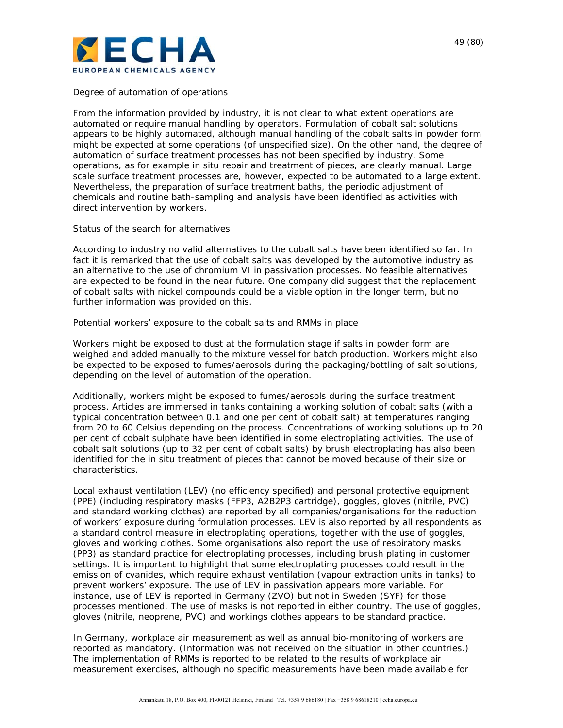

#### *Degree of automation of operations*

From the information provided by industry, it is not clear to what extent operations are automated or require manual handling by operators. Formulation of cobalt salt solutions appears to be highly automated, although manual handling of the cobalt salts in powder form might be expected at some operations (of unspecified size). On the other hand, the degree of automation of surface treatment processes has not been specified by industry. Some operations, as for example *in situ* repair and treatment of pieces, are clearly manual. Large scale surface treatment processes are, however, expected to be automated to a large extent. Nevertheless, the preparation of surface treatment baths, the periodic adjustment of chemicals and routine bath-sampling and analysis have been identified as activities with direct intervention by workers.

#### *Status of the search for alternatives*

According to industry no valid alternatives to the cobalt salts have been identified so far. In fact it is remarked that the use of cobalt salts was developed by the automotive industry as an alternative to the use of chromium VI in passivation processes. No feasible alternatives are expected to be found in the near future. One company did suggest that the replacement of cobalt salts with nickel compounds could be a viable option in the longer term, but no further information was provided on this.

#### *Potential workers' exposure to the cobalt salts and RMMs in place*

Workers might be exposed to dust at the formulation stage if salts in powder form are weighed and added manually to the mixture vessel for batch production. Workers might also be expected to be exposed to fumes/aerosols during the packaging/bottling of salt solutions, depending on the level of automation of the operation.

Additionally, workers might be exposed to fumes/aerosols during the surface treatment process. Articles are immersed in tanks containing a working solution of cobalt salts (with a typical concentration between 0.1 and one per cent of cobalt salt) at temperatures ranging from 20 to 60 Celsius depending on the process. Concentrations of working solutions up to 20 per cent of cobalt sulphate have been identified in some electroplating activities. The use of cobalt salt solutions (up to 32 per cent of cobalt salts) by brush electroplating has also been identified for the *in situ* treatment of pieces that cannot be moved because of their size or characteristics.

Local exhaust ventilation (LEV) (no efficiency specified) and personal protective equipment (PPE) (including respiratory masks (FFP3, A2B2P3 cartridge), goggles, gloves (nitrile, PVC) and standard working clothes) are reported by all companies/organisations for the reduction of workers' exposure during formulation processes. LEV is also reported by all respondents as a standard control measure in electroplating operations, together with the use of goggles, gloves and working clothes. Some organisations also report the use of respiratory masks (PP3) as standard practice for electroplating processes, including brush plating in customer settings. It is important to highlight that some electroplating processes could result in the emission of cyanides, which require exhaust ventilation (vapour extraction units in tanks) to prevent workers' exposure. The use of LEV in passivation appears more variable. For instance, use of LEV is reported in Germany (ZVO) but not in Sweden (SYF) for those processes mentioned. The use of masks is not reported in either country. The use of goggles, gloves (nitrile, neoprene, PVC) and workings clothes appears to be standard practice.

In Germany, workplace air measurement as well as annual bio-monitoring of workers are reported as mandatory. (Information was not received on the situation in other countries.) The implementation of RMMs is reported to be related to the results of workplace air measurement exercises, although no specific measurements have been made available for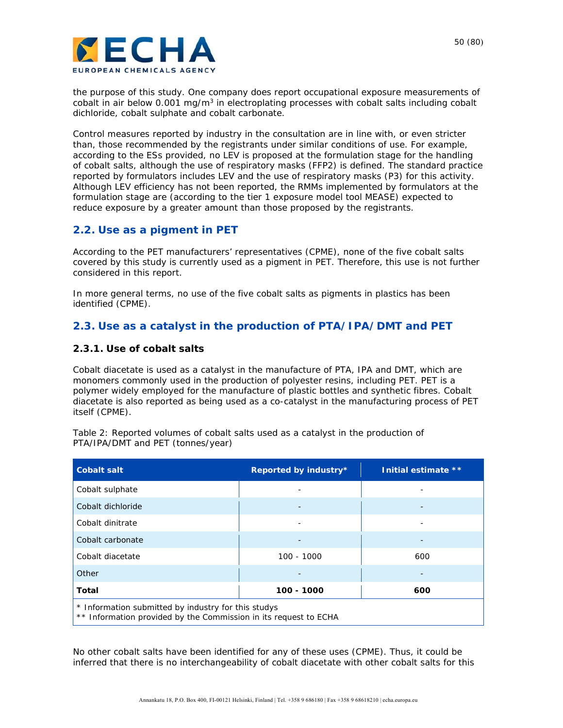

the purpose of this study. One company does report occupational exposure measurements of cobalt in air below 0.001 mg/ $m<sup>3</sup>$  in electroplating processes with cobalt salts including cobalt dichloride, cobalt sulphate and cobalt carbonate.

Control measures reported by industry in the consultation are in line with, or even stricter than, those recommended by the registrants under similar conditions of use. For example, according to the ESs provided, no LEV is proposed at the formulation stage for the handling of cobalt salts, although the use of respiratory masks (FFP2) is defined. The standard practice reported by formulators includes LEV and the use of respiratory masks (P3) for this activity. Although LEV efficiency has not been reported, the RMMs implemented by formulators at the formulation stage are (according to the tier 1 exposure model tool MEASE) expected to reduce exposure by a greater amount than those proposed by the registrants.

### **2.2. Use as a pigment in PET**

According to the PET manufacturers' representatives (CPME), none of the five cobalt salts covered by this study is currently used as a pigment in PET. Therefore, this use is not further considered in this report.

In more general terms, no use of the five cobalt salts as pigments in plastics has been identified (CPME).

### **2.3. Use as a catalyst in the production of PTA/IPA/DMT and PET**

#### **2.3.1. Use of cobalt salts**

Cobalt diacetate is used as a catalyst in the manufacture of PTA, IPA and DMT, which are monomers commonly used in the production of polyester resins, including PET. PET is a polymer widely employed for the manufacture of plastic bottles and synthetic fibres. Cobalt diacetate is also reported as being used as a co-catalyst in the manufacturing process of PET itself (CPME).

Table 2: Reported volumes of cobalt salts used as a catalyst in the production of PTA/IPA/DMT and PET (tonnes/year)

| <b>Cobalt salt</b>                                                                                                      | Reported by industry* | Initial estimate ** |  |  |  |  |
|-------------------------------------------------------------------------------------------------------------------------|-----------------------|---------------------|--|--|--|--|
| Cobalt sulphate                                                                                                         |                       |                     |  |  |  |  |
| Cobalt dichloride                                                                                                       |                       |                     |  |  |  |  |
| Cobalt dinitrate                                                                                                        |                       |                     |  |  |  |  |
| Cobalt carbonate                                                                                                        |                       |                     |  |  |  |  |
| Cobalt diacetate                                                                                                        | $100 - 1000$          | 600                 |  |  |  |  |
| Other                                                                                                                   |                       |                     |  |  |  |  |
| <b>Total</b>                                                                                                            | 100 - 1000            | 600                 |  |  |  |  |
| * Information submitted by industry for this studys<br>** Information provided by the Commission in its request to ECHA |                       |                     |  |  |  |  |

No other cobalt salts have been identified for any of these uses (CPME). Thus, it could be inferred that there is no interchangeability of cobalt diacetate with other cobalt salts for this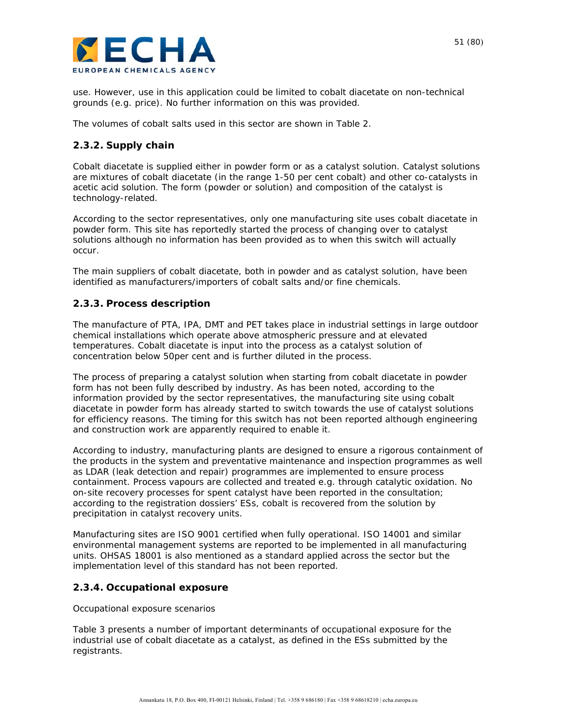

use. However, use in this application could be limited to cobalt diacetate on non-technical grounds (e.g. price). No further information on this was provided.

The volumes of cobalt salts used in this sector are shown in Table 2.

### **2.3.2. Supply chain**

Cobalt diacetate is supplied either in powder form or as a catalyst solution. Catalyst solutions are mixtures of cobalt diacetate (in the range 1-50 per cent cobalt) and other co-catalysts in acetic acid solution. The form (powder or solution) and composition of the catalyst is technology-related.

According to the sector representatives, only one manufacturing site uses cobalt diacetate in powder form. This site has reportedly started the process of changing over to catalyst solutions although no information has been provided as to when this switch will actually occur.

The main suppliers of cobalt diacetate, both in powder and as catalyst solution, have been identified as manufacturers/importers of cobalt salts and/or fine chemicals.

### **2.3.3. Process description**

The manufacture of PTA, IPA, DMT and PET takes place in industrial settings in large outdoor chemical installations which operate above atmospheric pressure and at elevated temperatures. Cobalt diacetate is input into the process as a catalyst solution of concentration below 50per cent and is further diluted in the process.

The process of preparing a catalyst solution when starting from cobalt diacetate in powder form has not been fully described by industry. As has been noted, according to the information provided by the sector representatives, the manufacturing site using cobalt diacetate in powder form has already started to switch towards the use of catalyst solutions for efficiency reasons. The timing for this switch has not been reported although engineering and construction work are apparently required to enable it.

According to industry, manufacturing plants are designed to ensure a rigorous containment of the products in the system and preventative maintenance and inspection programmes as well as LDAR (leak detection and repair) programmes are implemented to ensure process containment. Process vapours are collected and treated e.g. through catalytic oxidation. No on-site recovery processes for spent catalyst have been reported in the consultation; according to the registration dossiers' ESs, cobalt is recovered from the solution by precipitation in catalyst recovery units.

Manufacturing sites are ISO 9001 certified when fully operational. ISO 14001 and similar environmental management systems are reported to be implemented in all manufacturing units. OHSAS 18001 is also mentioned as a standard applied across the sector but the implementation level of this standard has not been reported.

### **2.3.4. Occupational exposure**

#### *Occupational exposure scenarios*

Table 3 presents a number of important determinants of occupational exposure for the industrial use of cobalt diacetate as a catalyst, as defined in the ESs submitted by the registrants.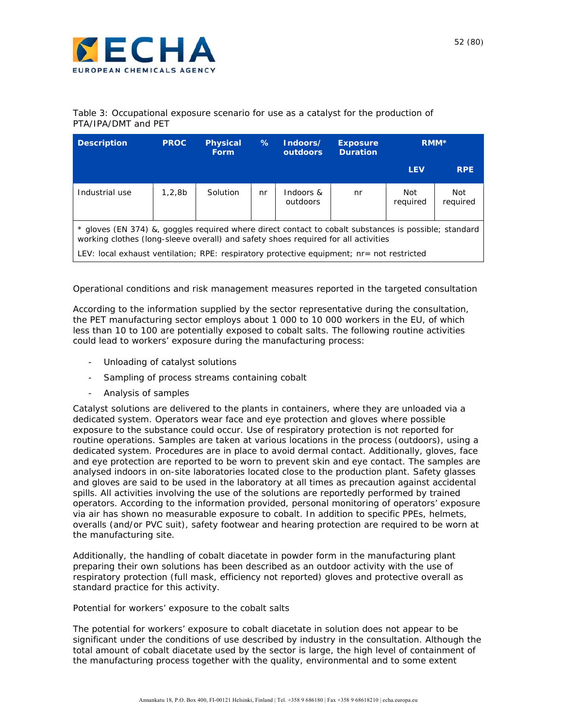

| Table 3: Occupational exposure scenario for use as a catalyst for the production of |  |  |  |  |  |
|-------------------------------------------------------------------------------------|--|--|--|--|--|
| PTA/IPA/DMT and PET                                                                 |  |  |  |  |  |

| <b>Description</b>                                                                                                                                                                                                                                                                       | <b>PROC</b> | <b>Physical</b><br><b>Form</b> | $\%$ | Indoors/<br><b>outdoors</b> | <b>Exposure</b><br><b>Duration</b> | RMM <sup>*</sup> |                 |  |
|------------------------------------------------------------------------------------------------------------------------------------------------------------------------------------------------------------------------------------------------------------------------------------------|-------------|--------------------------------|------|-----------------------------|------------------------------------|------------------|-----------------|--|
|                                                                                                                                                                                                                                                                                          |             |                                |      |                             |                                    | <b>LEV</b>       | <b>RPE</b>      |  |
| Industrial use                                                                                                                                                                                                                                                                           | 1,2,8b      | Solution                       | nr   | Indoors &<br>outdoors       | nr                                 | Not<br>reauired  | Not<br>required |  |
| * gloves (EN 374) &, goggles reguired where direct contact to cobalt substances is possible; standard<br>working clothes (long-sleeve overall) and safety shoes required for all activities<br>LEV: local exhaust ventilation; RPE: respiratory protective equipment; nr= not restricted |             |                                |      |                             |                                    |                  |                 |  |

#### *Operational conditions and risk management measures reported in the targeted consultation*

According to the information supplied by the sector representative during the consultation, the PET manufacturing sector employs about 1 000 to 10 000 workers in the EU, of which less than 10 to 100 are potentially exposed to cobalt salts. The following routine activities could lead to workers' exposure during the manufacturing process:

- Unloading of catalyst solutions
- Sampling of process streams containing cobalt
- Analysis of samples

Catalyst solutions are delivered to the plants in containers, where they are unloaded via a dedicated system. Operators wear face and eye protection and gloves where possible exposure to the substance could occur. Use of respiratory protection is not reported for routine operations. Samples are taken at various locations in the process (outdoors), using a dedicated system. Procedures are in place to avoid dermal contact. Additionally, gloves, face and eye protection are reported to be worn to prevent skin and eye contact. The samples are analysed indoors in on-site laboratories located close to the production plant. Safety glasses and gloves are said to be used in the laboratory at all times as precaution against accidental spills. All activities involving the use of the solutions are reportedly performed by trained operators. According to the information provided, personal monitoring of operators' exposure via air has shown no measurable exposure to cobalt. In addition to specific PPEs, helmets, overalls (and/or PVC suit), safety footwear and hearing protection are required to be worn at the manufacturing site.

Additionally, the handling of cobalt diacetate in powder form in the manufacturing plant preparing their own solutions has been described as an outdoor activity with the use of respiratory protection (full mask, efficiency not reported) gloves and protective overall as standard practice for this activity.

#### *Potential for workers' exposure to the cobalt salts*

The potential for workers' exposure to cobalt diacetate in solution does not appear to be significant under the conditions of use described by industry in the consultation. Although the total amount of cobalt diacetate used by the sector is large, the high level of containment of the manufacturing process together with the quality, environmental and to some extent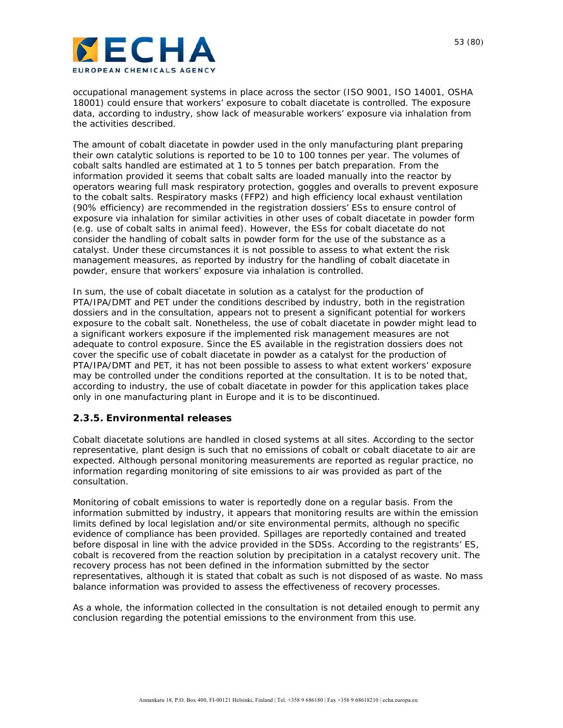

occupational management systems in place across the sector (ISO 9001, ISO 14001, OSHA 18001) could ensure that workers' exposure to cobalt diacetate is controlled. The exposure data, according to industry, show lack of measurable workers' exposure via inhalation from the activities described.

The amount of cobalt diacetate in powder used in the only manufacturing plant preparing their own catalytic solutions is reported to be 10 to 100 tonnes per year. The volumes of cobalt salts handled are estimated at 1 to 5 tonnes per batch preparation. From the information provided it seems that cobalt salts are loaded manually into the reactor by operators wearing full mask respiratory protection, goggles and overalls to prevent exposure to the cobalt salts. Respiratory masks (FFP2) and high efficiency local exhaust ventilation (90% efficiency) are recommended in the registration dossiers' ESs to ensure control of exposure via inhalation for similar activities in other uses of cobalt diacetate in powder form (e.g. use of cobalt salts in animal feed). However, the ESs for cobalt diacetate do not consider the handling of cobalt salts in powder form for the use of the substance as a catalyst. Under these circumstances it is not possible to assess to what extent the risk management measures, as reported by industry for the handling of cobalt diacetate in powder, ensure that workers' exposure via inhalation is controlled.

In sum, the use of cobalt diacetate in solution as a catalyst for the production of PTA/IPA/DMT and PET under the conditions described by industry, both in the registration dossiers and in the consultation, appears not to present a significant potential for workers exposure to the cobalt salt. Nonetheless, the use of *cobalt diacetate in powder* might lead to a significant workers exposure if the implemented risk management measures are not adequate to control exposure. Since the ES available in the registration dossiers does not cover the specific use of cobalt diacetate in powder as a catalyst for the production of PTA/IPA/DMT and PET, it has not been possible to assess to what extent workers' exposure may be controlled under the conditions reported at the consultation. It is to be noted that, according to industry, the use of cobalt diacetate in powder for this application takes place only in one manufacturing plant in Europe and it is to be discontinued.

### **2.3.5. Environmental releases**

Cobalt diacetate solutions are handled in closed systems at all sites. According to the sector representative, plant design is such that no emissions of cobalt or cobalt diacetate to air are expected. Although personal monitoring measurements are reported as regular practice, no information regarding monitoring of site emissions to air was provided as part of the consultation.

Monitoring of cobalt emissions to water is reportedly done on a regular basis. From the information submitted by industry, it appears that monitoring results are within the emission limits defined by local legislation and/or site environmental permits, although no specific evidence of compliance has been provided. Spillages are reportedly contained and treated before disposal in line with the advice provided in the SDSs. According to the registrants' ES, cobalt is recovered from the reaction solution by precipitation in a catalyst recovery unit. The recovery process has not been defined in the information submitted by the sector representatives, although it is stated that cobalt as such is not disposed of as waste. No mass balance information was provided to assess the effectiveness of recovery processes.

As a whole, the information collected in the consultation is not detailed enough to permit any conclusion regarding the potential emissions to the environment from this use.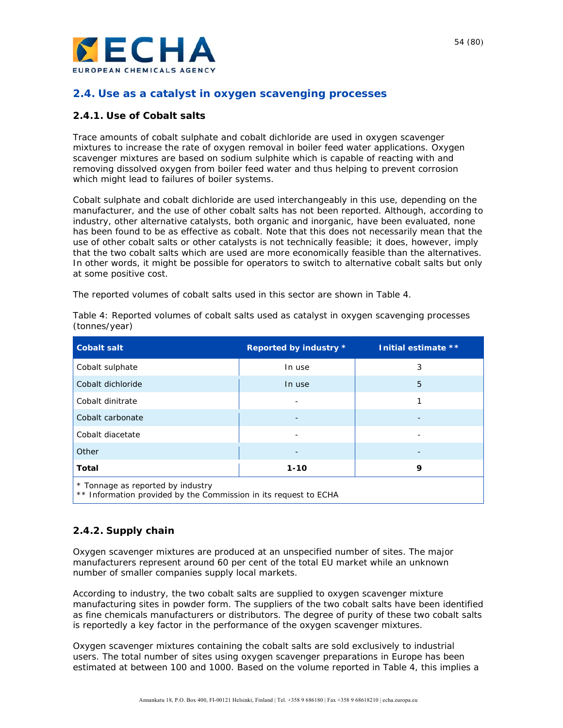

### **2.4. Use as a catalyst in oxygen scavenging processes**

### **2.4.1. Use of Cobalt salts**

Trace amounts of cobalt sulphate and cobalt dichloride are used in oxygen scavenger mixtures to increase the rate of oxygen removal in boiler feed water applications. Oxygen scavenger mixtures are based on sodium sulphite which is capable of reacting with and removing dissolved oxygen from boiler feed water and thus helping to prevent corrosion which might lead to failures of boiler systems.

Cobalt sulphate and cobalt dichloride are used interchangeably in this use, depending on the manufacturer, and the use of other cobalt salts has not been reported. Although, according to industry, other alternative catalysts, both organic and inorganic, have been evaluated, none has been found to be as effective as cobalt. Note that this does not necessarily mean that the use of other cobalt salts or other catalysts is not technically feasible; it does, however, imply that the two cobalt salts which are used are more economically feasible than the alternatives. In other words, it might be possible for operators to switch to alternative cobalt salts but only at some positive cost.

The reported volumes of cobalt salts used in this sector are shown in Table 4.

| <b>Cobalt salt</b>                                                                                    | Reported by industry * | Initial estimate ** |  |  |  |  |
|-------------------------------------------------------------------------------------------------------|------------------------|---------------------|--|--|--|--|
| Cobalt sulphate                                                                                       | In use                 | 3                   |  |  |  |  |
| Cobalt dichloride                                                                                     | In use                 | 5                   |  |  |  |  |
| Cobalt dinitrate                                                                                      |                        |                     |  |  |  |  |
| Cobalt carbonate                                                                                      |                        |                     |  |  |  |  |
| Cobalt diacetate                                                                                      |                        |                     |  |  |  |  |
| Other                                                                                                 |                        |                     |  |  |  |  |
| Total                                                                                                 | $1 - 10$               | 9                   |  |  |  |  |
| * Tonnage as reported by industry<br>** Information provided by the Commission in its request to ECHA |                        |                     |  |  |  |  |

Table 4: Reported volumes of cobalt salts used as catalyst in oxygen scavenging processes (tonnes/year)

### **2.4.2. Supply chain**

Oxygen scavenger mixtures are produced at an unspecified number of sites. The major manufacturers represent around 60 per cent of the total EU market while an unknown number of smaller companies supply local markets.

According to industry, the two cobalt salts are supplied to oxygen scavenger mixture manufacturing sites in powder form. The suppliers of the two cobalt salts have been identified as fine chemicals manufacturers or distributors. The degree of purity of these two cobalt salts is reportedly a key factor in the performance of the oxygen scavenger mixtures.

Oxygen scavenger mixtures containing the cobalt salts are sold exclusively to industrial users. The total number of sites using oxygen scavenger preparations in Europe has been estimated at between 100 and 1000. Based on the volume reported in Table 4, this implies a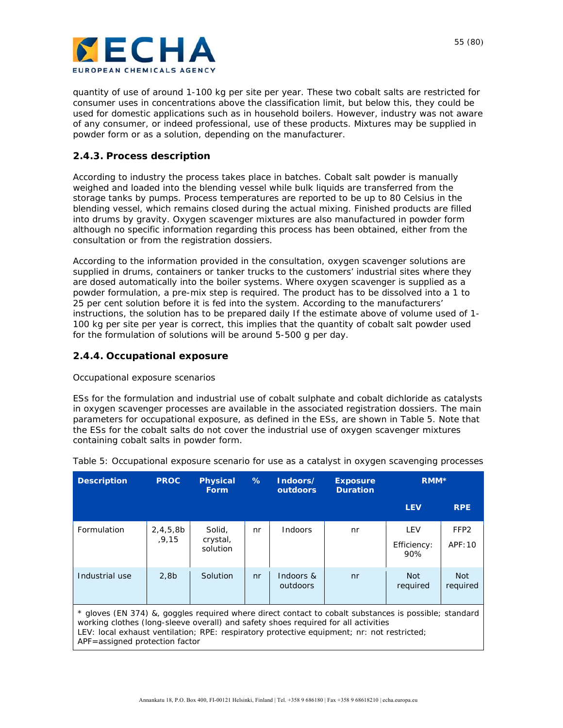

quantity of use of around 1-100 kg per site per year. These two cobalt salts are restricted for consumer uses in concentrations above the classification limit, but below this, they could be used for domestic applications such as in household boilers. However, industry was not aware of any consumer, or indeed professional, use of these products. Mixtures may be supplied in powder form or as a solution, depending on the manufacturer.

#### **2.4.3. Process description**

According to industry the process takes place in batches. Cobalt salt powder is manually weighed and loaded into the blending vessel while bulk liquids are transferred from the storage tanks by pumps. Process temperatures are reported to be up to 80 Celsius in the blending vessel, which remains closed during the actual mixing. Finished products are filled into drums by gravity. Oxygen scavenger mixtures are also manufactured in powder form although no specific information regarding this process has been obtained, either from the consultation or from the registration dossiers.

According to the information provided in the consultation, oxygen scavenger solutions are supplied in drums, containers or tanker trucks to the customers' industrial sites where they are dosed automatically into the boiler systems. Where oxygen scavenger is supplied as a powder formulation, a pre-mix step is required. The product has to be dissolved into a 1 to 25 per cent solution before it is fed into the system. According to the manufacturers' instructions, the solution has to be prepared daily If the estimate above of volume used of 1- 100 kg per site per year is correct, this implies that the quantity of cobalt salt powder used for the formulation of solutions will be around 5-500 g per day.

#### **2.4.4. Occupational exposure**

#### *Occupational exposure scenarios*

ESs for the formulation and industrial use of cobalt sulphate and cobalt dichloride as catalysts in oxygen scavenger processes are available in the associated registration dossiers. The main parameters for occupational exposure, as defined in the ESs, are shown in Table 5. Note that the ESs for the cobalt salts do not cover the industrial use of oxygen scavenger mixtures containing cobalt salts in powder form.

| <b>Description</b>                                                                                                                                                                                                                                                                                                          | <b>PROC</b>      | <b>Physical</b><br><b>Form</b> | ℅  | Indoors/<br>outdoors  | <b>Exposure</b><br><b>Duration</b> | RMM <sup>*</sup>       |                        |  |
|-----------------------------------------------------------------------------------------------------------------------------------------------------------------------------------------------------------------------------------------------------------------------------------------------------------------------------|------------------|--------------------------------|----|-----------------------|------------------------------------|------------------------|------------------------|--|
|                                                                                                                                                                                                                                                                                                                             |                  |                                |    |                       |                                    | <b>LEV</b>             | <b>RPE</b>             |  |
| Formulation                                                                                                                                                                                                                                                                                                                 | 2,4,5,8b         | Solid,                         | nr | <b>Indoors</b>        | nr                                 | LEV                    | FFP <sub>2</sub>       |  |
|                                                                                                                                                                                                                                                                                                                             | .9.15            | crystal,<br>solution           |    |                       |                                    | Efficiency:<br>90%     | APF:10                 |  |
| Industrial use                                                                                                                                                                                                                                                                                                              | 2.8 <sub>b</sub> | Solution                       | nr | Indoors &<br>outdoors | nr                                 | <b>Not</b><br>required | <b>Not</b><br>required |  |
| * gloves (EN 374) &, goggles required where direct contact to cobalt substances is possible; standard<br>working clothes (long-sleeve overall) and safety shoes required for all activities<br>LEV: local exhaust ventilation; RPE: respiratory protective equipment; nr: not restricted;<br>APF=assigned protection factor |                  |                                |    |                       |                                    |                        |                        |  |

Table 5: Occupational exposure scenario for use as a catalyst in oxygen scavenging processes

55 (80)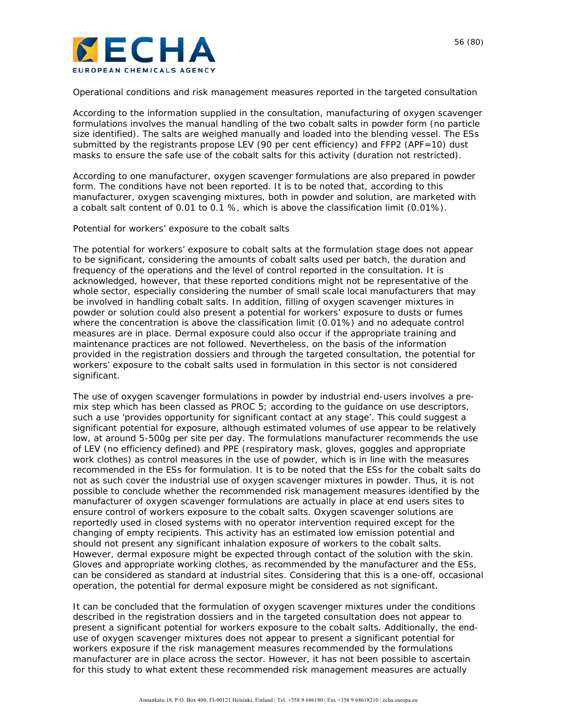

#### *Operational conditions and risk management measures reported in the targeted consultation*

According to the information supplied in the consultation, manufacturing of oxygen scavenger formulations involves the manual handling of the two cobalt salts in powder form (no particle size identified). The salts are weighed manually and loaded into the blending vessel. The ESs submitted by the registrants propose LEV (90 per cent efficiency) and FFP2 (APF=10) dust masks to ensure the safe use of the cobalt salts for this activity (duration not restricted).

According to one manufacturer, oxygen scavenger formulations are also prepared in powder form. The conditions have not been reported. It is to be noted that, according to this manufacturer, oxygen scavenging mixtures, both in powder and solution, are marketed with a cobalt salt content of 0.01 to 0.1 %, which is above the classification limit (0.01%).

#### *Potential for workers' exposure to the cobalt salts*

The potential for workers' exposure to cobalt salts at the *formulation stage* does not appear to be significant, considering the amounts of cobalt salts used per batch, the duration and frequency of the operations and the level of control reported in the consultation. It is acknowledged, however, that these reported conditions might not be representative of the whole sector, especially considering the number of small scale local manufacturers that may be involved in handling cobalt salts. In addition, filling of oxygen scavenger mixtures in powder or solution could also present a potential for workers' exposure to dusts or fumes where the concentration is above the classification limit (0.01%) and no adequate control measures are in place. Dermal exposure could also occur if the appropriate training and maintenance practices are not followed. Nevertheless, on the basis of the information provided in the registration dossiers and through the targeted consultation, the potential for workers' exposure to the cobalt salts used in formulation in this sector is not considered significant.

*The use of oxygen scavenger formulations in powder by industrial end-users involves a pre*mix step which has been classed as PROC 5; according to the guidance on use descriptors, such a use 'provides opportunity for significant contact at any stage'. This could suggest a significant potential for exposure, although estimated volumes of use appear to be relatively low, at around 5-500g per site per day. The formulations manufacturer recommends the use of LEV (no efficiency defined) and PPE (respiratory mask, gloves, goggles and appropriate work clothes) as control measures in the use of powder, which is in line with the measures recommended in the ESs for *formulation.* It is to be noted that the ESs for the cobalt salts do not as such cover the industrial use of oxygen scavenger mixtures in powder. Thus, it is not possible to conclude whether the recommended risk management measures identified by the manufacturer of oxygen scavenger formulations are actually in place at end users sites to ensure control of workers exposure to the cobalt salts. *Oxygen scavenger solutions* are reportedly used in closed systems with no operator intervention required except for the changing of empty recipients. This activity has an estimated low emission potential and should not present any significant inhalation exposure of workers to the cobalt salts. However, dermal exposure might be expected through contact of the solution with the skin. Gloves and appropriate working clothes, as recommended by the manufacturer and the ESs, can be considered as standard at industrial sites. Considering that this is a one-off, occasional operation, the potential for dermal exposure might be considered as not significant.

It can be concluded that the *formulation of oxygen scavenger mixtures* under the conditions described in the registration dossiers and in the targeted consultation does not appear to present a significant potential for workers exposure to the cobalt salts. Additionally, the *enduse of oxygen scavenger mixtures* does not appear to present a significant potential for workers exposure if the risk management measures recommended by the formulations manufacturer are in place across the sector. However, it has not been possible to ascertain for this study to what extent these recommended risk management measures are actually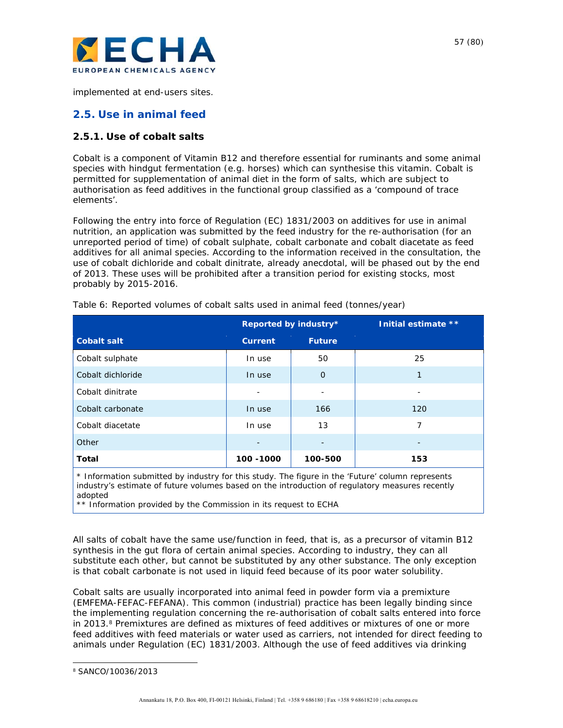

implemented at end-users sites.

### **2.5. Use in animal feed**

### **2.5.1. Use of cobalt salts**

Cobalt is a component of Vitamin B12 and therefore essential for ruminants and some animal species with hindgut fermentation (e.g. horses) which can synthesise this vitamin. Cobalt is permitted for supplementation of animal diet in the form of salts, which are subject to authorisation as feed additives in the functional group classified as a 'compound of trace elements'.

Following the entry into force of Regulation (EC) 1831/2003 on additives for use in animal nutrition, an application was submitted by the feed industry for the re-authorisation (for an unreported period of time) of cobalt sulphate, cobalt carbonate and cobalt diacetate as feed additives for all animal species. According to the information received in the consultation, the use of cobalt dichloride and cobalt dinitrate, already anecdotal, will be phased out by the end of 2013. These uses will be prohibited after a transition period for existing stocks, most probably by 2015-2016.

|                    |                | Reported by industry*    | Initial estimate ** |
|--------------------|----------------|--------------------------|---------------------|
| <b>Cobalt salt</b> | <b>Current</b> | <b>Future</b>            |                     |
| Cobalt sulphate    | In use         | 50                       | 25                  |
| Cobalt dichloride  | In use         | $\mathbf{O}$             | 1                   |
| Cobalt dinitrate   |                | $\overline{\phantom{a}}$ |                     |
| Cobalt carbonate   | In use         | 166                      | 120                 |
| Cobalt diacetate   | In use         | 13                       | 7                   |
| Other              |                | $\qquad \qquad -$        |                     |
| Total              | 100 - 1000     | 100-500                  | 153                 |

Table 6: Reported volumes of cobalt salts used in animal feed (tonnes/year)

\* Information submitted by industry for this study. The figure in the 'Future' column represents industry's estimate of future volumes based on the introduction of regulatory measures recently adopted

\*\* Information provided by the Commission in its request to ECHA

All salts of cobalt have the same use/function in feed, that is, as a precursor of vitamin B12 synthesis in the gut flora of certain animal species. According to industry, they can all substitute each other, but cannot be substituted by any other substance. The only exception is that cobalt carbonate is not used in liquid feed because of its poor water solubility.

Cobalt salts are usually incorporated into animal feed in powder form via a premixture (EMFEMA-FEFAC-FEFANA). This common (industrial) practice has been legally binding since the implementing regulation concerning the re-authorisation of cobalt salts entered into force in 2013.8 Premixtures are defined as mixtures of feed additives or mixtures of one or more feed additives with feed materials or water used as carriers, not intended for direct feeding to animals under Regulation (EC) 1831/2003. Although the use of feed additives via drinking

l

<sup>8</sup> SANCO/10036/2013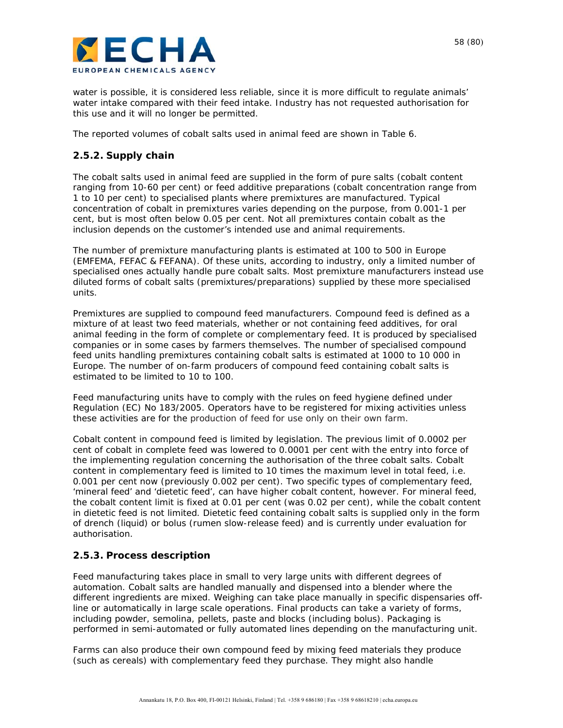

water is possible, it is considered less reliable, since it is more difficult to regulate animals' water intake compared with their feed intake. Industry has not requested authorisation for this use and it will no longer be permitted.

The reported volumes of cobalt salts used in animal feed are shown in Table 6.

### **2.5.2. Supply chain**

The cobalt salts used in animal feed are supplied in the form of pure salts (cobalt content ranging from 10-60 per cent) or feed additive preparations (cobalt concentration range from 1 to 10 per cent) to specialised plants where premixtures are manufactured. Typical concentration of cobalt in premixtures varies depending on the purpose, from 0.001-1 per cent, but is most often below 0.05 per cent. Not all premixtures contain cobalt as the inclusion depends on the customer's intended use and animal requirements.

The number of premixture manufacturing plants is estimated at 100 to 500 in Europe (EMFEMA, FEFAC & FEFANA). Of these units, according to industry, only a limited number of specialised ones actually handle pure cobalt salts. Most premixture manufacturers instead use diluted forms of cobalt salts (premixtures/preparations) supplied by these more specialised units.

Premixtures are supplied to compound feed manufacturers. Compound feed is defined as a mixture of at least two feed materials, whether or not containing feed additives, for oral animal feeding in the form of complete or complementary feed. It is produced by specialised companies or in some cases by farmers themselves. The number of specialised compound feed units handling premixtures containing cobalt salts is estimated at 1000 to 10 000 in Europe. The number of on-farm producers of compound feed containing cobalt salts is estimated to be limited to 10 to 100.

Feed manufacturing units have to comply with the rules on feed hygiene defined under Regulation (EC) No 183/2005. Operators have to be registered for mixing activities unless these activities are for the production of feed for use only on their own farm.

Cobalt content in compound feed is limited by legislation. The previous limit of 0.0002 per cent of cobalt in complete feed was lowered to 0.0001 per cent with the entry into force of the implementing regulation concerning the authorisation of the three cobalt salts. Cobalt content in complementary feed is limited to 10 times the maximum level in total feed, i.e. 0.001 per cent now (previously 0.002 per cent). Two specific types of complementary feed, 'mineral feed' and 'dietetic feed', can have higher cobalt content, however. For mineral feed, the cobalt content limit is fixed at 0.01 per cent (was 0.02 per cent), while the cobalt content in dietetic feed is not limited. Dietetic feed containing cobalt salts is supplied only in the form of drench (liquid) or bolus (rumen slow-release feed) and is currently under evaluation for authorisation.

### **2.5.3. Process description**

Feed manufacturing takes place in small to very large units with different degrees of automation. Cobalt salts are handled manually and dispensed into a blender where the different ingredients are mixed. Weighing can take place manually in specific dispensaries offline or automatically in large scale operations. Final products can take a variety of forms, including powder, semolina, pellets, paste and blocks (including bolus). Packaging is performed in semi-automated or fully automated lines depending on the manufacturing unit.

Farms can also produce their own compound feed by mixing feed materials they produce (such as cereals) with complementary feed they purchase. They might also handle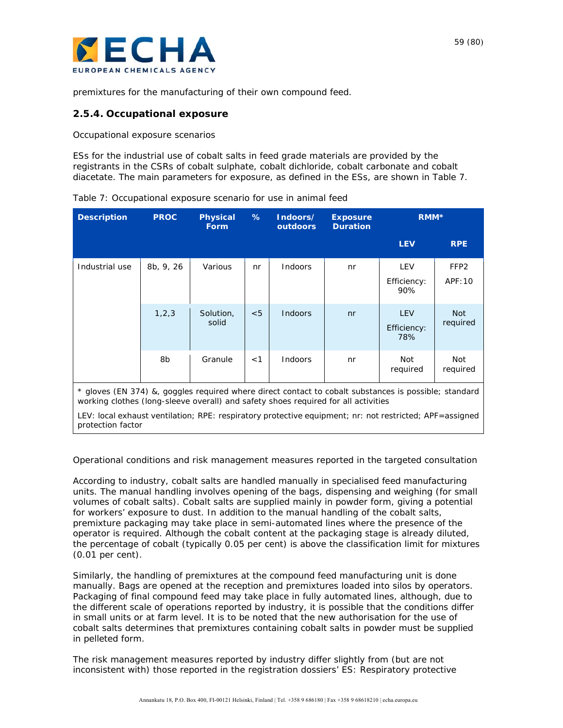

premixtures for the manufacturing of their own compound feed.

#### **2.5.4. Occupational exposure**

*Occupational exposure scenarios* 

ESs for the industrial use of cobalt salts in feed grade materials are provided by the registrants in the CSRs of cobalt sulphate, cobalt dichloride, cobalt carbonate and cobalt diacetate. The main parameters for exposure, as defined in the ESs, are shown in Table 7.

| <b>Description</b>                                                                                                                                                                          | <b>PROC</b> | <b>Physical</b><br><b>Form</b> | %   | Indoors/<br>outdoors | <b>Exposure</b><br><b>Duration</b> | RMM <sup>*</sup>                 |                             |  |
|---------------------------------------------------------------------------------------------------------------------------------------------------------------------------------------------|-------------|--------------------------------|-----|----------------------|------------------------------------|----------------------------------|-----------------------------|--|
|                                                                                                                                                                                             |             |                                |     |                      |                                    | <b>LEV</b>                       | <b>RPE</b>                  |  |
| Industrial use                                                                                                                                                                              | 8b, 9, 26   | Various                        | nr  | Indoors              | nr                                 | <b>LEV</b><br>Efficiency:<br>90% | FFP <sub>2</sub><br>APF: 10 |  |
|                                                                                                                                                                                             | 1, 2, 3     | Solution,<br>solid             | < 5 | <b>Indoors</b>       | n <sub>r</sub>                     | <b>LEV</b><br>Efficiency:<br>78% | <b>Not</b><br>required      |  |
|                                                                                                                                                                                             | 8b          | Granule                        | < 1 | Indoors              | nr                                 | Not<br>required                  | Not<br>required             |  |
| * gloves (EN 374) &, goggles required where direct contact to cobalt substances is possible; standard<br>working clothes (long-sleeve overall) and safety shoes required for all activities |             |                                |     |                      |                                    |                                  |                             |  |
| LEV: local exhaust ventilation; RPE: respiratory protective equipment; nr: not restricted; APF=assigned<br>protection factor                                                                |             |                                |     |                      |                                    |                                  |                             |  |

Table 7: Occupational exposure scenario for use in animal feed

#### *Operational conditions and risk management measures reported in the targeted consultation*

According to industry, cobalt salts are handled manually in specialised feed manufacturing units. The manual handling involves opening of the bags, dispensing and weighing (for small volumes of cobalt salts). Cobalt salts are supplied mainly in powder form, giving a potential for workers' exposure to dust. In addition to the manual handling of the cobalt salts, premixture packaging may take place in semi-automated lines where the presence of the operator is required. Although the cobalt content at the packaging stage is already diluted, the percentage of cobalt (typically 0.05 per cent) is above the classification limit for mixtures (0.01 per cent).

Similarly, the handling of premixtures at the compound feed manufacturing unit is done manually. Bags are opened at the reception and premixtures loaded into silos by operators. Packaging of final compound feed may take place in fully automated lines, although, due to the different scale of operations reported by industry, it is possible that the conditions differ in small units or at farm level. It is to be noted that the new authorisation for the use of cobalt salts determines that premixtures containing cobalt salts in powder must be supplied in pelleted form.

The risk management measures reported by industry differ slightly from (but are not inconsistent with) those reported in the registration dossiers' ES: Respiratory protective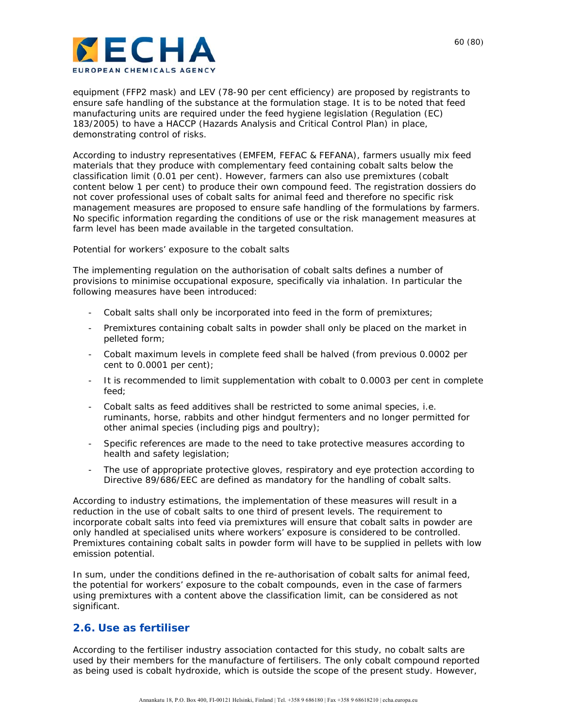

equipment (FFP2 mask) and LEV (78-90 per cent efficiency) are proposed by registrants to ensure safe handling of the substance at the formulation stage. It is to be noted that feed manufacturing units are required under the feed hygiene legislation (Regulation (EC) 183/2005) to have a HACCP (Hazards Analysis and Critical Control Plan) in place, demonstrating control of risks.

According to industry representatives (EMFEM, FEFAC & FEFANA), farmers usually mix feed materials that they produce with complementary feed containing cobalt salts below the classification limit (0.01 per cent). However, farmers can also use premixtures (cobalt content below 1 per cent) to produce their own compound feed. The registration dossiers do not cover professional uses of cobalt salts for animal feed and therefore no specific risk management measures are proposed to ensure safe handling of the formulations by farmers. No specific information regarding the conditions of use or the risk management measures at farm level has been made available in the targeted consultation.

#### *Potential for workers' exposure to the cobalt salts*

The implementing regulation on the authorisation of cobalt salts defines a number of provisions to minimise occupational exposure, specifically via inhalation. In particular the following measures have been introduced:

- Cobalt salts shall only be incorporated into feed in the form of premixtures;
- Premixtures containing cobalt salts in powder shall only be placed on the market in pelleted form;
- Cobalt maximum levels in complete feed shall be halved (from previous 0.0002 per cent to 0.0001 per cent);
- It is recommended to limit supplementation with cobalt to 0.0003 per cent in complete feed;
- Cobalt salts as feed additives shall be restricted to some animal species, i.e. ruminants, horse, rabbits and other hindgut fermenters and no longer permitted for other animal species (including pigs and poultry);
- Specific references are made to the need to take protective measures according to health and safety legislation;
- The use of appropriate protective gloves, respiratory and eye protection according to Directive 89/686/EEC are defined as mandatory for the handling of cobalt salts.

According to industry estimations, the implementation of these measures will result in a reduction in the use of cobalt salts to one third of present levels. The requirement to incorporate cobalt salts into feed via premixtures will ensure that cobalt salts in powder are only handled at specialised units where workers' exposure is considered to be controlled. Premixtures containing cobalt salts in powder form will have to be supplied in pellets with low emission potential.

In sum, under the conditions defined in the re-authorisation of cobalt salts for animal feed, the potential for workers' exposure to the cobalt compounds, even in the case of farmers using premixtures with a content above the classification limit, can be considered as not significant.

### **2.6. Use as fertiliser**

According to the fertiliser industry association contacted for this study, no cobalt salts are used by their members for the manufacture of fertilisers. The only cobalt compound reported as being used is cobalt hydroxide, which is outside the scope of the present study. However,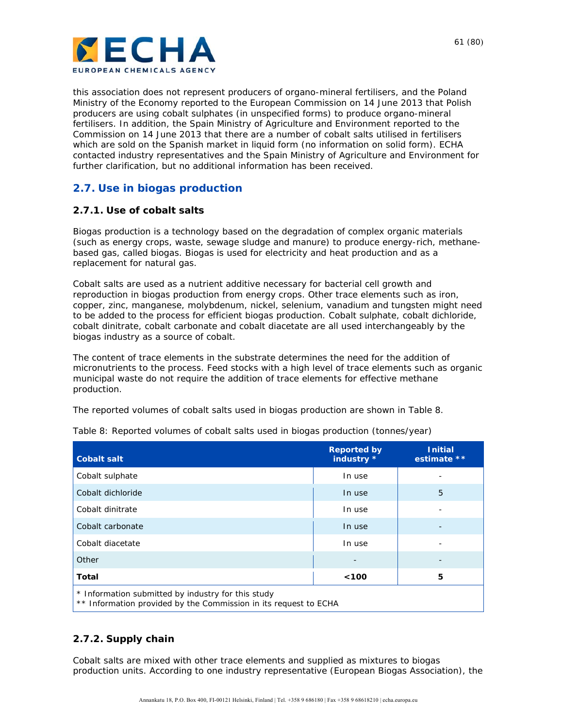

this association does not represent producers of organo-mineral fertilisers, and the Poland Ministry of the Economy reported to the European Commission on 14 June 2013 that Polish producers are using cobalt sulphates (in unspecified forms) to produce organo-mineral fertilisers. In addition, the Spain Ministry of Agriculture and Environment reported to the Commission on 14 June 2013 that there are a number of cobalt salts utilised in fertilisers which are sold on the Spanish market in liquid form (no information on solid form). ECHA contacted industry representatives and the Spain Ministry of Agriculture and Environment for further clarification, but no additional information has been received.

### **2.7. Use in biogas production**

### **2.7.1. Use of cobalt salts**

Biogas production is a technology based on the degradation of complex organic materials (such as energy crops, waste, sewage sludge and manure) to produce energy-rich, methanebased gas, called biogas. Biogas is used for electricity and heat production and as a replacement for natural gas.

Cobalt salts are used as a nutrient additive necessary for bacterial cell growth and reproduction in biogas production from energy crops. Other trace elements such as iron, copper, zinc, manganese, molybdenum, nickel, selenium, vanadium and tungsten might need to be added to the process for efficient biogas production. Cobalt sulphate, cobalt dichloride, cobalt dinitrate, cobalt carbonate and cobalt diacetate are all used interchangeably by the biogas industry as a source of cobalt.

The content of trace elements in the substrate determines the need for the addition of micronutrients to the process. Feed stocks with a high level of trace elements such as organic municipal waste do not require the addition of trace elements for effective methane production.

The reported volumes of cobalt salts used in biogas production are shown in Table 8.

| <b>Cobalt salt</b>                                                                                                     | <b>Reported by</b><br>industry * | <b>Initial</b><br>estimate ** |  |  |  |
|------------------------------------------------------------------------------------------------------------------------|----------------------------------|-------------------------------|--|--|--|
| Cobalt sulphate                                                                                                        | In use                           |                               |  |  |  |
| Cobalt dichloride                                                                                                      | In use                           | 5                             |  |  |  |
| Cobalt dinitrate                                                                                                       | In use                           |                               |  |  |  |
| Cobalt carbonate                                                                                                       | In use                           |                               |  |  |  |
| Cobalt diacetate                                                                                                       | In use                           |                               |  |  |  |
| Other                                                                                                                  |                                  |                               |  |  |  |
| Total                                                                                                                  | $100$                            | 5                             |  |  |  |
| * Information submitted by industry for this study<br>** Information provided by the Commission in its request to ECHA |                                  |                               |  |  |  |

Table 8: Reported volumes of cobalt salts used in biogas production (tonnes/year)

**2.7.2. Supply chain** 

Cobalt salts are mixed with other trace elements and supplied as mixtures to biogas production units. According to one industry representative (European Biogas Association), the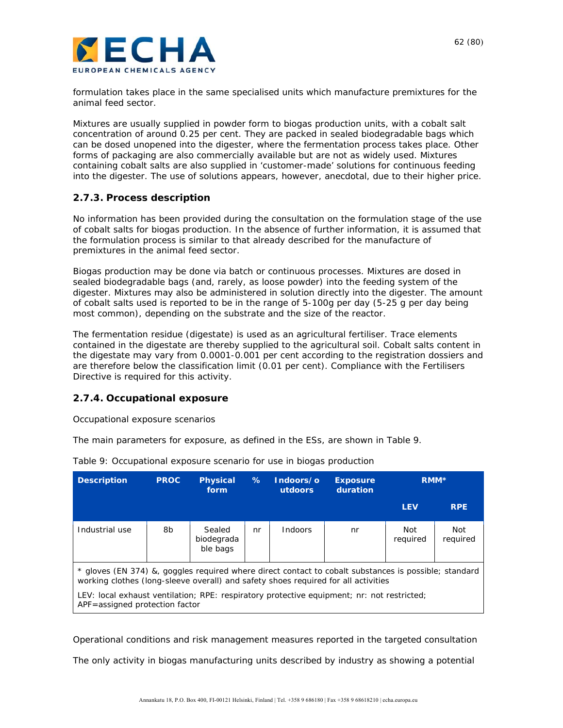

formulation takes place in the same specialised units which manufacture premixtures for the animal feed sector.

Mixtures are usually supplied in powder form to biogas production units, with a cobalt salt concentration of around 0.25 per cent. They are packed in sealed biodegradable bags which can be dosed unopened into the digester, where the fermentation process takes place. Other forms of packaging are also commercially available but are not as widely used. Mixtures containing cobalt salts are also supplied in 'customer-made' solutions for continuous feeding into the digester. The use of solutions appears, however, anecdotal, due to their higher price.

### **2.7.3. Process description**

No information has been provided during the consultation on the formulation stage of the use of cobalt salts for biogas production. In the absence of further information, it is assumed that the formulation process is similar to that already described for the manufacture of premixtures in the animal feed sector.

Biogas production may be done via batch or continuous processes. Mixtures are dosed in sealed biodegradable bags (and, rarely, as loose powder) into the feeding system of the digester. Mixtures may also be administered in solution directly into the digester. The amount of cobalt salts used is reported to be in the range of 5-100g per day (5-25 g per day being most common), depending on the substrate and the size of the reactor.

The fermentation residue (digestate) is used as an agricultural fertiliser. Trace elements contained in the digestate are thereby supplied to the agricultural soil. Cobalt salts content in the digestate may vary from 0.0001-0.001 per cent according to the registration dossiers and are therefore below the classification limit (0.01 per cent). Compliance with the Fertilisers Directive is required for this activity.

#### **2.7.4. Occupational exposure**

#### *Occupational exposure scenarios*

The main parameters for exposure, as defined in the ESs, are shown in Table 9.

| <b>Description</b>                                                                                                                                                                                                                                                                                                          | <b>PROC</b> | <b>Physical</b><br>form          | %  | Indoors/o<br>utdoors | <b>Exposure</b><br>duration | RMM <sup>*</sup> |                 |
|-----------------------------------------------------------------------------------------------------------------------------------------------------------------------------------------------------------------------------------------------------------------------------------------------------------------------------|-------------|----------------------------------|----|----------------------|-----------------------------|------------------|-----------------|
|                                                                                                                                                                                                                                                                                                                             |             |                                  |    |                      |                             | <b>LEV</b>       | <b>RPE</b>      |
| Industrial use                                                                                                                                                                                                                                                                                                              | 8b          | Sealed<br>biodegrada<br>ble bags | nr | Indoors              | nr                          | Not<br>reguired  | Not<br>required |
| * gloves (EN 374) &, goggles required where direct contact to cobalt substances is possible; standard<br>working clothes (long-sleeve overall) and safety shoes required for all activities<br>LEV: local exhaust ventilation; RPE: respiratory protective equipment; nr: not restricted;<br>APF=assigned protection factor |             |                                  |    |                      |                             |                  |                 |
|                                                                                                                                                                                                                                                                                                                             |             |                                  |    |                      |                             |                  |                 |

Table 9: Occupational exposure scenario for use in biogas production

*Operational conditions and risk management measures reported in the targeted consultation* 

The only activity in biogas manufacturing units described by industry as showing a potential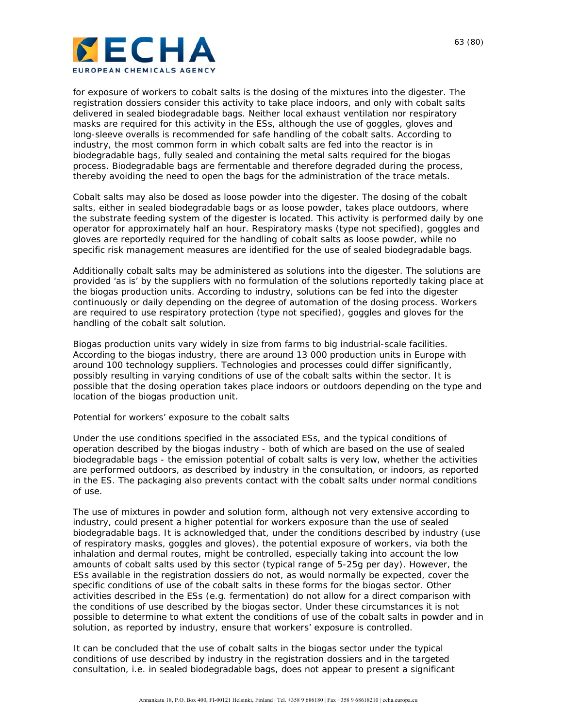

for exposure of workers to cobalt salts is the dosing of the mixtures into the digester. The registration dossiers consider this activity to take place indoors, and only with cobalt salts delivered in sealed biodegradable bags. Neither local exhaust ventilation nor respiratory masks are required for this activity in the ESs, although the use of goggles, gloves and long-sleeve overalls is recommended for safe handling of the cobalt salts. According to industry, the most common form in which cobalt salts are fed into the reactor is in biodegradable bags, fully sealed and containing the metal salts required for the biogas process. Biodegradable bags are fermentable and therefore degraded during the process, thereby avoiding the need to open the bags for the administration of the trace metals.

Cobalt salts may also be dosed as loose powder into the digester. The dosing of the cobalt salts, either in sealed biodegradable bags or as loose powder, takes place outdoors, where the substrate feeding system of the digester is located. This activity is performed daily by one operator for approximately half an hour. Respiratory masks (type not specified), goggles and gloves are reportedly required for the handling of cobalt salts as loose powder, while no specific risk management measures are identified for the use of sealed biodegradable bags.

Additionally cobalt salts may be administered as solutions into the digester. The solutions are provided 'as is' by the suppliers with no formulation of the solutions reportedly taking place at the biogas production units. According to industry, solutions can be fed into the digester continuously or daily depending on the degree of automation of the dosing process. Workers are required to use respiratory protection (type not specified), goggles and gloves for the handling of the cobalt salt solution.

Biogas production units vary widely in size from farms to big industrial-scale facilities. According to the biogas industry, there are around 13 000 production units in Europe with around 100 technology suppliers. Technologies and processes could differ significantly, possibly resulting in varying conditions of use of the cobalt salts within the sector. It is possible that the dosing operation takes place indoors or outdoors depending on the type and location of the biogas production unit.

#### *Potential for workers' exposure to the cobalt salts*

Under the use conditions specified in the associated ESs, and the typical conditions of operation described by the biogas industry - both of which are based on the use of sealed biodegradable bags - the emission potential of cobalt salts is very low, whether the activities are performed outdoors, as described by industry in the consultation, or indoors, as reported in the ES. The packaging also prevents contact with the cobalt salts under normal conditions of use.

The use of mixtures in powder and solution form, although not very extensive according to industry, could present a higher potential for workers exposure than the use of sealed biodegradable bags. It is acknowledged that, under the conditions described by industry (use of respiratory masks, goggles and gloves), the potential exposure of workers, via both the inhalation and dermal routes, might be controlled, especially taking into account the low amounts of cobalt salts used by this sector (typical range of 5-25g per day). However, the ESs available in the registration dossiers do not, as would normally be expected, cover the specific conditions of use of the cobalt salts in these forms for the biogas sector. Other activities described in the ESs (e.g. fermentation) do not allow for a direct comparison with the conditions of use described by the biogas sector. Under these circumstances it is not possible to determine to what extent the conditions of use of the cobalt salts in powder and in solution, as reported by industry, ensure that workers' exposure is controlled.

It can be concluded that the use of cobalt salts in the biogas sector under the typical conditions of use described by industry in the registration dossiers and in the targeted consultation, i.e. in sealed biodegradable bags, does not appear to present a significant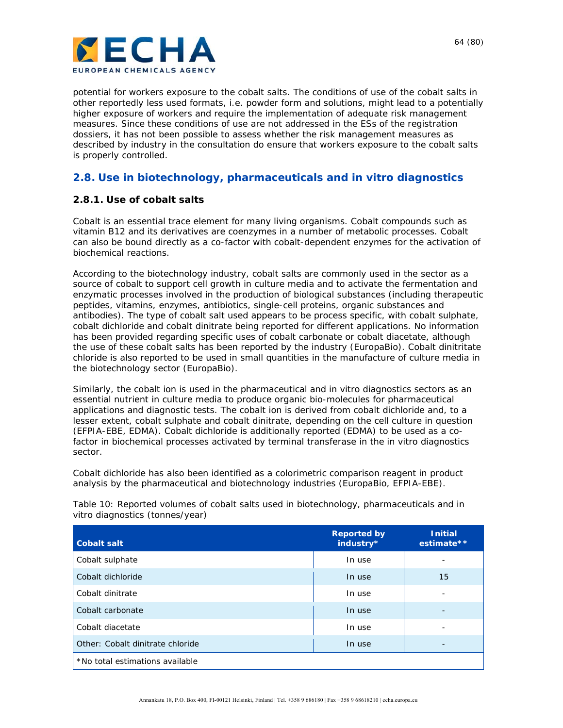

potential for workers exposure to the cobalt salts. The conditions of use of the cobalt salts in other reportedly less used formats, i.e. powder form and solutions, might lead to a potentially higher exposure of workers and require the implementation of adequate risk management measures. Since these conditions of use are not addressed in the ESs of the registration dossiers, it has not been possible to assess whether the risk management measures as described by industry in the consultation do ensure that workers exposure to the cobalt salts is properly controlled.

### **2.8. Use in biotechnology, pharmaceuticals and** *in vitro* **diagnostics**

### **2.8.1. Use of cobalt salts**

Cobalt is an essential trace element for many living organisms. Cobalt compounds such as vitamin B12 and its derivatives are coenzymes in a number of metabolic processes. Cobalt can also be bound directly as a co-factor with cobalt-dependent enzymes for the activation of biochemical reactions.

According to the biotechnology industry, cobalt salts are commonly used in the sector as a source of cobalt to support cell growth in culture media and to activate the fermentation and enzymatic processes involved in the production of biological substances (including therapeutic peptides, vitamins, enzymes, antibiotics, single-cell proteins, organic substances and antibodies). The type of cobalt salt used appears to be process specific, with cobalt sulphate, cobalt dichloride and cobalt dinitrate being reported for different applications. No information has been provided regarding specific uses of cobalt carbonate or cobalt diacetate, although the use of these cobalt salts has been reported by the industry (EuropaBio). Cobalt dinitritate chloride is also reported to be used in small quantities in the manufacture of culture media in the biotechnology sector (EuropaBio).

Similarly, the cobalt ion is used in the pharmaceutical and *in vitro* diagnostics sectors as an essential nutrient in culture media to produce organic bio-molecules for pharmaceutical applications and diagnostic tests. The cobalt ion is derived from cobalt dichloride and, to a lesser extent, cobalt sulphate and cobalt dinitrate, depending on the cell culture in question (EFPIA-EBE, EDMA). Cobalt dichloride is additionally reported (EDMA) to be used as a cofactor in biochemical processes activated by terminal transferase in the *in vitro* diagnostics sector.

Cobalt dichloride has also been identified as a colorimetric comparison reagent in product analysis by the pharmaceutical and biotechnology industries (EuropaBio, EFPIA-EBE).

Table 10: Reported volumes of cobalt salts used in biotechnology, pharmaceuticals and in vitro diagnostics (tonnes/year)

| <b>Cobalt salt</b>               | <b>Reported by</b><br>industry* | <b>Initial</b><br>estimate** |
|----------------------------------|---------------------------------|------------------------------|
| Cobalt sulphate                  | In use                          | -                            |
| Cobalt dichloride                | In use                          | 15                           |
| Cobalt dinitrate                 | In use                          | -                            |
| Cobalt carbonate                 | In use                          | -                            |
| Cobalt diacetate                 | In use                          | -                            |
| Other: Cobalt dinitrate chloride | In use                          | -                            |
| *No total estimations available  |                                 |                              |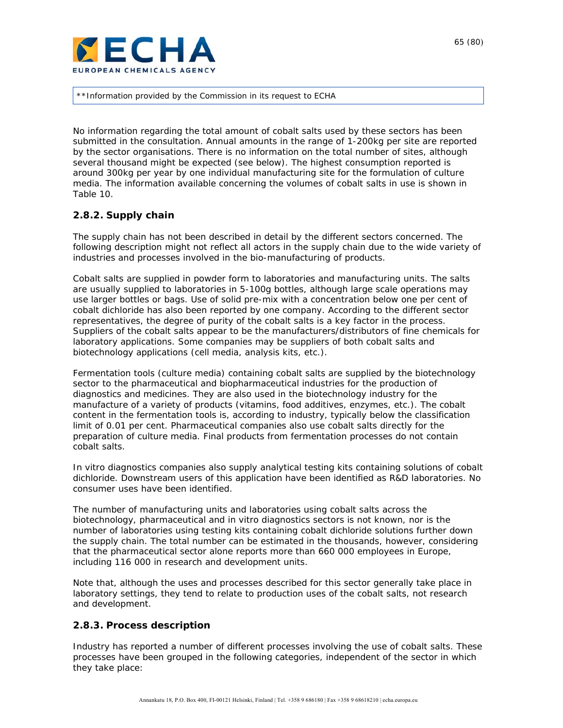

\*\*Information provided by the Commission in its request to ECHA

No information regarding the total amount of cobalt salts used by these sectors has been submitted in the consultation. Annual amounts in the range of 1-200kg per site are reported by the sector organisations. There is no information on the total number of sites, although several thousand might be expected (see below). The highest consumption reported is around 300kg per year by one individual manufacturing site for the formulation of culture media. The information available concerning the volumes of cobalt salts in use is shown in Table 10.

### **2.8.2. Supply chain**

The supply chain has not been described in detail by the different sectors concerned. The following description might not reflect all actors in the supply chain due to the wide variety of industries and processes involved in the bio-manufacturing of products.

Cobalt salts are supplied in powder form to laboratories and manufacturing units. The salts are usually supplied to laboratories in 5-100g bottles, although large scale operations may use larger bottles or bags. Use of solid pre-mix with a concentration below one per cent of cobalt dichloride has also been reported by one company. According to the different sector representatives, the degree of purity of the cobalt salts is a key factor in the process. Suppliers of the cobalt salts appear to be the manufacturers/distributors of fine chemicals for laboratory applications. Some companies may be suppliers of both cobalt salts and biotechnology applications (cell media, analysis kits, etc.).

Fermentation tools (culture media) containing cobalt salts are supplied by the biotechnology sector to the pharmaceutical and biopharmaceutical industries for the production of diagnostics and medicines. They are also used in the biotechnology industry for the manufacture of a variety of products (vitamins, food additives, enzymes, etc.). The cobalt content in the fermentation tools is, according to industry, typically below the classification limit of 0.01 per cent. Pharmaceutical companies also use cobalt salts directly for the preparation of culture media. Final products from fermentation processes do not contain cobalt salts.

*In vitro* diagnostics companies also supply analytical testing kits containing solutions of cobalt dichloride. Downstream users of this application have been identified as R&D laboratories. No consumer uses have been identified.

The number of manufacturing units and laboratories using cobalt salts across the biotechnology, pharmaceutical and *in vitro* diagnostics sectors is not known, nor is the number of laboratories using testing kits containing cobalt dichloride solutions further down the supply chain. The total number can be estimated in the thousands, however, considering that the pharmaceutical sector alone reports more than 660 000 employees in Europe, including 116 000 in research and development units.

Note that, although the uses and processes described for this sector generally take place in laboratory settings, they tend to relate to production uses of the cobalt salts, not research and development.

### **2.8.3. Process description**

Industry has reported a number of different processes involving the use of cobalt salts. These processes have been grouped in the following categories, independent of the sector in which they take place: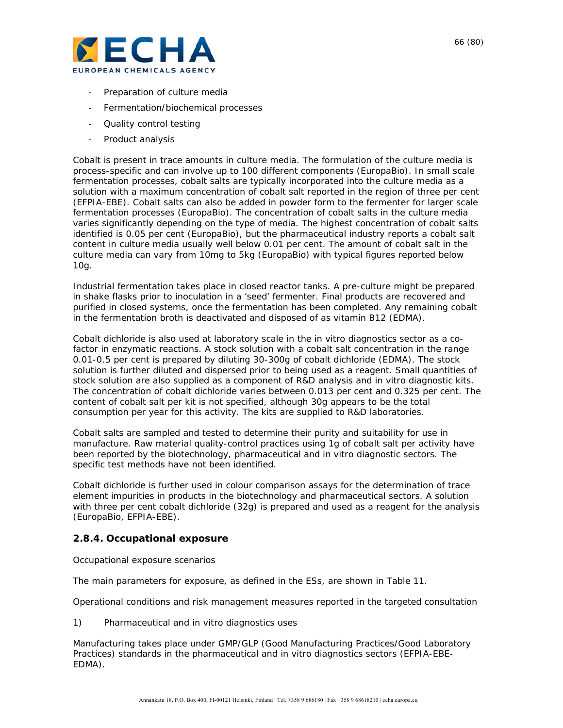

- Preparation of culture media
- Fermentation/biochemical processes
- Quality control testing
- Product analysis

Cobalt is present in trace amounts in culture media. The formulation of the culture media is process-specific and can involve up to 100 different components (EuropaBio). In small scale fermentation processes, cobalt salts are typically incorporated into the culture media as a solution with a maximum concentration of cobalt salt reported in the region of three per cent (EFPIA-EBE). Cobalt salts can also be added in powder form to the fermenter for larger scale fermentation processes (EuropaBio). The concentration of cobalt salts in the culture media varies significantly depending on the type of media. The highest concentration of cobalt salts identified is 0.05 per cent (EuropaBio), but the pharmaceutical industry reports a cobalt salt content in culture media usually well below 0.01 per cent. The amount of cobalt salt in the culture media can vary from 10mg to 5kg (EuropaBio) with typical figures reported below 10g.

Industrial fermentation takes place in closed reactor tanks. A pre-culture might be prepared in shake flasks prior to inoculation in a 'seed' fermenter. Final products are recovered and purified in closed systems, once the fermentation has been completed. Any remaining cobalt in the fermentation broth is deactivated and disposed of as vitamin B12 (EDMA).

Cobalt dichloride is also used at laboratory scale in the *in vitro* diagnostics sector as a cofactor in enzymatic reactions. A stock solution with a cobalt salt concentration in the range 0.01-0.5 per cent is prepared by diluting 30-300g of cobalt dichloride (EDMA). The stock solution is further diluted and dispersed prior to being used as a reagent. Small quantities of stock solution are also supplied as a component of R&D analysis and *in vitro* diagnostic kits. The concentration of cobalt dichloride varies between 0.013 per cent and 0.325 per cent. The content of cobalt salt per kit is not specified, although 30g appears to be the total consumption per year for this activity. The kits are supplied to R&D laboratories.

Cobalt salts are sampled and tested to determine their purity and suitability for use in manufacture. Raw material quality-control practices using 1g of cobalt salt per activity have been reported by the biotechnology, pharmaceutical and *in vitro* diagnostic sectors. The specific test methods have not been identified.

Cobalt dichloride is further used in colour comparison assays for the determination of trace element impurities in products in the biotechnology and pharmaceutical sectors. A solution with three per cent cobalt dichloride (32g) is prepared and used as a reagent for the analysis (EuropaBio, EFPIA-EBE).

#### **2.8.4. Occupational exposure**

*Occupational exposure scenarios* 

The main parameters for exposure, as defined in the ESs, are shown in Table 11.

*Operational conditions and risk management measures reported in the targeted consultation*

#### 1) *Pharmaceutical and in vitro diagnostics uses*

Manufacturing takes place under GMP/GLP (Good Manufacturing Practices/Good Laboratory Practices) standards in the pharmaceutical and *in vitro* diagnostics sectors (EFPIA-EBE-EDMA).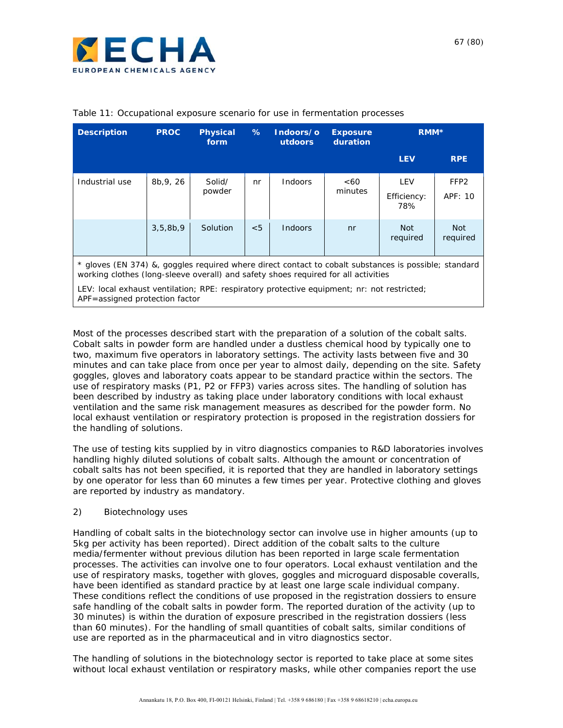

| <b>Description</b>                                                                                                                                                                          | <b>PROC</b> | <b>Physical</b><br>form | %   | Indoors/o<br><b>utdoors</b> | <b>Exposure</b><br>duration | RMM <sup>*</sup>          |                             |
|---------------------------------------------------------------------------------------------------------------------------------------------------------------------------------------------|-------------|-------------------------|-----|-----------------------------|-----------------------------|---------------------------|-----------------------------|
|                                                                                                                                                                                             |             |                         |     |                             |                             | <b>LEV</b>                | <b>RPE</b>                  |
| Industrial use                                                                                                                                                                              | 8b, 9, 26   | Solid/<br>powder        | nr  | <b>Indoors</b>              | <60<br>minutes              | LEV<br>Efficiency:<br>78% | FFP <sub>2</sub><br>APF: 10 |
|                                                                                                                                                                                             | 3,5,8b,9    | Solution                | < 5 | <b>Indoors</b>              | nr                          | <b>Not</b><br>required    | <b>Not</b><br>required      |
| * gloves (EN 374) &, goggles reguired where direct contact to cobalt substances is possible; standard<br>working clothes (long-sleeve overall) and safety shoes required for all activities |             |                         |     |                             |                             |                           |                             |
| LEV: local exhaust ventilation; RPE: respiratory protective equipment; nr: not restricted;<br>APF=assigned protection factor                                                                |             |                         |     |                             |                             |                           |                             |

#### Table 11: Occupational exposure scenario for use in fermentation processes

Most of the processes described start with the preparation of a solution of the cobalt salts. Cobalt salts in powder form are handled under a dustless chemical hood by typically one to two, maximum five operators in laboratory settings. The activity lasts between five and 30 minutes and can take place from once per year to almost daily, depending on the site. Safety goggles, gloves and laboratory coats appear to be standard practice within the sectors. The use of respiratory masks (P1, P2 or FFP3) varies across sites. The handling of solution has been described by industry as taking place under laboratory conditions with local exhaust ventilation and the same risk management measures as described for the powder form. No local exhaust ventilation or respiratory protection is proposed in the registration dossiers for the handling of solutions.

The use of testing kits supplied by *in vitro* diagnostics companies to R&D laboratories involves handling highly diluted solutions of cobalt salts. Although the amount or concentration of cobalt salts has not been specified, it is reported that they are handled in laboratory settings by one operator for less than 60 minutes a few times per year. Protective clothing and gloves are reported by industry as mandatory.

#### 2) *Biotechnology uses*

Handling of cobalt salts in the biotechnology sector can involve use in higher amounts (up to 5kg per activity has been reported). Direct addition of the cobalt salts to the culture media/fermenter without previous dilution has been reported in large scale fermentation processes. The activities can involve one to four operators. Local exhaust ventilation and the use of respiratory masks, together with gloves, goggles and microguard disposable coveralls, have been identified as standard practice by at least one large scale individual company. These conditions reflect the conditions of use proposed in the registration dossiers to ensure safe handling of the cobalt salts in powder form. The reported duration of the activity (up to 30 minutes) is within the duration of exposure prescribed in the registration dossiers (less than 60 minutes). For the handling of small quantities of cobalt salts, similar conditions of use are reported as in the pharmaceutical and *in vitro* diagnostics sector.

The handling of solutions in the biotechnology sector is reported to take place at some sites without local exhaust ventilation or respiratory masks, while other companies report the use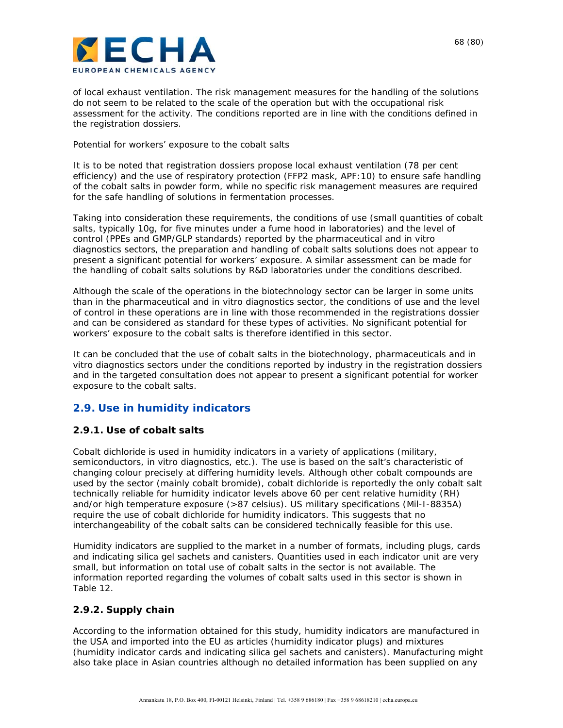

of local exhaust ventilation. The risk management measures for the handling of the solutions do not seem to be related to the scale of the operation but with the occupational risk assessment for the activity. The conditions reported are in line with the conditions defined in the registration dossiers.

#### *Potential for workers' exposure to the cobalt salts*

It is to be noted that registration dossiers propose local exhaust ventilation (78 per cent efficiency) and the use of respiratory protection (FFP2 mask, APF:10) to ensure safe handling of the cobalt salts in powder form, while no specific risk management measures are required for the safe handling of solutions in fermentation processes.

Taking into consideration these requirements, the conditions of use (small quantities of cobalt salts, typically 10g, for five minutes under a fume hood in laboratories) and the level of control (PPEs and GMP/GLP standards) reported by the pharmaceutical and *in vitro* diagnostics sectors, the preparation and handling of cobalt salts solutions does not appear to present a significant potential for workers' exposure. A similar assessment can be made for the handling of cobalt salts solutions by R&D laboratories under the conditions described.

Although the scale of the operations in the biotechnology sector can be larger in some units than in the pharmaceutical and *in vitro* diagnostics sector, the conditions of use and the level of control in these operations are in line with those recommended in the registrations dossier and can be considered as standard for these types of activities. No significant potential for workers' exposure to the cobalt salts is therefore identified in this sector.

It can be concluded that the use of cobalt salts in the biotechnology, pharmaceuticals and *in vitro* diagnostics sectors under the conditions reported by industry in the registration dossiers and in the targeted consultation does not appear to present a significant potential for worker exposure to the cobalt salts.

### **2.9. Use in humidity indicators**

### **2.9.1. Use of cobalt salts**

Cobalt dichloride is used in humidity indicators in a variety of applications (military, semiconductors, in vitro diagnostics, etc.). The use is based on the salt's characteristic of changing colour precisely at differing humidity levels. Although other cobalt compounds are used by the sector (mainly cobalt bromide), cobalt dichloride is reportedly the only cobalt salt technically reliable for humidity indicator levels above 60 per cent relative humidity (RH) and/or high temperature exposure (>87 celsius). US military specifications (Mil-I-8835A) require the use of cobalt dichloride for humidity indicators. This suggests that no interchangeability of the cobalt salts can be considered technically feasible for this use.

Humidity indicators are supplied to the market in a number of formats, including plugs, cards and indicating silica gel sachets and canisters. Quantities used in each indicator unit are very small, but information on total use of cobalt salts in the sector is not available. The information reported regarding the volumes of cobalt salts used in this sector is shown in Table 12.

### **2.9.2. Supply chain**

According to the information obtained for this study, humidity indicators are manufactured in the USA and imported into the EU as articles (humidity indicator plugs) and mixtures (humidity indicator cards and indicating silica gel sachets and canisters). Manufacturing might also take place in Asian countries although no detailed information has been supplied on any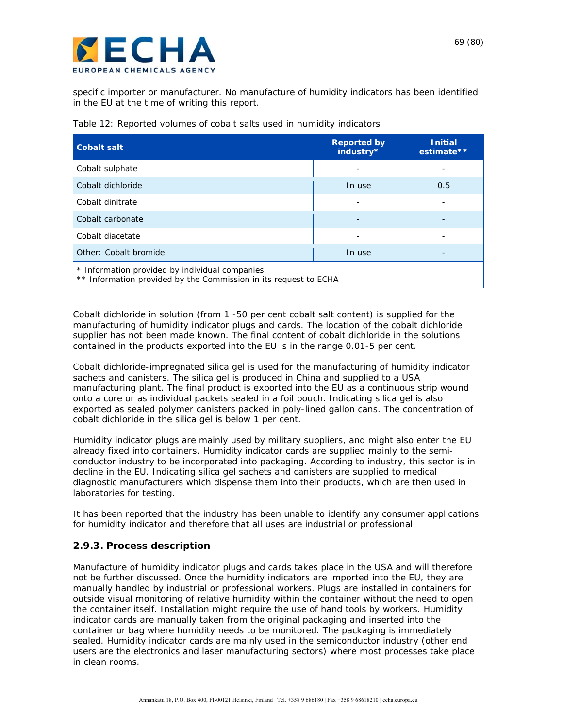

specific importer or manufacturer. No manufacture of humidity indicators has been identified in the EU at the time of writing this report.

| <b>Cobalt salt</b>                                                                                                 | <b>Reported by</b><br>industry* | <b>Initial</b><br>estimate** |  |  |  |
|--------------------------------------------------------------------------------------------------------------------|---------------------------------|------------------------------|--|--|--|
| Cobalt sulphate                                                                                                    |                                 |                              |  |  |  |
| Cobalt dichloride                                                                                                  | In use                          | 0.5                          |  |  |  |
| Cobalt dinitrate                                                                                                   |                                 |                              |  |  |  |
| Cobalt carbonate                                                                                                   |                                 |                              |  |  |  |
| Cobalt diacetate                                                                                                   |                                 |                              |  |  |  |
| Other: Cobalt bromide                                                                                              | In use                          |                              |  |  |  |
| * Information provided by individual companies<br>** Information provided by the Commission in its request to ECHA |                                 |                              |  |  |  |

Cobalt dichloride in solution (from 1 -50 per cent cobalt salt content) is supplied for the manufacturing of humidity indicator plugs and cards. The location of the cobalt dichloride supplier has not been made known. The final content of cobalt dichloride in the solutions contained in the products exported into the EU is in the range 0.01-5 per cent.

Cobalt dichloride-impregnated silica gel is used for the manufacturing of humidity indicator sachets and canisters. The silica gel is produced in China and supplied to a USA manufacturing plant. The final product is exported into the EU as a continuous strip wound onto a core or as individual packets sealed in a foil pouch. Indicating silica gel is also exported as sealed polymer canisters packed in poly-lined gallon cans. The concentration of cobalt dichloride in the silica gel is below 1 per cent.

Humidity indicator plugs are mainly used by military suppliers, and might also enter the EU already fixed into containers. Humidity indicator cards are supplied mainly to the semiconductor industry to be incorporated into packaging. According to industry, this sector is in decline in the EU. Indicating silica gel sachets and canisters are supplied to medical diagnostic manufacturers which dispense them into their products, which are then used in laboratories for testing.

It has been reported that the industry has been unable to identify any consumer applications for humidity indicator and therefore that all uses are industrial or professional.

### **2.9.3. Process description**

Manufacture of humidity indicator plugs and cards takes place in the USA and will therefore not be further discussed. Once the humidity indicators are imported into the EU, they are manually handled by industrial or professional workers. Plugs are installed in containers for outside visual monitoring of relative humidity within the container without the need to open the container itself. Installation might require the use of hand tools by workers. Humidity indicator cards are manually taken from the original packaging and inserted into the container or bag where humidity needs to be monitored. The packaging is immediately sealed. Humidity indicator cards are mainly used in the semiconductor industry (other end users are the electronics and laser manufacturing sectors) where most processes take place in clean rooms.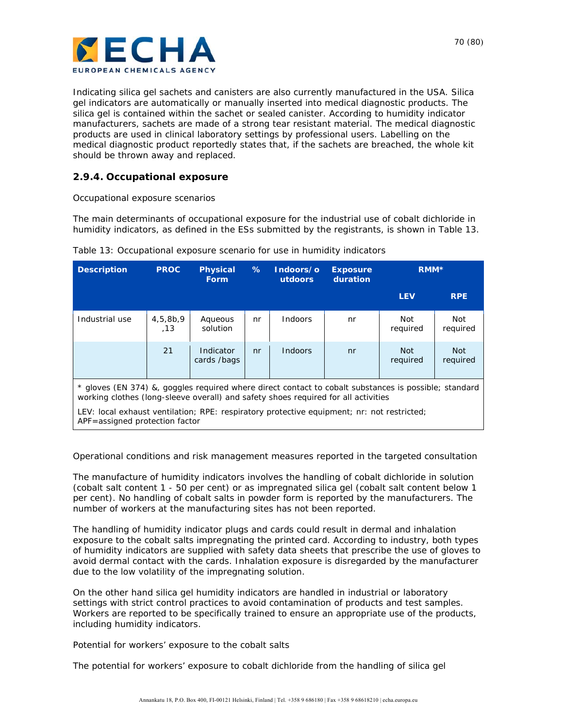

Indicating silica gel sachets and canisters are also currently manufactured in the USA. Silica gel indicators are automatically or manually inserted into medical diagnostic products. The silica gel is contained within the sachet or sealed canister. According to humidity indicator manufacturers, sachets are made of a strong tear resistant material. The medical diagnostic products are used in clinical laboratory settings by professional users. Labelling on the medical diagnostic product reportedly states that, if the sachets are breached, the whole kit should be thrown away and replaced.

### **2.9.4. Occupational exposure**

#### *Occupational exposure scenarios*

The main determinants of occupational exposure for the industrial use of cobalt dichloride in humidity indicators, as defined in the ESs submitted by the registrants, is shown in Table 13.

| <b>Description</b>                                                                                                                                                                                                                                                                                                          | <b>PROC</b>     | <b>Physical</b><br><b>Form</b> | ℅  | Indoors/o<br>utdoors | <b>Exposure</b><br>duration | RMM <sup>*</sup>       |                        |
|-----------------------------------------------------------------------------------------------------------------------------------------------------------------------------------------------------------------------------------------------------------------------------------------------------------------------------|-----------------|--------------------------------|----|----------------------|-----------------------------|------------------------|------------------------|
|                                                                                                                                                                                                                                                                                                                             |                 |                                |    |                      |                             | <b>LEV</b>             | <b>RPE</b>             |
| Industrial use                                                                                                                                                                                                                                                                                                              | 4,5,8b,9<br>.13 | Aqueous<br>solution            | nr | Indoors              | nr                          | Not<br>required        | Not<br>required        |
|                                                                                                                                                                                                                                                                                                                             | 21              | Indicator<br>cards /bags       | nr | Indoors              | n <sub>r</sub>              | <b>Not</b><br>required | <b>Not</b><br>required |
| * gloves (EN 374) &, goggles reguired where direct contact to cobalt substances is possible; standard<br>working clothes (long-sleeve overall) and safety shoes required for all activities<br>LEV: local exhaust ventilation; RPE: respiratory protective equipment; nr: not restricted;<br>APF=assigned protection factor |                 |                                |    |                      |                             |                        |                        |

Table 13: Occupational exposure scenario for use in humidity indicators

#### *Operational conditions and risk management measures reported in the targeted consultation*

The manufacture of humidity indicators involves the handling of cobalt dichloride in solution (cobalt salt content 1 - 50 per cent) or as impregnated silica gel (cobalt salt content below 1 per cent). No handling of cobalt salts in powder form is reported by the manufacturers. The number of workers at the manufacturing sites has not been reported.

The handling of humidity indicator plugs and cards could result in dermal and inhalation exposure to the cobalt salts impregnating the printed card. According to industry, both types of humidity indicators are supplied with safety data sheets that prescribe the use of gloves to avoid dermal contact with the cards. Inhalation exposure is disregarded by the manufacturer due to the low volatility of the impregnating solution.

On the other hand silica gel humidity indicators are handled in industrial or laboratory settings with strict control practices to avoid contamination of products and test samples. Workers are reported to be specifically trained to ensure an appropriate use of the products, including humidity indicators.

#### *Potential for workers' exposure to the cobalt salts*

The potential for workers' exposure to cobalt dichloride from the handling of silica gel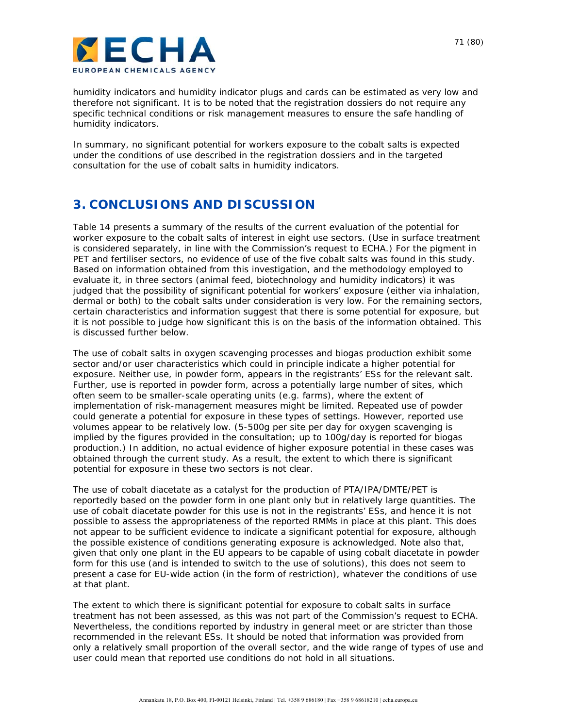

humidity indicators and humidity indicator plugs and cards can be estimated as very low and therefore not significant. It is to be noted that the registration dossiers do not require any specific technical conditions or risk management measures to ensure the safe handling of humidity indicators.

In summary, no significant potential for workers exposure to the cobalt salts is expected under the conditions of use described in the registration dossiers and in the targeted consultation for the use of cobalt salts in humidity indicators.

## **3. CONCLUSIONS AND DISCUSSION**

Table 14 presents a summary of the results of the current evaluation of the potential for worker exposure to the cobalt salts of interest in eight use sectors. (Use in surface treatment is considered separately, in line with the Commission's request to ECHA.) For the pigment in PET and fertiliser sectors, no evidence of use of the five cobalt salts was found in this study. Based on information obtained from this investigation, and the methodology employed to evaluate it, in three sectors (animal feed, biotechnology and humidity indicators) it was judged that the possibility of significant potential for workers' exposure (either via inhalation, dermal or both) to the cobalt salts under consideration is very low. For the remaining sectors, certain characteristics and information suggest that there is some potential for exposure, but it is not possible to judge how significant this is on the basis of the information obtained. This is discussed further below.

The use of cobalt salts in oxygen scavenging processes and biogas production exhibit some sector and/or user characteristics which could in principle indicate a higher potential for exposure. Neither use, in powder form, appears in the registrants' ESs for the relevant salt. Further, use is reported in powder form, across a potentially large number of sites, which often seem to be smaller-scale operating units (e.g. farms), where the extent of implementation of risk-management measures might be limited. Repeated use of powder could generate a potential for exposure in these types of settings. However, reported use volumes appear to be relatively low. (5-500g per site per day for oxygen scavenging is implied by the figures provided in the consultation; up to 100g/day is reported for biogas production.) In addition, no actual evidence of higher exposure potential in these cases was obtained through the current study. As a result, the extent to which there is significant potential for exposure in these two sectors is not clear.

The use of cobalt diacetate as a catalyst for the production of PTA/IPA/DMTE/PET is reportedly based on the powder form in one plant only but in relatively large quantities. The use of cobalt diacetate powder for this use is not in the registrants' ESs, and hence it is not possible to assess the appropriateness of the reported RMMs in place at this plant. This does not appear to be sufficient evidence to indicate a significant potential for exposure, although the possible existence of conditions generating exposure is acknowledged. Note also that, given that only one plant in the EU appears to be capable of using cobalt diacetate in powder form for this use (and is intended to switch to the use of solutions), this does not seem to present a case for EU-wide action (in the form of restriction), whatever the conditions of use at that plant.

The extent to which there is significant potential for exposure to cobalt salts in surface treatment has not been assessed, as this was not part of the Commission's request to ECHA. Nevertheless, the conditions reported by industry in general meet or are stricter than those recommended in the relevant ESs. It should be noted that information was provided from only a relatively small proportion of the overall sector, and the wide range of types of use and user could mean that reported use conditions do not hold in all situations.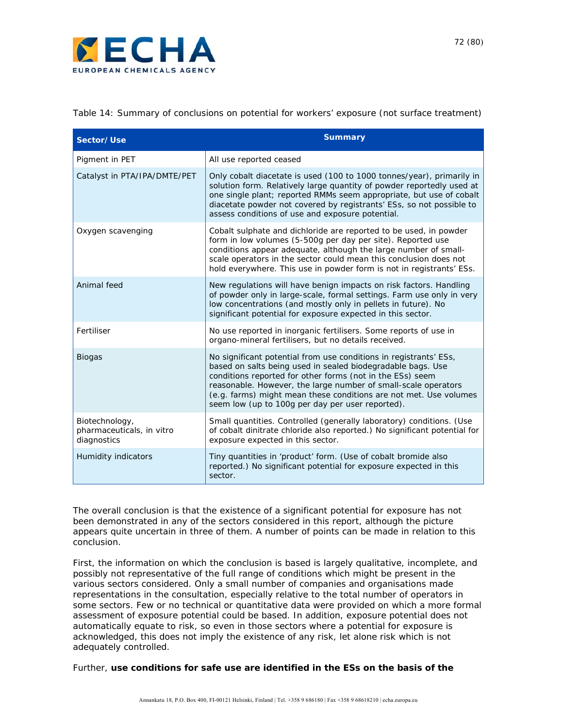

Table 14: Summary of conclusions on potential for workers' exposure (not surface treatment)

| Sector/Use                                                 | <b>Summary</b>                                                                                                                                                                                                                                                                                                                                                                           |
|------------------------------------------------------------|------------------------------------------------------------------------------------------------------------------------------------------------------------------------------------------------------------------------------------------------------------------------------------------------------------------------------------------------------------------------------------------|
| Pigment in PET                                             | All use reported ceased                                                                                                                                                                                                                                                                                                                                                                  |
| Catalyst in PTA/IPA/DMTE/PET                               | Only cobalt diacetate is used (100 to 1000 tonnes/year), primarily in<br>solution form. Relatively large quantity of powder reportedly used at<br>one single plant; reported RMMs seem appropriate, but use of cobalt<br>diacetate powder not covered by registrants' ESs, so not possible to<br>assess conditions of use and exposure potential.                                        |
| Oxygen scavenging                                          | Cobalt sulphate and dichloride are reported to be used, in powder<br>form in low volumes (5-500g per day per site). Reported use<br>conditions appear adequate, although the large number of small-<br>scale operators in the sector could mean this conclusion does not<br>hold everywhere. This use in powder form is not in registrants' ESs.                                         |
| Animal feed                                                | New regulations will have benign impacts on risk factors. Handling<br>of powder only in large-scale, formal settings. Farm use only in very<br>low concentrations (and mostly only in pellets in future). No<br>significant potential for exposure expected in this sector.                                                                                                              |
| Fertiliser                                                 | No use reported in inorganic fertilisers. Some reports of use in<br>organo-mineral fertilisers, but no details received.                                                                                                                                                                                                                                                                 |
| <b>Biogas</b>                                              | No significant potential from use conditions in registrants' ESs,<br>based on salts being used in sealed biodegradable bags. Use<br>conditions reported for other forms (not in the ESs) seem<br>reasonable. However, the large number of small-scale operators<br>(e.g. farms) might mean these conditions are not met. Use volumes<br>seem low (up to 100g per day per user reported). |
| Biotechnology,<br>pharmaceuticals, in vitro<br>diagnostics | Small quantities. Controlled (generally laboratory) conditions. (Use<br>of cobalt dinitrate chloride also reported.) No significant potential for<br>exposure expected in this sector.                                                                                                                                                                                                   |
| Humidity indicators                                        | Tiny quantities in 'product' form. (Use of cobalt bromide also<br>reported.) No significant potential for exposure expected in this<br>sector.                                                                                                                                                                                                                                           |

The overall conclusion is that the existence of a significant potential for exposure has not been demonstrated in any of the sectors considered in this report, although the picture appears quite uncertain in three of them. A number of points can be made in relation to this conclusion.

First, the information on which the conclusion is based is largely qualitative, incomplete, and possibly not representative of the full range of conditions which might be present in the various sectors considered. Only a small number of companies and organisations made representations in the consultation, especially relative to the total number of operators in some sectors. Few or no technical or quantitative data were provided on which a more formal assessment of exposure potential could be based. In addition, exposure potential does not automatically equate to risk, so even in those sectors where a potential for exposure is acknowledged, this does not imply the existence of any risk, let alone risk which is not adequately controlled.

Further, **use conditions for safe use are identified in the ESs on the basis of the**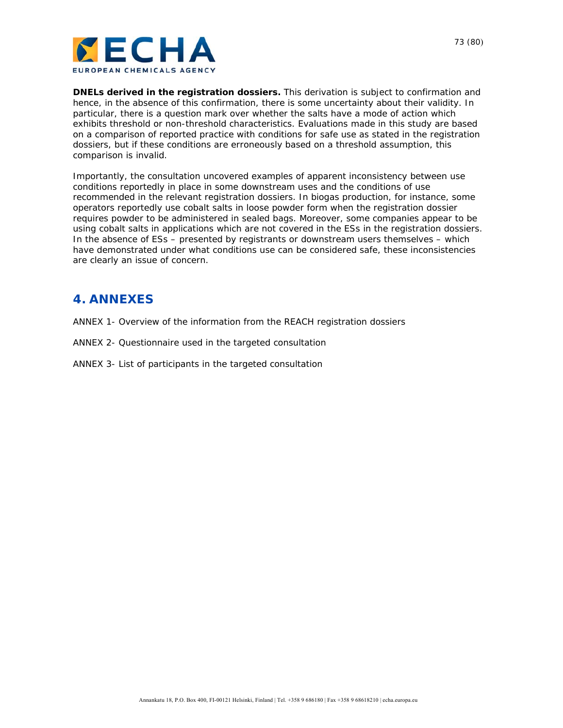

**DNELs derived in the registration dossiers.** This derivation is subject to confirmation and hence, in the absence of this confirmation, there is some uncertainty about their validity. In particular, there is a question mark over whether the salts have a mode of action which exhibits threshold or non-threshold characteristics. Evaluations made in this study are based on a comparison of reported practice with conditions for safe use as stated in the registration dossiers, but if these conditions are erroneously based on a threshold assumption, this comparison is invalid.

Importantly, the consultation uncovered examples of apparent inconsistency between use conditions reportedly in place in some downstream uses and the conditions of use recommended in the relevant registration dossiers. In biogas production, for instance, some operators reportedly use cobalt salts in loose powder form when the registration dossier requires powder to be administered in sealed bags. Moreover, some companies appear to be using cobalt salts in applications which are not covered in the ESs in the registration dossiers. In the absence of ESs – presented by registrants or downstream users themselves – which have demonstrated under what conditions use can be considered safe, these inconsistencies are clearly an issue of concern.

# **4. ANNEXES**

- ANNEX 1- Overview of the information from the REACH registration dossiers
- ANNEX 2- Questionnaire used in the targeted consultation
- ANNEX 3- List of participants in the targeted consultation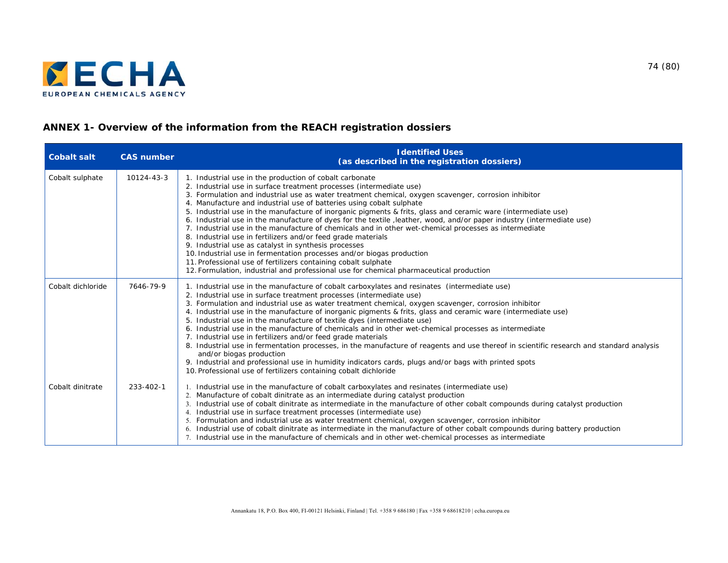

# **ANNEX 1- Overview of the information from the REACH registration dossiers**

| <b>Cobalt salt</b> | <b>CAS number</b> | <b>Identified Uses</b><br>(as described in the registration dossiers)                                                                                                                                                                                                                                                                                                                                                                                                                                                                                                                                                                                                                                                                                                                                                                                                                                                                                                                                                           |
|--------------------|-------------------|---------------------------------------------------------------------------------------------------------------------------------------------------------------------------------------------------------------------------------------------------------------------------------------------------------------------------------------------------------------------------------------------------------------------------------------------------------------------------------------------------------------------------------------------------------------------------------------------------------------------------------------------------------------------------------------------------------------------------------------------------------------------------------------------------------------------------------------------------------------------------------------------------------------------------------------------------------------------------------------------------------------------------------|
| Cobalt sulphate    | 10124-43-3        | 1. Industrial use in the production of cobalt carbonate<br>2. Industrial use in surface treatment processes (intermediate use)<br>3. Formulation and industrial use as water treatment chemical, oxygen scavenger, corrosion inhibitor<br>4. Manufacture and industrial use of batteries using cobalt sulphate<br>5. Industrial use in the manufacture of inorganic pigments & frits, glass and ceramic ware (intermediate use)<br>6. Industrial use in the manufacture of dyes for the textile, leather, wood, and/or paper industry (intermediate use)<br>7. Industrial use in the manufacture of chemicals and in other wet-chemical processes as intermediate<br>8. Industrial use in fertilizers and/or feed grade materials<br>9. Industrial use as catalyst in synthesis processes<br>10. Industrial use in fermentation processes and/or biogas production<br>11. Professional use of fertilizers containing cobalt sulphate<br>12. Formulation, industrial and professional use for chemical pharmaceutical production |
| Cobalt dichloride  | 7646-79-9         | 1. Industrial use in the manufacture of cobalt carboxylates and resinates (intermediate use)<br>2. Industrial use in surface treatment processes (intermediate use)<br>3. Formulation and industrial use as water treatment chemical, oxygen scavenger, corrosion inhibitor<br>4. Industrial use in the manufacture of inorganic pigments & frits, glass and ceramic ware (intermediate use)<br>5. Industrial use in the manufacture of textile dyes (intermediate use)<br>6. Industrial use in the manufacture of chemicals and in other wet-chemical processes as intermediate<br>7. Industrial use in fertilizers and/or feed grade materials<br>8. Industrial use in fermentation processes, in the manufacture of reagents and use thereof in scientific research and standard analysis<br>and/or biogas production<br>9. Industrial and professional use in humidity indicators cards, plugs and/or bags with printed spots<br>10. Professional use of fertilizers containing cobalt dichloride                           |
| Cobalt dinitrate   | 233-402-1         | 1. Industrial use in the manufacture of cobalt carboxylates and resinates (intermediate use)<br>2. Manufacture of cobalt dinitrate as an intermediate during catalyst production<br>3. Industrial use of cobalt dinitrate as intermediate in the manufacture of other cobalt compounds during catalyst production<br>4. Industrial use in surface treatment processes (intermediate use)<br>5. Formulation and industrial use as water treatment chemical, oxygen scavenger, corrosion inhibitor<br>6. Industrial use of cobalt dinitrate as intermediate in the manufacture of other cobalt compounds during battery production<br>7. Industrial use in the manufacture of chemicals and in other wet-chemical processes as intermediate                                                                                                                                                                                                                                                                                       |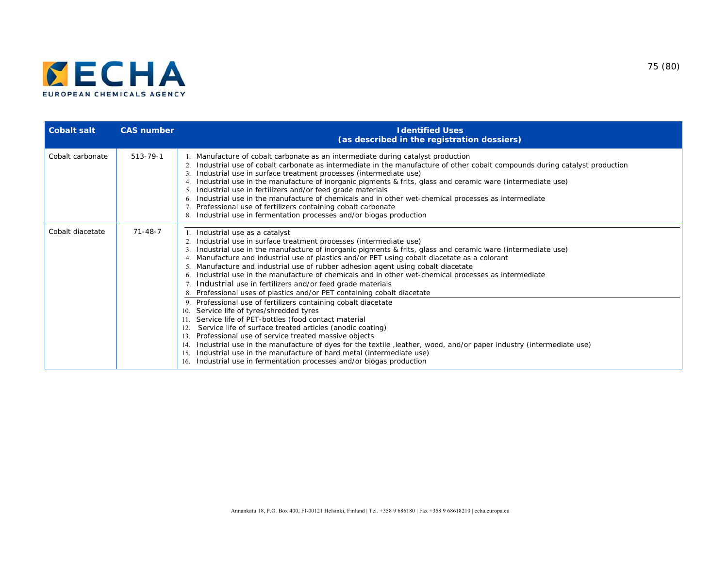

| <b>Cobalt salt</b> | <b>CAS number</b> | <b>Identified Uses</b><br>(as described in the registration dossiers)                                                                                                                                                                                                                                                                                                                                                                                                                                                                                                                                                                                                                                                        |
|--------------------|-------------------|------------------------------------------------------------------------------------------------------------------------------------------------------------------------------------------------------------------------------------------------------------------------------------------------------------------------------------------------------------------------------------------------------------------------------------------------------------------------------------------------------------------------------------------------------------------------------------------------------------------------------------------------------------------------------------------------------------------------------|
| Cobalt carbonate   | $513 - 79 - 1$    | 1. Manufacture of cobalt carbonate as an intermediate during catalyst production<br>2. Industrial use of cobalt carbonate as intermediate in the manufacture of other cobalt compounds during catalyst production<br>3. Industrial use in surface treatment processes (intermediate use)<br>4. Industrial use in the manufacture of inorganic pigments & frits, glass and ceramic ware (intermediate use)<br>5. Industrial use in fertilizers and/or feed grade materials<br>6. Industrial use in the manufacture of chemicals and in other wet-chemical processes as intermediate<br>7. Professional use of fertilizers containing cobalt carbonate<br>8. Industrial use in fermentation processes and/or biogas production |
| Cobalt diacetate   | $71 - 48 - 7$     | 1. Industrial use as a catalyst<br>Industrial use in surface treatment processes (intermediate use)<br>3. Industrial use in the manufacture of inorganic pigments & frits, glass and ceramic ware (intermediate use)<br>4. Manufacture and industrial use of plastics and/or PET using cobalt diacetate as a colorant<br>5. Manufacture and industrial use of rubber adhesion agent using cobalt diacetate<br>6. Industrial use in the manufacture of chemicals and in other wet-chemical processes as intermediate<br>7. Industrial use in fertilizers and/or feed grade materials<br>8. Professional uses of plastics and/or PET containing cobalt diacetate                                                               |
|                    |                   | 9. Professional use of fertilizers containing cobalt diacetate<br>Service life of tyres/shredded tyres<br>10.<br>Service life of PET-bottles (food contact material<br>Service life of surface treated articles (anodic coating)<br>12.<br>Professional use of service treated massive objects<br>13.<br>Industrial use in the manufacture of dyes for the textile, leather, wood, and/or paper industry (intermediate use)<br>14.<br>Industrial use in the manufacture of hard metal (intermediate use)<br>15.<br>16. Industrial use in fermentation processes and/or biogas production                                                                                                                                     |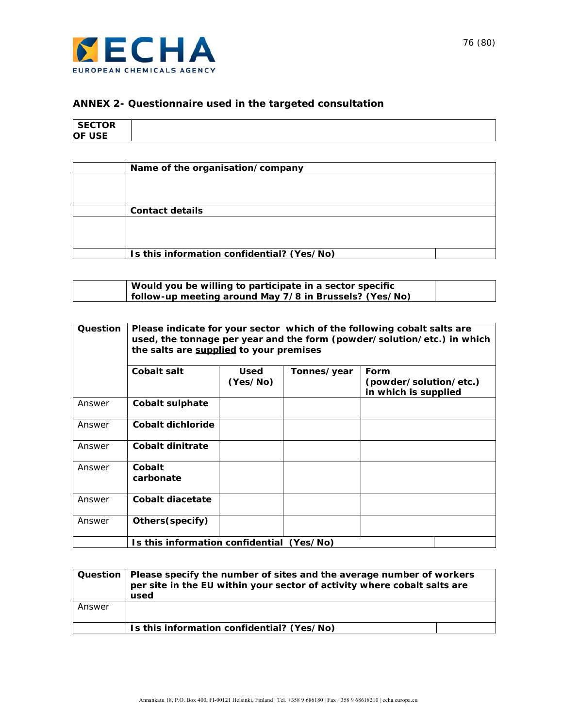

# **ANNEX 2- Questionnaire used in the targeted consultation**

| CCTOP<br><b>SECTOR</b> |
|------------------------|
|                        |
|                        |
|                        |
| <b>ICE</b><br>$\Omega$ |
| ro i                   |

| Name of the organisation/company           |
|--------------------------------------------|
|                                            |
|                                            |
|                                            |
| <b>Contact details</b>                     |
|                                            |
|                                            |
|                                            |
| Is this information confidential? (Yes/No) |

| Would you be willing to participate in a sector specific |  |
|----------------------------------------------------------|--|
| follow-up meeting around May 7/8 in Brussels? (Yes/No)   |  |

| Question | Please indicate for your sector which of the following cobalt salts are<br>used, the tonnage per year and the form (powder/solution/etc.) in which<br>the salts are supplied to your premises |                  |             |                                                        |
|----------|-----------------------------------------------------------------------------------------------------------------------------------------------------------------------------------------------|------------------|-------------|--------------------------------------------------------|
|          | Cobalt salt                                                                                                                                                                                   | Used<br>(Yes/No) | Tonnes/year | Form<br>(powder/solution/etc.)<br>in which is supplied |
| Answer   | Cobalt sulphate                                                                                                                                                                               |                  |             |                                                        |
| Answer   | Cobalt dichloride                                                                                                                                                                             |                  |             |                                                        |
| Answer   | Cobalt dinitrate                                                                                                                                                                              |                  |             |                                                        |
| Answer   | Cobalt<br>carbonate                                                                                                                                                                           |                  |             |                                                        |
| Answer   | Cobalt diacetate                                                                                                                                                                              |                  |             |                                                        |
| Answer   | Others (specify)                                                                                                                                                                              |                  |             |                                                        |
|          | Is this information confidential (Yes/No)                                                                                                                                                     |                  |             |                                                        |

|        | Question   Please specify the number of sites and the average number of workers<br>per site in the EU within your sector of activity where cobalt salts are<br>used |
|--------|---------------------------------------------------------------------------------------------------------------------------------------------------------------------|
| Answer |                                                                                                                                                                     |
|        | Is this information confidential? (Yes/No)                                                                                                                          |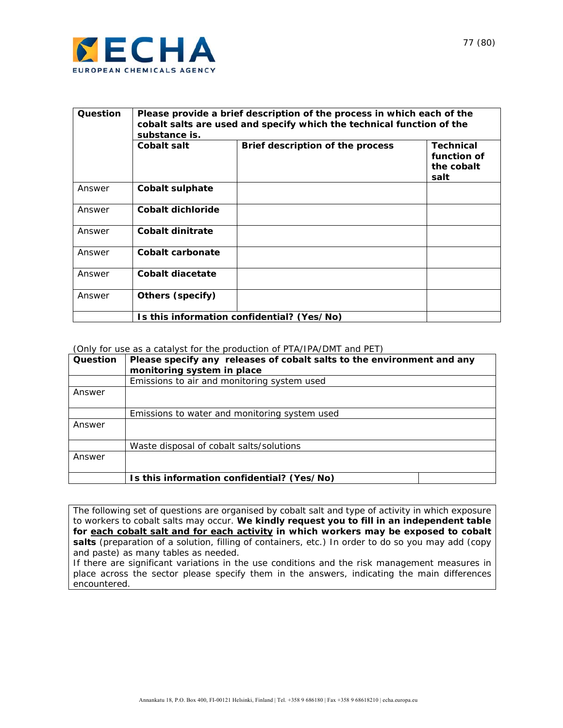

| Question | Please provide a brief description of the process in which each of the<br>cobalt salts are used and specify which the technical function of the<br>substance is. |                                            |                                                       |  |
|----------|------------------------------------------------------------------------------------------------------------------------------------------------------------------|--------------------------------------------|-------------------------------------------------------|--|
|          | Cobalt salt                                                                                                                                                      | Brief description of the process           | <b>Technical</b><br>function of<br>the cobalt<br>salt |  |
| Answer   | Cobalt sulphate                                                                                                                                                  |                                            |                                                       |  |
| Answer   | Cobalt dichloride                                                                                                                                                |                                            |                                                       |  |
| Answer   | Cobalt dinitrate                                                                                                                                                 |                                            |                                                       |  |
| Answer   | Cobalt carbonate                                                                                                                                                 |                                            |                                                       |  |
| Answer   | Cobalt diacetate                                                                                                                                                 |                                            |                                                       |  |
| Answer   | Others (specify)                                                                                                                                                 |                                            |                                                       |  |
|          |                                                                                                                                                                  | Is this information confidential? (Yes/No) |                                                       |  |

#### (Only for use as a catalyst for the production of PTA/IPA/DMT and PET)

| Question | Please specify any releases of cobalt salts to the environment and any<br>monitoring system in place |
|----------|------------------------------------------------------------------------------------------------------|
|          | Emissions to air and monitoring system used                                                          |
| Answer   |                                                                                                      |
|          | Emissions to water and monitoring system used                                                        |
| Answer   |                                                                                                      |
|          | Waste disposal of cobalt salts/solutions                                                             |
| Answer   |                                                                                                      |
|          | Is this information confidential? (Yes/No)                                                           |

The following set of questions are organised by cobalt salt and type of activity in which exposure to workers to cobalt salts may occur. **We kindly request you to fill in an independent table for each cobalt salt and for each activity in which workers may be exposed to cobalt**  salts (preparation of a solution, filling of containers, etc.) In order to do so you may add (copy and paste) as many tables as needed.

If there are significant variations in the use conditions and the risk management measures in place across the sector please specify them in the answers, indicating the main differences encountered.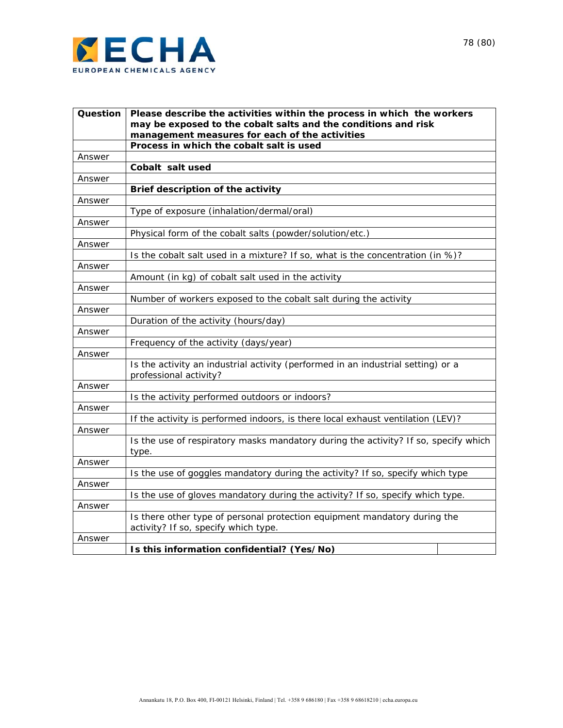

| Question | Please describe the activities within the process in which the workers                                     |
|----------|------------------------------------------------------------------------------------------------------------|
|          | may be exposed to the cobalt salts and the conditions and risk                                             |
|          | management measures for each of the activities<br>Process in which the cobalt salt is used                 |
| Answer   |                                                                                                            |
|          | Cobalt salt used                                                                                           |
| Answer   |                                                                                                            |
|          | Brief description of the activity                                                                          |
| Answer   |                                                                                                            |
|          | Type of exposure (inhalation/dermal/oral)                                                                  |
| Answer   |                                                                                                            |
|          | Physical form of the cobalt salts (powder/solution/etc.)                                                   |
| Answer   |                                                                                                            |
|          | Is the cobalt salt used in a mixture? If so, what is the concentration (in %)?                             |
| Answer   |                                                                                                            |
|          | Amount (in kg) of cobalt salt used in the activity                                                         |
| Answer   |                                                                                                            |
|          | Number of workers exposed to the cobalt salt during the activity                                           |
| Answer   |                                                                                                            |
|          | Duration of the activity (hours/day)                                                                       |
| Answer   |                                                                                                            |
|          | Frequency of the activity (days/year)                                                                      |
| Answer   |                                                                                                            |
|          | Is the activity an industrial activity (performed in an industrial setting) or a<br>professional activity? |
| Answer   |                                                                                                            |
|          | Is the activity performed outdoors or indoors?                                                             |
| Answer   |                                                                                                            |
|          | If the activity is performed indoors, is there local exhaust ventilation (LEV)?                            |
| Answer   |                                                                                                            |
|          | Is the use of respiratory masks mandatory during the activity? If so, specify which<br>type.               |
| Answer   |                                                                                                            |
|          | Is the use of goggles mandatory during the activity? If so, specify which type                             |
| Answer   |                                                                                                            |
|          | Is the use of gloves mandatory during the activity? If so, specify which type.                             |
| Answer   |                                                                                                            |
|          | Is there other type of personal protection equipment mandatory during the                                  |
|          | activity? If so, specify which type.                                                                       |
| Answer   |                                                                                                            |
|          | Is this information confidential? (Yes/No)                                                                 |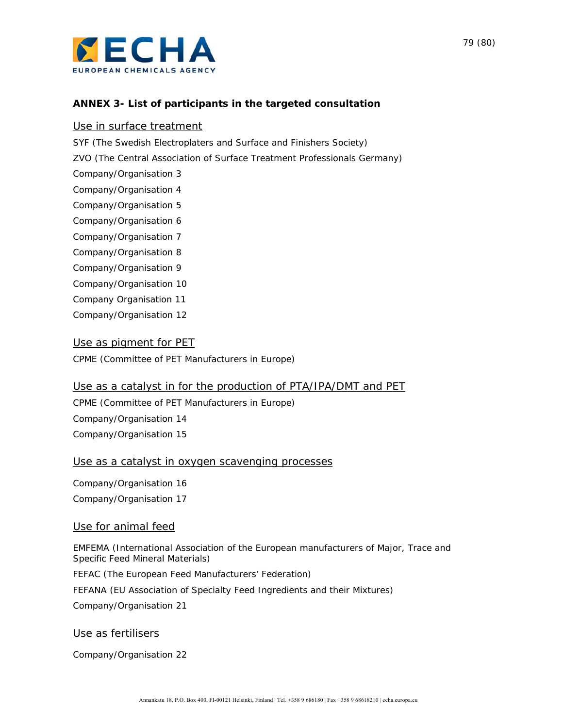

## **ANNEX 3- List of participants in the targeted consultation**

#### Use in surface treatment

SYF (The Swedish Electroplaters and Surface and Finishers Society)

ZVO (The Central Association of Surface Treatment Professionals Germany)

Company/Organisation 3

Company/Organisation 4

Company/Organisation 5

Company/Organisation 6

Company/Organisation 7

Company/Organisation 8

Company/Organisation 9

Company/Organisation 10

Company Organisation 11

Company/Organisation 12

### Use as pigment for PET

CPME (Committee of PET Manufacturers in Europe)

#### Use as a catalyst in for the production of PTA/IPA/DMT and PET

CPME (Committee of PET Manufacturers in Europe) Company/Organisation 14 Company/Organisation 15

#### Use as a catalyst in oxygen scavenging processes

Company/Organisation 16 Company/Organisation 17

#### Use for animal feed

EMFEMA (International Association of the European manufacturers of Major, Trace and Specific Feed Mineral Materials)

FEFAC (The European Feed Manufacturers' Federation)

FEFANA (EU Association of Specialty Feed Ingredients and their Mixtures)

Company/Organisation 21

#### Use as fertilisers

Company/Organisation 22